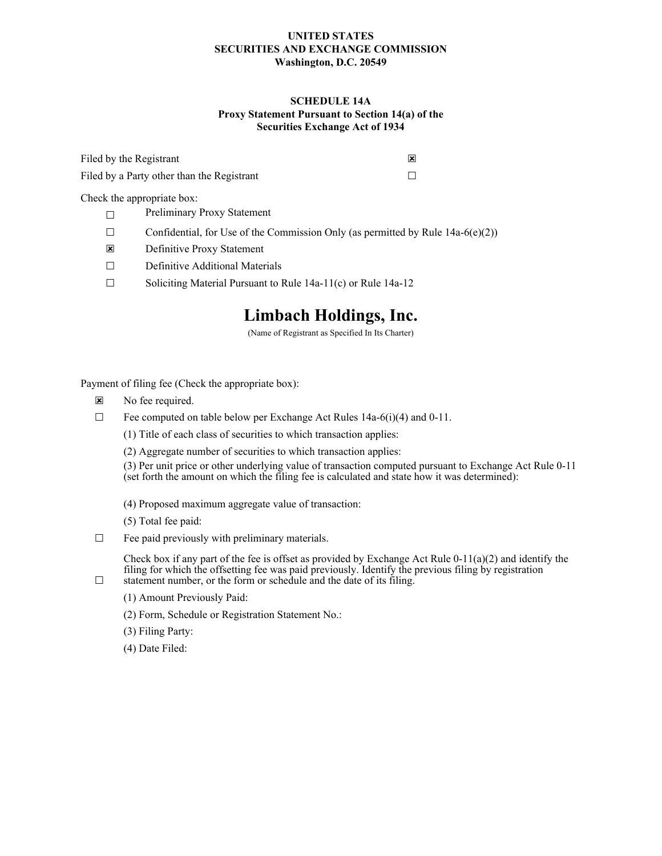### **UNITED STATES SECURITIES AND EXCHANGE COMMISSION Washington, D.C. 20549**

### **SCHEDULE 14A Proxy Statement Pursuant to Section 14(a) of the Securities Exchange Act of 1934**

| Filed by the Registrant                    |  |
|--------------------------------------------|--|
| Filed by a Party other than the Registrant |  |

Check the appropriate box:

- ☐ Preliminary Proxy Statement
- $\Box$  Confidential, for Use of the Commission Only (as permitted by Rule 14a-6(e)(2))
- ☒ Definitive Proxy Statement
- ☐ Definitive Additional Materials
- ☐ Soliciting Material Pursuant to Rule 14a-11(c) or Rule 14a-12

# **Limbach Holdings, Inc.**

(Name of Registrant as Specified In Its Charter)

Payment of filing fee (Check the appropriate box):

- ☒ No fee required.
- $\Box$  Fee computed on table below per Exchange Act Rules 14a-6(i)(4) and 0-11.
	- (1) Title of each class of securities to which transaction applies:
	- (2) Aggregate number of securities to which transaction applies:

(3) Per unit price or other underlying value of transaction computed pursuant to Exchange Act Rule 0-11 (set forth the amount on which the filing fee is calculated and state how it was determined):

- (4) Proposed maximum aggregate value of transaction:
- (5) Total fee paid:
- $\Box$  Fee paid previously with preliminary materials.

Check box if any part of the fee is offset as provided by Exchange Act Rule  $0-11(a)(2)$  and identify the filing for which the offsetting fee was paid previously. Identify the previous filing by registration statement number, or the form or schedule and the date of its filing.

- (1) Amount Previously Paid:
- (2) Form, Schedule or Registration Statement No.:
- (3) Filing Party:
- (4) Date Filed:

☐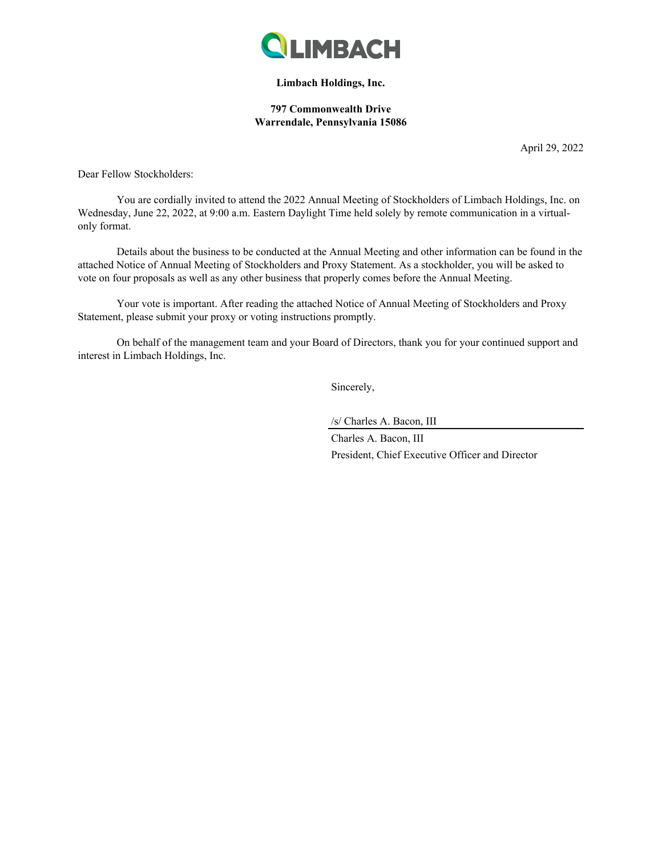

### **Limbach Holdings, Inc.**

### **797 Commonwealth Drive Warrendale, Pennsylvania 15086**

April 29, 2022

Dear Fellow Stockholders:

You are cordially invited to attend the 2022 Annual Meeting of Stockholders of Limbach Holdings, Inc. on Wednesday, June 22, 2022, at 9:00 a.m. Eastern Daylight Time held solely by remote communication in a virtualonly format.

Details about the business to be conducted at the Annual Meeting and other information can be found in the attached Notice of Annual Meeting of Stockholders and Proxy Statement. As a stockholder, you will be asked to vote on four proposals as well as any other business that properly comes before the Annual Meeting.

Your vote is important. After reading the attached Notice of Annual Meeting of Stockholders and Proxy Statement, please submit your proxy or voting instructions promptly.

On behalf of the management team and your Board of Directors, thank you for your continued support and interest in Limbach Holdings, Inc.

Sincerely,

/s/ Charles A. Bacon, III

Charles A. Bacon, III President, Chief Executive Officer and Director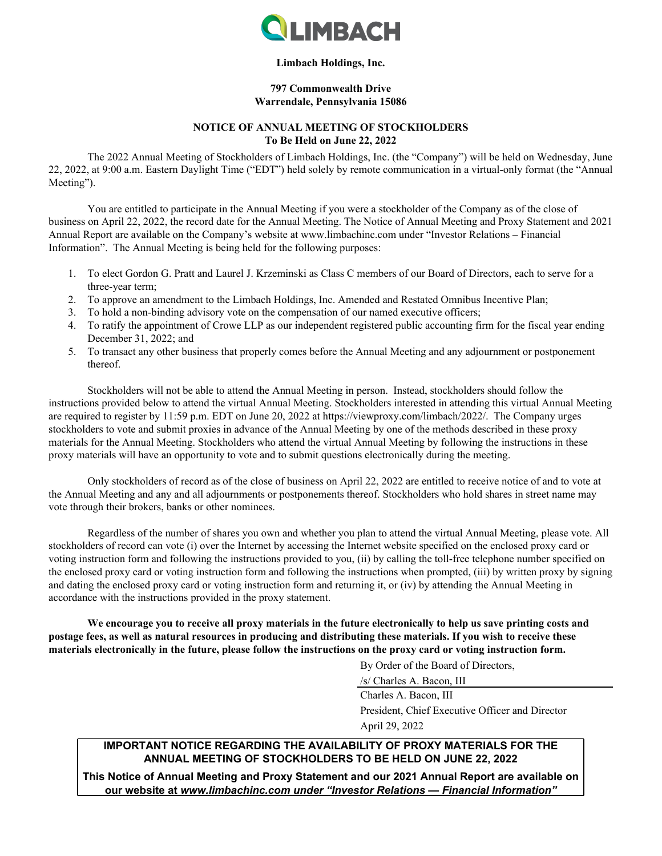

### **Limbach Holdings, Inc.**

### **797 Commonwealth Drive Warrendale, Pennsylvania 15086**

### **NOTICE OF ANNUAL MEETING OF STOCKHOLDERS To Be Held on June 22, 2022**

The 2022 Annual Meeting of Stockholders of Limbach Holdings, Inc. (the "Company") will be held on Wednesday, June 22, 2022, at 9:00 a.m. Eastern Daylight Time ("EDT") held solely by remote communication in a virtual-only format (the "Annual Meeting").

You are entitled to participate in the Annual Meeting if you were a stockholder of the Company as of the close of business on April 22, 2022, the record date for the Annual Meeting. The Notice of Annual Meeting and Proxy Statement and 2021 Annual Report are available on the Company's website at www.limbachinc.com under "Investor Relations – Financial Information". The Annual Meeting is being held for the following purposes:

- 1. To elect Gordon G. Pratt and Laurel J. Krzeminski as Class C members of our Board of Directors, each to serve for a three-year term;
- 2. To approve an amendment to the Limbach Holdings, Inc. Amended and Restated Omnibus Incentive Plan;
- 3. To hold a non-binding advisory vote on the compensation of our named executive officers;
- 4. To ratify the appointment of Crowe LLP as our independent registered public accounting firm for the fiscal year ending December 31, 2022; and
- 5. To transact any other business that properly comes before the Annual Meeting and any adjournment or postponement thereof.

Stockholders will not be able to attend the Annual Meeting in person. Instead, stockholders should follow the instructions provided below to attend the virtual Annual Meeting. Stockholders interested in attending this virtual Annual Meeting are required to register by 11:59 p.m. EDT on June 20, 2022 at https://viewproxy.com/limbach/2022/. The Company urges stockholders to vote and submit proxies in advance of the Annual Meeting by one of the methods described in these proxy materials for the Annual Meeting. Stockholders who attend the virtual Annual Meeting by following the instructions in these proxy materials will have an opportunity to vote and to submit questions electronically during the meeting.

Only stockholders of record as of the close of business on April 22, 2022 are entitled to receive notice of and to vote at the Annual Meeting and any and all adjournments or postponements thereof. Stockholders who hold shares in street name may vote through their brokers, banks or other nominees.

Regardless of the number of shares you own and whether you plan to attend the virtual Annual Meeting, please vote. All stockholders of record can vote (i) over the Internet by accessing the Internet website specified on the enclosed proxy card or voting instruction form and following the instructions provided to you, (ii) by calling the toll-free telephone number specified on the enclosed proxy card or voting instruction form and following the instructions when prompted, (iii) by written proxy by signing and dating the enclosed proxy card or voting instruction form and returning it, or (iv) by attending the Annual Meeting in accordance with the instructions provided in the proxy statement.

**We encourage you to receive all proxy materials in the future electronically to help us save printing costs and postage fees, as well as natural resources in producing and distributing these materials. If you wish to receive these materials electronically in the future, please follow the instructions on the proxy card or voting instruction form.**

By Order of the Board of Directors,

/s/ Charles A. Bacon, III

Charles A. Bacon, III President, Chief Executive Officer and Director April 29, 2022

## **IMPORTANT NOTICE REGARDING THE AVAILABILITY OF PROXY MATERIALS FOR THE ANNUAL MEETING OF STOCKHOLDERS TO BE HELD ON JUNE 22, 2022**

**This Notice of Annual Meeting and Proxy Statement and our 2021 Annual Report are available on our website at** *www.limbachinc.com under "Investor Relations — Financial Information"*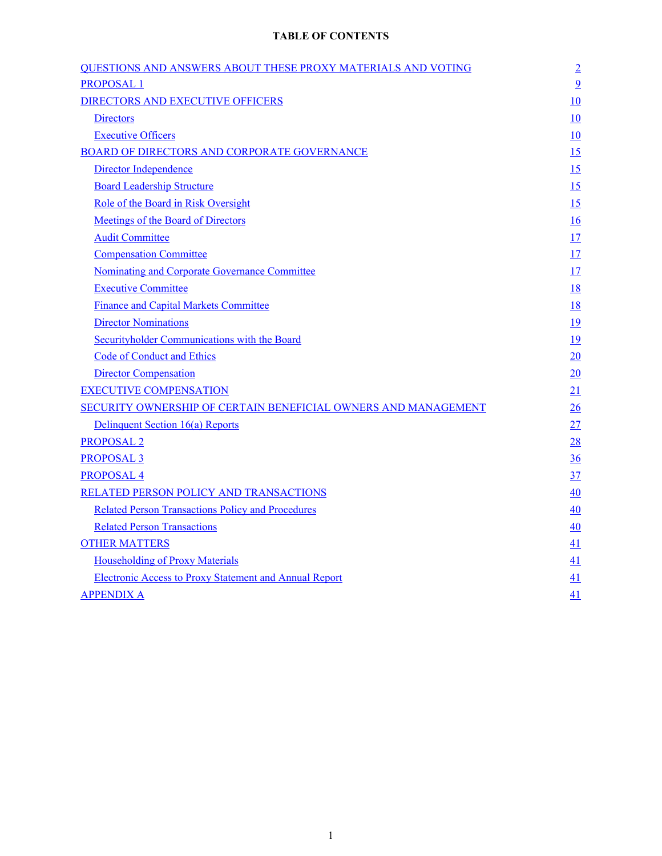# **TABLE OF CONTENTS**

| <b>QUESTIONS AND ANSWERS ABOUT THESE PROXY MATERIALS AND VOTING</b> | $\overline{2}$ |
|---------------------------------------------------------------------|----------------|
| <b>PROPOSAL1</b>                                                    | $\overline{9}$ |
| <b>DIRECTORS AND EXECUTIVE OFFICERS</b>                             | 10             |
| <b>Directors</b>                                                    | 10             |
| <b>Executive Officers</b>                                           | 10             |
| <b>BOARD OF DIRECTORS AND CORPORATE GOVERNANCE</b>                  | 15             |
| Director Independence                                               | 15             |
| <b>Board Leadership Structure</b>                                   | 15             |
| Role of the Board in Risk Oversight                                 | 15             |
| <b>Meetings of the Board of Directors</b>                           | 16             |
| <b>Audit Committee</b>                                              | 17             |
| <b>Compensation Committee</b>                                       | 17             |
| Nominating and Corporate Governance Committee                       | 17             |
| <b>Executive Committee</b>                                          | <u>18</u>      |
| <b>Finance and Capital Markets Committee</b>                        | <u>18</u>      |
| <b>Director Nominations</b>                                         | <u>19</u>      |
| Securityholder Communications with the Board                        | 19             |
| <b>Code of Conduct and Ethics</b>                                   | 20             |
| <b>Director Compensation</b>                                        | 20             |
| <b>EXECUTIVE COMPENSATION</b>                                       | 21             |
| SECURITY OWNERSHIP OF CERTAIN BENEFICIAL OWNERS AND MANAGEMENT      | 26             |
| Delinquent Section 16(a) Reports                                    | 27             |
| <b>PROPOSAL 2</b>                                                   | 28             |
| <b>PROPOSAL 3</b>                                                   | $\frac{36}{5}$ |
| <b>PROPOSAL4</b>                                                    | 37             |
| RELATED PERSON POLICY AND TRANSACTIONS                              | 40             |
| <b>Related Person Transactions Policy and Procedures</b>            | 40             |
| <b>Related Person Transactions</b>                                  | 40             |
| <b>OTHER MATTERS</b>                                                | 41             |
| <b>Householding of Proxy Materials</b>                              | 41             |
| <b>Electronic Access to Proxy Statement and Annual Report</b>       | 41             |
| <b>APPENDIX A</b>                                                   | 41             |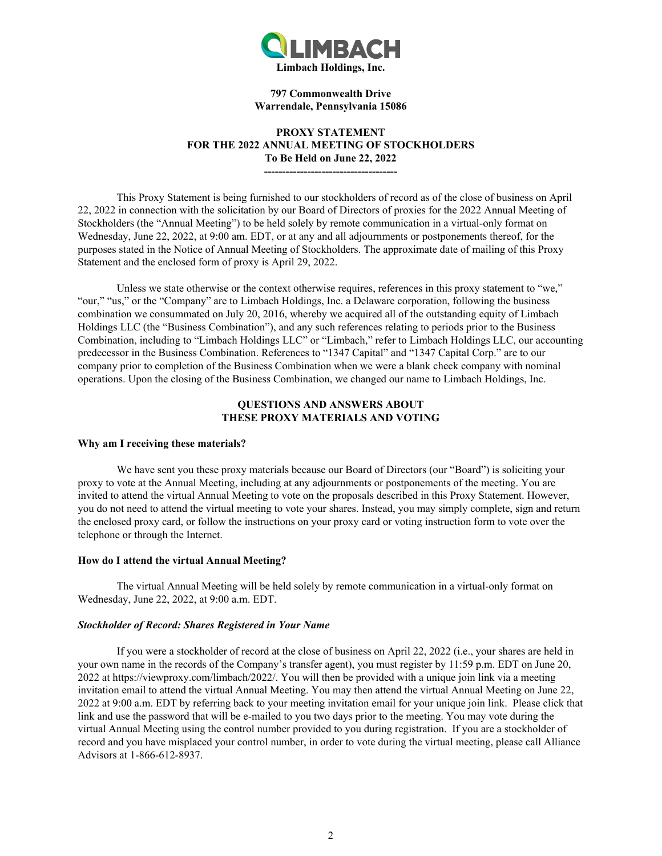

#### **797 Commonwealth Drive Warrendale, Pennsylvania 15086**

### **PROXY STATEMENT FOR THE 2022 ANNUAL MEETING OF STOCKHOLDERS To Be Held on June 22, 2022**

**-------------------------------------**

<span id="page-4-0"></span>This Proxy Statement is being furnished to our stockholders of record as of the close of business on April 22, 2022 in connection with the solicitation by our Board of Directors of proxies for the 2022 Annual Meeting of Stockholders (the "Annual Meeting") to be held solely by remote communication in a virtual-only format on Wednesday, June 22, 2022, at 9:00 am. EDT, or at any and all adjournments or postponements thereof, for the purposes stated in the Notice of Annual Meeting of Stockholders. The approximate date of mailing of this Proxy Statement and the enclosed form of proxy is April 29, 2022.

Unless we state otherwise or the context otherwise requires, references in this proxy statement to "we," "our," "us," or the "Company" are to Limbach Holdings, Inc. a Delaware corporation, following the business combination we consummated on July 20, 2016, whereby we acquired all of the outstanding equity of Limbach Holdings LLC (the "Business Combination"), and any such references relating to periods prior to the Business Combination, including to "Limbach Holdings LLC" or "Limbach," refer to Limbach Holdings LLC, our accounting predecessor in the Business Combination. References to "1347 Capital" and "1347 Capital Corp." are to our company prior to completion of the Business Combination when we were a blank check company with nominal operations. Upon the closing of the Business Combination, we changed our name to Limbach Holdings, Inc.

### **QUESTIONS AND ANSWERS ABOUT THESE PROXY MATERIALS AND VOTING**

#### **Why am I receiving these materials?**

We have sent you these proxy materials because our Board of Directors (our "Board") is soliciting your proxy to vote at the Annual Meeting, including at any adjournments or postponements of the meeting. You are invited to attend the virtual Annual Meeting to vote on the proposals described in this Proxy Statement. However, you do not need to attend the virtual meeting to vote your shares. Instead, you may simply complete, sign and return the enclosed proxy card, or follow the instructions on your proxy card or voting instruction form to vote over the telephone or through the Internet.

#### **How do I attend the virtual Annual Meeting?**

The virtual Annual Meeting will be held solely by remote communication in a virtual-only format on Wednesday, June 22, 2022, at 9:00 a.m. EDT.

### *Stockholder of Record: Shares Registered in Your Name*

If you were a stockholder of record at the close of business on April 22, 2022 (i.e., your shares are held in your own name in the records of the Company's transfer agent), you must register by 11:59 p.m. EDT on June 20, 2022 at https://viewproxy.com/limbach/2022/. You will then be provided with a unique join link via a meeting invitation email to attend the virtual Annual Meeting. You may then attend the virtual Annual Meeting on June 22, 2022 at 9:00 a.m. EDT by referring back to your meeting invitation email for your unique join link. Please click that link and use the password that will be e-mailed to you two days prior to the meeting. You may vote during the virtual Annual Meeting using the control number provided to you during registration. If you are a stockholder of record and you have misplaced your control number, in order to vote during the virtual meeting, please call Alliance Advisors at 1-866-612-8937.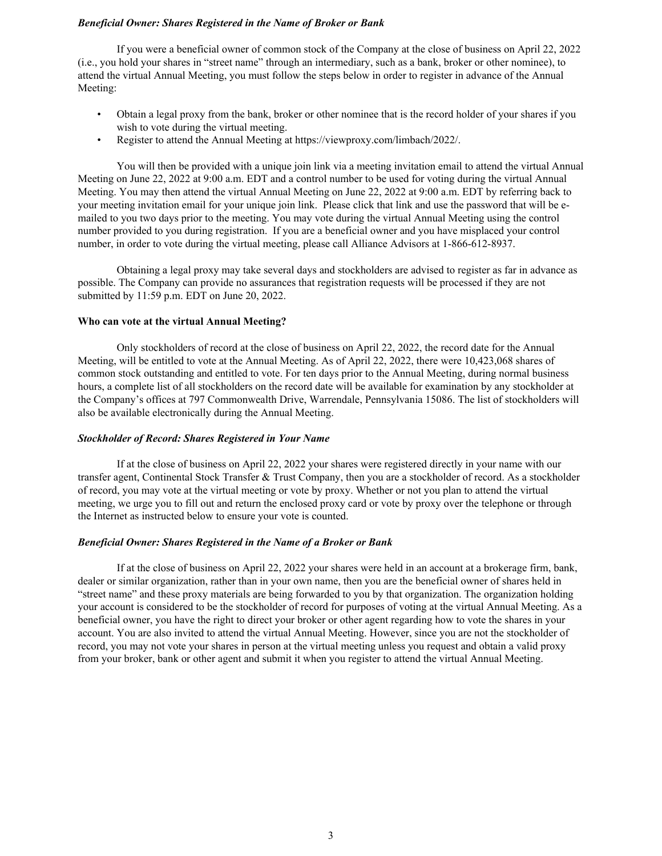### *Beneficial Owner: Shares Registered in the Name of Broker or Bank*

If you were a beneficial owner of common stock of the Company at the close of business on April 22, 2022 (i.e., you hold your shares in "street name" through an intermediary, such as a bank, broker or other nominee), to attend the virtual Annual Meeting, you must follow the steps below in order to register in advance of the Annual Meeting:

- Obtain a legal proxy from the bank, broker or other nominee that is the record holder of your shares if you wish to vote during the virtual meeting.
- Register to attend the Annual Meeting at https://viewproxy.com/limbach/2022/.

You will then be provided with a unique join link via a meeting invitation email to attend the virtual Annual Meeting on June 22, 2022 at 9:00 a.m. EDT and a control number to be used for voting during the virtual Annual Meeting. You may then attend the virtual Annual Meeting on June 22, 2022 at 9:00 a.m. EDT by referring back to your meeting invitation email for your unique join link. Please click that link and use the password that will be emailed to you two days prior to the meeting. You may vote during the virtual Annual Meeting using the control number provided to you during registration. If you are a beneficial owner and you have misplaced your control number, in order to vote during the virtual meeting, please call Alliance Advisors at 1-866-612-8937.

Obtaining a legal proxy may take several days and stockholders are advised to register as far in advance as possible. The Company can provide no assurances that registration requests will be processed if they are not submitted by 11:59 p.m. EDT on June 20, 2022.

### **Who can vote at the virtual Annual Meeting?**

Only stockholders of record at the close of business on April 22, 2022, the record date for the Annual Meeting, will be entitled to vote at the Annual Meeting. As of April 22, 2022, there were 10,423,068 shares of common stock outstanding and entitled to vote. For ten days prior to the Annual Meeting, during normal business hours, a complete list of all stockholders on the record date will be available for examination by any stockholder at the Company's offices at 797 Commonwealth Drive, Warrendale, Pennsylvania 15086. The list of stockholders will also be available electronically during the Annual Meeting.

#### *Stockholder of Record: Shares Registered in Your Name*

If at the close of business on April 22, 2022 your shares were registered directly in your name with our transfer agent, Continental Stock Transfer & Trust Company, then you are a stockholder of record. As a stockholder of record, you may vote at the virtual meeting or vote by proxy. Whether or not you plan to attend the virtual meeting, we urge you to fill out and return the enclosed proxy card or vote by proxy over the telephone or through the Internet as instructed below to ensure your vote is counted.

#### *Beneficial Owner: Shares Registered in the Name of a Broker or Bank*

If at the close of business on April 22, 2022 your shares were held in an account at a brokerage firm, bank, dealer or similar organization, rather than in your own name, then you are the beneficial owner of shares held in "street name" and these proxy materials are being forwarded to you by that organization. The organization holding your account is considered to be the stockholder of record for purposes of voting at the virtual Annual Meeting. As a beneficial owner, you have the right to direct your broker or other agent regarding how to vote the shares in your account. You are also invited to attend the virtual Annual Meeting. However, since you are not the stockholder of record, you may not vote your shares in person at the virtual meeting unless you request and obtain a valid proxy from your broker, bank or other agent and submit it when you register to attend the virtual Annual Meeting.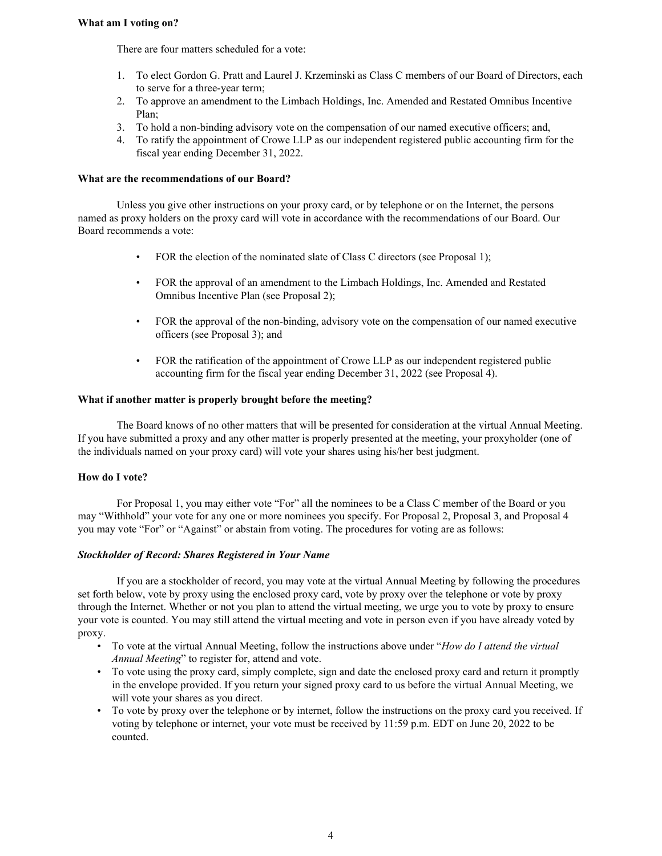### **What am I voting on?**

There are four matters scheduled for a vote:

- 1. To elect Gordon G. Pratt and Laurel J. Krzeminski as Class C members of our Board of Directors, each to serve for a three-year term;
- 2. To approve an amendment to the Limbach Holdings, Inc. Amended and Restated Omnibus Incentive Plan;
- 3. To hold a non-binding advisory vote on the compensation of our named executive officers; and,
- 4. To ratify the appointment of Crowe LLP as our independent registered public accounting firm for the fiscal year ending December 31, 2022.

### **What are the recommendations of our Board?**

Unless you give other instructions on your proxy card, or by telephone or on the Internet, the persons named as proxy holders on the proxy card will vote in accordance with the recommendations of our Board. Our Board recommends a vote:

- FOR the election of the nominated slate of Class C directors (see Proposal 1);
- FOR the approval of an amendment to the Limbach Holdings, Inc. Amended and Restated Omnibus Incentive Plan (see Proposal 2);
- FOR the approval of the non-binding, advisory vote on the compensation of our named executive officers (see Proposal 3); and
- FOR the ratification of the appointment of Crowe LLP as our independent registered public accounting firm for the fiscal year ending December 31, 2022 (see Proposal 4).

### **What if another matter is properly brought before the meeting?**

The Board knows of no other matters that will be presented for consideration at the virtual Annual Meeting. If you have submitted a proxy and any other matter is properly presented at the meeting, your proxyholder (one of the individuals named on your proxy card) will vote your shares using his/her best judgment.

#### **How do I vote?**

For Proposal 1, you may either vote "For" all the nominees to be a Class C member of the Board or you may "Withhold" your vote for any one or more nominees you specify. For Proposal 2, Proposal 3, and Proposal 4 you may vote "For" or "Against" or abstain from voting. The procedures for voting are as follows:

#### *Stockholder of Record: Shares Registered in Your Name*

If you are a stockholder of record, you may vote at the virtual Annual Meeting by following the procedures set forth below, vote by proxy using the enclosed proxy card, vote by proxy over the telephone or vote by proxy through the Internet. Whether or not you plan to attend the virtual meeting, we urge you to vote by proxy to ensure your vote is counted. You may still attend the virtual meeting and vote in person even if you have already voted by proxy.

- To vote at the virtual Annual Meeting, follow the instructions above under "*How do I attend the virtual Annual Meeting*" to register for, attend and vote.
- To vote using the proxy card, simply complete, sign and date the enclosed proxy card and return it promptly in the envelope provided. If you return your signed proxy card to us before the virtual Annual Meeting, we will vote your shares as you direct.
- To vote by proxy over the telephone or by internet, follow the instructions on the proxy card you received. If voting by telephone or internet, your vote must be received by 11:59 p.m. EDT on June 20, 2022 to be counted.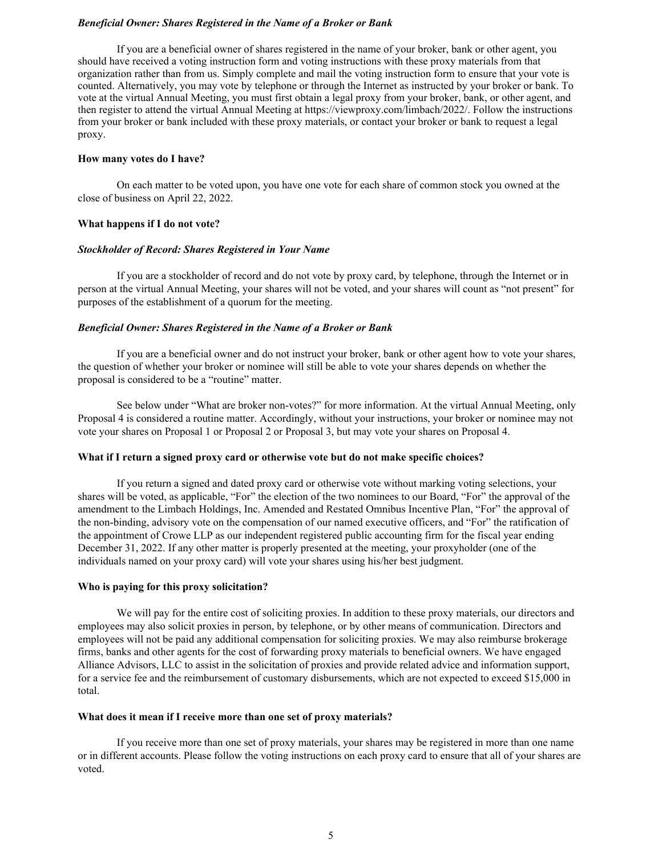#### *Beneficial Owner: Shares Registered in the Name of a Broker or Bank*

If you are a beneficial owner of shares registered in the name of your broker, bank or other agent, you should have received a voting instruction form and voting instructions with these proxy materials from that organization rather than from us. Simply complete and mail the voting instruction form to ensure that your vote is counted. Alternatively, you may vote by telephone or through the Internet as instructed by your broker or bank. To vote at the virtual Annual Meeting, you must first obtain a legal proxy from your broker, bank, or other agent, and then register to attend the virtual Annual Meeting at https://viewproxy.com/limbach/2022/. Follow the instructions from your broker or bank included with these proxy materials, or contact your broker or bank to request a legal proxy.

#### **How many votes do I have?**

On each matter to be voted upon, you have one vote for each share of common stock you owned at the close of business on April 22, 2022.

#### **What happens if I do not vote?**

### *Stockholder of Record: Shares Registered in Your Name*

If you are a stockholder of record and do not vote by proxy card, by telephone, through the Internet or in person at the virtual Annual Meeting, your shares will not be voted, and your shares will count as "not present" for purposes of the establishment of a quorum for the meeting.

#### *Beneficial Owner: Shares Registered in the Name of a Broker or Bank*

If you are a beneficial owner and do not instruct your broker, bank or other agent how to vote your shares, the question of whether your broker or nominee will still be able to vote your shares depends on whether the proposal is considered to be a "routine" matter.

See below under "What are broker non-votes?" for more information. At the virtual Annual Meeting, only Proposal 4 is considered a routine matter. Accordingly, without your instructions, your broker or nominee may not vote your shares on Proposal 1 or Proposal 2 or Proposal 3, but may vote your shares on Proposal 4.

#### **What if I return a signed proxy card or otherwise vote but do not make specific choices?**

If you return a signed and dated proxy card or otherwise vote without marking voting selections, your shares will be voted, as applicable, "For" the election of the two nominees to our Board, "For" the approval of the amendment to the Limbach Holdings, Inc. Amended and Restated Omnibus Incentive Plan, "For" the approval of the non-binding, advisory vote on the compensation of our named executive officers, and "For" the ratification of the appointment of Crowe LLP as our independent registered public accounting firm for the fiscal year ending December 31, 2022. If any other matter is properly presented at the meeting, your proxyholder (one of the individuals named on your proxy card) will vote your shares using his/her best judgment.

#### **Who is paying for this proxy solicitation?**

We will pay for the entire cost of soliciting proxies. In addition to these proxy materials, our directors and employees may also solicit proxies in person, by telephone, or by other means of communication. Directors and employees will not be paid any additional compensation for soliciting proxies. We may also reimburse brokerage firms, banks and other agents for the cost of forwarding proxy materials to beneficial owners. We have engaged Alliance Advisors, LLC to assist in the solicitation of proxies and provide related advice and information support, for a service fee and the reimbursement of customary disbursements, which are not expected to exceed \$15,000 in total.

#### **What does it mean if I receive more than one set of proxy materials?**

If you receive more than one set of proxy materials, your shares may be registered in more than one name or in different accounts. Please follow the voting instructions on each proxy card to ensure that all of your shares are voted.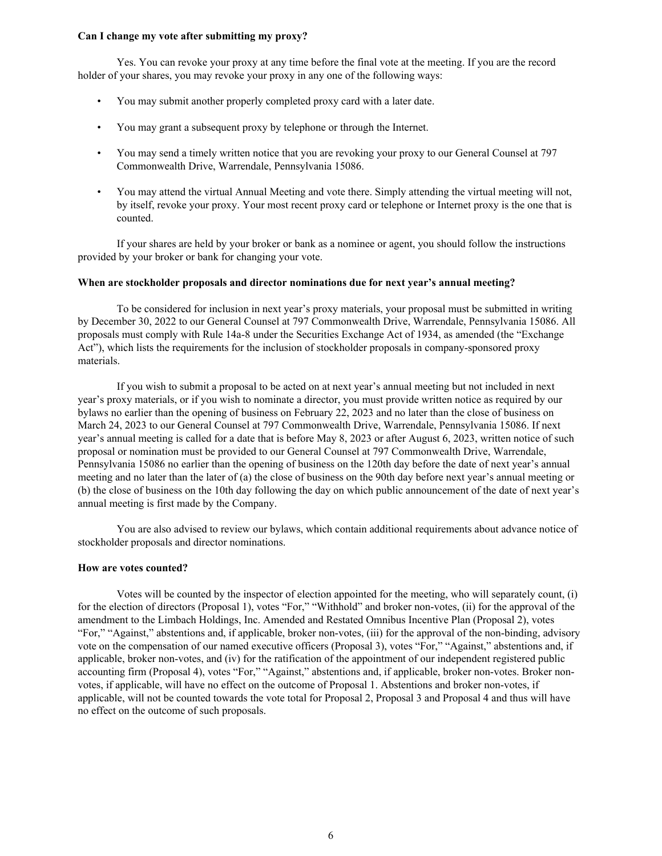### **Can I change my vote after submitting my proxy?**

Yes. You can revoke your proxy at any time before the final vote at the meeting. If you are the record holder of your shares, you may revoke your proxy in any one of the following ways:

- You may submit another properly completed proxy card with a later date.
- You may grant a subsequent proxy by telephone or through the Internet.
- You may send a timely written notice that you are revoking your proxy to our General Counsel at 797 Commonwealth Drive, Warrendale, Pennsylvania 15086.
- You may attend the virtual Annual Meeting and vote there. Simply attending the virtual meeting will not, by itself, revoke your proxy. Your most recent proxy card or telephone or Internet proxy is the one that is counted.

If your shares are held by your broker or bank as a nominee or agent, you should follow the instructions provided by your broker or bank for changing your vote.

#### **When are stockholder proposals and director nominations due for next year's annual meeting?**

To be considered for inclusion in next year's proxy materials, your proposal must be submitted in writing by December 30, 2022 to our General Counsel at 797 Commonwealth Drive, Warrendale, Pennsylvania 15086. All proposals must comply with Rule 14a-8 under the Securities Exchange Act of 1934, as amended (the "Exchange Act"), which lists the requirements for the inclusion of stockholder proposals in company-sponsored proxy materials.

If you wish to submit a proposal to be acted on at next year's annual meeting but not included in next year's proxy materials, or if you wish to nominate a director, you must provide written notice as required by our bylaws no earlier than the opening of business on February 22, 2023 and no later than the close of business on March 24, 2023 to our General Counsel at 797 Commonwealth Drive, Warrendale, Pennsylvania 15086. If next year's annual meeting is called for a date that is before May 8, 2023 or after August 6, 2023, written notice of such proposal or nomination must be provided to our General Counsel at 797 Commonwealth Drive, Warrendale, Pennsylvania 15086 no earlier than the opening of business on the 120th day before the date of next year's annual meeting and no later than the later of (a) the close of business on the 90th day before next year's annual meeting or (b) the close of business on the 10th day following the day on which public announcement of the date of next year's annual meeting is first made by the Company.

You are also advised to review our bylaws, which contain additional requirements about advance notice of stockholder proposals and director nominations.

#### **How are votes counted?**

Votes will be counted by the inspector of election appointed for the meeting, who will separately count, (i) for the election of directors (Proposal 1), votes "For," "Withhold" and broker non-votes, (ii) for the approval of the amendment to the Limbach Holdings, Inc. Amended and Restated Omnibus Incentive Plan (Proposal 2), votes "For," "Against," abstentions and, if applicable, broker non-votes, (iii) for the approval of the non-binding, advisory vote on the compensation of our named executive officers (Proposal 3), votes "For," "Against," abstentions and, if applicable, broker non-votes, and (iv) for the ratification of the appointment of our independent registered public accounting firm (Proposal 4), votes "For," "Against," abstentions and, if applicable, broker non-votes. Broker nonvotes, if applicable, will have no effect on the outcome of Proposal 1. Abstentions and broker non-votes, if applicable, will not be counted towards the vote total for Proposal 2, Proposal 3 and Proposal 4 and thus will have no effect on the outcome of such proposals.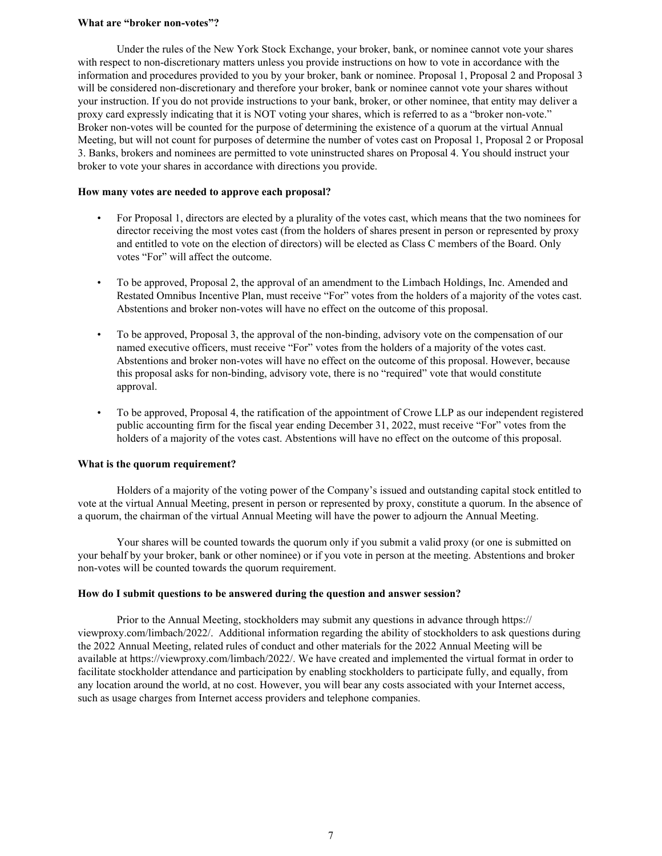### **What are "broker non-votes"?**

Under the rules of the New York Stock Exchange, your broker, bank, or nominee cannot vote your shares with respect to non-discretionary matters unless you provide instructions on how to vote in accordance with the information and procedures provided to you by your broker, bank or nominee. Proposal 1, Proposal 2 and Proposal 3 will be considered non-discretionary and therefore your broker, bank or nominee cannot vote your shares without your instruction. If you do not provide instructions to your bank, broker, or other nominee, that entity may deliver a proxy card expressly indicating that it is NOT voting your shares, which is referred to as a "broker non-vote." Broker non-votes will be counted for the purpose of determining the existence of a quorum at the virtual Annual Meeting, but will not count for purposes of determine the number of votes cast on Proposal 1, Proposal 2 or Proposal 3. Banks, brokers and nominees are permitted to vote uninstructed shares on Proposal 4. You should instruct your broker to vote your shares in accordance with directions you provide.

#### **How many votes are needed to approve each proposal?**

- For Proposal 1, directors are elected by a plurality of the votes cast, which means that the two nominees for director receiving the most votes cast (from the holders of shares present in person or represented by proxy and entitled to vote on the election of directors) will be elected as Class C members of the Board. Only votes "For" will affect the outcome.
- To be approved, Proposal 2, the approval of an amendment to the Limbach Holdings, Inc. Amended and Restated Omnibus Incentive Plan, must receive "For" votes from the holders of a majority of the votes cast. Abstentions and broker non-votes will have no effect on the outcome of this proposal.
- To be approved, Proposal 3, the approval of the non-binding, advisory vote on the compensation of our named executive officers, must receive "For" votes from the holders of a majority of the votes cast. Abstentions and broker non-votes will have no effect on the outcome of this proposal. However, because this proposal asks for non-binding, advisory vote, there is no "required" vote that would constitute approval.
- To be approved, Proposal 4, the ratification of the appointment of Crowe LLP as our independent registered public accounting firm for the fiscal year ending December 31, 2022, must receive "For" votes from the holders of a majority of the votes cast. Abstentions will have no effect on the outcome of this proposal.

#### **What is the quorum requirement?**

Holders of a majority of the voting power of the Company's issued and outstanding capital stock entitled to vote at the virtual Annual Meeting, present in person or represented by proxy, constitute a quorum. In the absence of a quorum, the chairman of the virtual Annual Meeting will have the power to adjourn the Annual Meeting.

Your shares will be counted towards the quorum only if you submit a valid proxy (or one is submitted on your behalf by your broker, bank or other nominee) or if you vote in person at the meeting. Abstentions and broker non-votes will be counted towards the quorum requirement.

#### **How do I submit questions to be answered during the question and answer session?**

Prior to the Annual Meeting, stockholders may submit any questions in advance through https:// viewproxy.com/limbach/2022/. Additional information regarding the ability of stockholders to ask questions during the 2022 Annual Meeting, related rules of conduct and other materials for the 2022 Annual Meeting will be available at https://viewproxy.com/limbach/2022/. We have created and implemented the virtual format in order to facilitate stockholder attendance and participation by enabling stockholders to participate fully, and equally, from any location around the world, at no cost. However, you will bear any costs associated with your Internet access, such as usage charges from Internet access providers and telephone companies.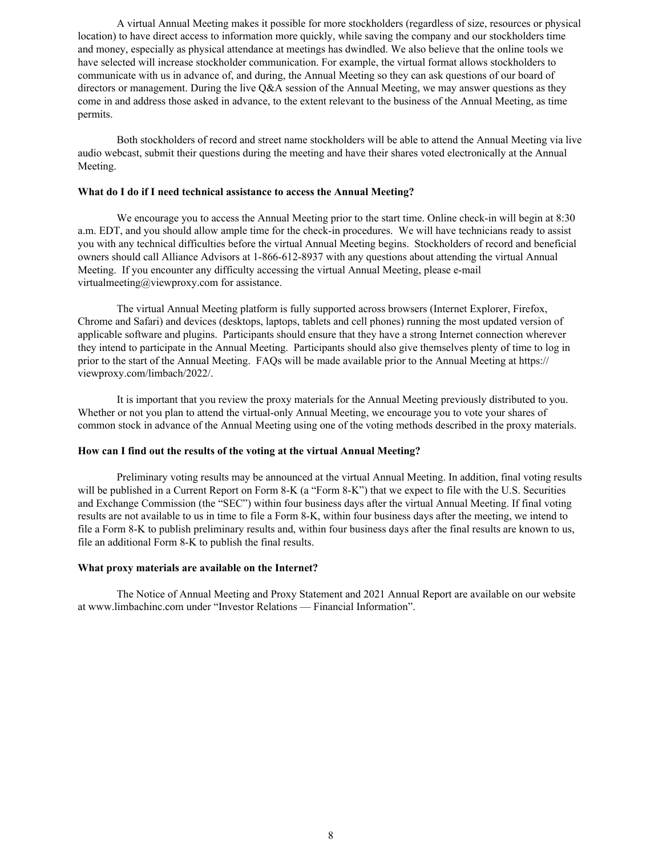A virtual Annual Meeting makes it possible for more stockholders (regardless of size, resources or physical location) to have direct access to information more quickly, while saving the company and our stockholders time and money, especially as physical attendance at meetings has dwindled. We also believe that the online tools we have selected will increase stockholder communication. For example, the virtual format allows stockholders to communicate with us in advance of, and during, the Annual Meeting so they can ask questions of our board of directors or management. During the live Q&A session of the Annual Meeting, we may answer questions as they come in and address those asked in advance, to the extent relevant to the business of the Annual Meeting, as time permits.

Both stockholders of record and street name stockholders will be able to attend the Annual Meeting via live audio webcast, submit their questions during the meeting and have their shares voted electronically at the Annual Meeting.

### **What do I do if I need technical assistance to access the Annual Meeting?**

We encourage you to access the Annual Meeting prior to the start time. Online check-in will begin at 8:30 a.m. EDT, and you should allow ample time for the check-in procedures. We will have technicians ready to assist you with any technical difficulties before the virtual Annual Meeting begins. Stockholders of record and beneficial owners should call Alliance Advisors at 1-866-612-8937 with any questions about attending the virtual Annual Meeting. If you encounter any difficulty accessing the virtual Annual Meeting, please e-mail virtualmeeting@viewproxy.com for assistance.

The virtual Annual Meeting platform is fully supported across browsers (Internet Explorer, Firefox, Chrome and Safari) and devices (desktops, laptops, tablets and cell phones) running the most updated version of applicable software and plugins. Participants should ensure that they have a strong Internet connection wherever they intend to participate in the Annual Meeting. Participants should also give themselves plenty of time to log in prior to the start of the Annual Meeting. FAQs will be made available prior to the Annual Meeting at https:// viewproxy.com/limbach/2022/.

It is important that you review the proxy materials for the Annual Meeting previously distributed to you. Whether or not you plan to attend the virtual-only Annual Meeting, we encourage you to vote your shares of common stock in advance of the Annual Meeting using one of the voting methods described in the proxy materials.

### **How can I find out the results of the voting at the virtual Annual Meeting?**

Preliminary voting results may be announced at the virtual Annual Meeting. In addition, final voting results will be published in a Current Report on Form 8-K (a "Form 8-K") that we expect to file with the U.S. Securities and Exchange Commission (the "SEC") within four business days after the virtual Annual Meeting. If final voting results are not available to us in time to file a Form 8-K, within four business days after the meeting, we intend to file a Form 8-K to publish preliminary results and, within four business days after the final results are known to us, file an additional Form 8-K to publish the final results.

#### **What proxy materials are available on the Internet?**

The Notice of Annual Meeting and Proxy Statement and 2021 Annual Report are available on our website at www.limbachinc.com under "Investor Relations — Financial Information".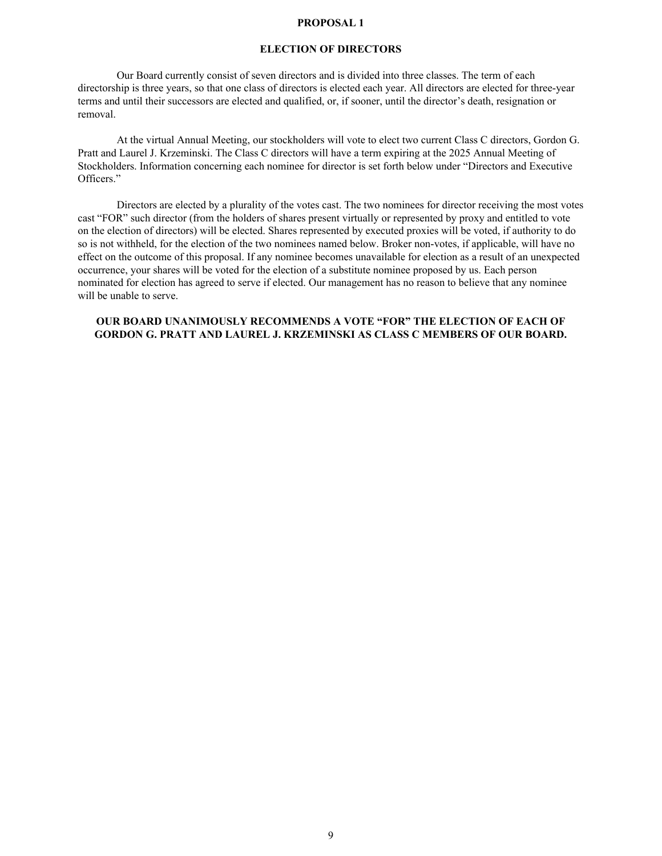### **PROPOSAL 1**

#### **ELECTION OF DIRECTORS**

<span id="page-11-0"></span>Our Board currently consist of seven directors and is divided into three classes. The term of each directorship is three years, so that one class of directors is elected each year. All directors are elected for three-year terms and until their successors are elected and qualified, or, if sooner, until the director's death, resignation or removal.

At the virtual Annual Meeting, our stockholders will vote to elect two current Class C directors, Gordon G. Pratt and Laurel J. Krzeminski. The Class C directors will have a term expiring at the 2025 Annual Meeting of Stockholders. Information concerning each nominee for director is set forth below under "Directors and Executive Officers."

Directors are elected by a plurality of the votes cast. The two nominees for director receiving the most votes cast "FOR" such director (from the holders of shares present virtually or represented by proxy and entitled to vote on the election of directors) will be elected. Shares represented by executed proxies will be voted, if authority to do so is not withheld, for the election of the two nominees named below. Broker non-votes, if applicable, will have no effect on the outcome of this proposal. If any nominee becomes unavailable for election as a result of an unexpected occurrence, your shares will be voted for the election of a substitute nominee proposed by us. Each person nominated for election has agreed to serve if elected. Our management has no reason to believe that any nominee will be unable to serve.

### **OUR BOARD UNANIMOUSLY RECOMMENDS A VOTE "FOR" THE ELECTION OF EACH OF GORDON G. PRATT AND LAUREL J. KRZEMINSKI AS CLASS C MEMBERS OF OUR BOARD.**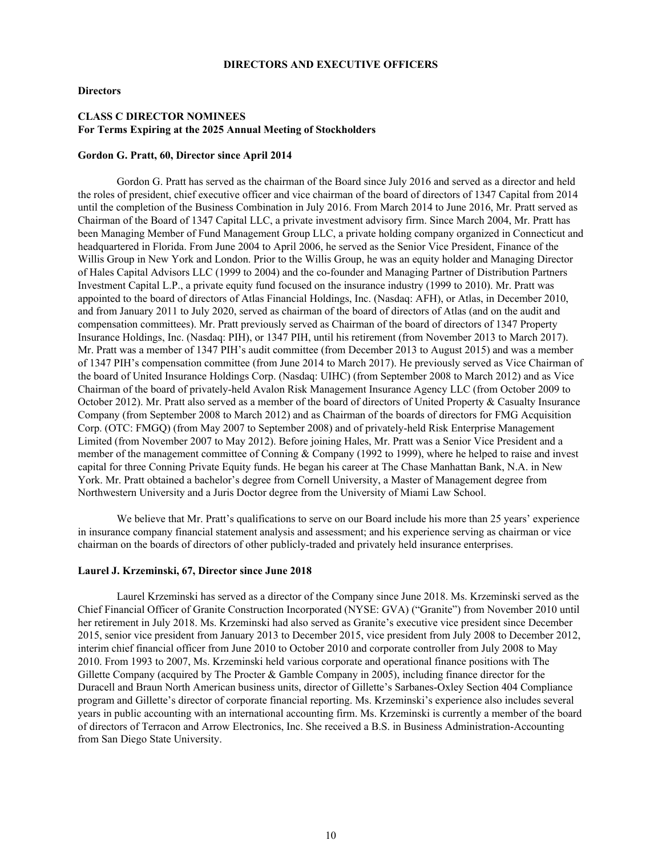#### **DIRECTORS AND EXECUTIVE OFFICERS**

#### <span id="page-12-0"></span>**Directors**

### **CLASS C DIRECTOR NOMINEES For Terms Expiring at the 2025 Annual Meeting of Stockholders**

#### **Gordon G. Pratt, 60, Director since April 2014**

Gordon G. Pratt has served as the chairman of the Board since July 2016 and served as a director and held the roles of president, chief executive officer and vice chairman of the board of directors of 1347 Capital from 2014 until the completion of the Business Combination in July 2016. From March 2014 to June 2016, Mr. Pratt served as Chairman of the Board of 1347 Capital LLC, a private investment advisory firm. Since March 2004, Mr. Pratt has been Managing Member of Fund Management Group LLC, a private holding company organized in Connecticut and headquartered in Florida. From June 2004 to April 2006, he served as the Senior Vice President, Finance of the Willis Group in New York and London. Prior to the Willis Group, he was an equity holder and Managing Director of Hales Capital Advisors LLC (1999 to 2004) and the co-founder and Managing Partner of Distribution Partners Investment Capital L.P., a private equity fund focused on the insurance industry (1999 to 2010). Mr. Pratt was appointed to the board of directors of Atlas Financial Holdings, Inc. (Nasdaq: AFH), or Atlas, in December 2010, and from January 2011 to July 2020, served as chairman of the board of directors of Atlas (and on the audit and compensation committees). Mr. Pratt previously served as Chairman of the board of directors of 1347 Property Insurance Holdings, Inc. (Nasdaq: PIH), or 1347 PIH, until his retirement (from November 2013 to March 2017). Mr. Pratt was a member of 1347 PIH's audit committee (from December 2013 to August 2015) and was a member of 1347 PIH's compensation committee (from June 2014 to March 2017). He previously served as Vice Chairman of the board of United Insurance Holdings Corp. (Nasdaq: UIHC) (from September 2008 to March 2012) and as Vice Chairman of the board of privately-held Avalon Risk Management Insurance Agency LLC (from October 2009 to October 2012). Mr. Pratt also served as a member of the board of directors of United Property & Casualty Insurance Company (from September 2008 to March 2012) and as Chairman of the boards of directors for FMG Acquisition Corp. (OTC: FMGQ) (from May 2007 to September 2008) and of privately-held Risk Enterprise Management Limited (from November 2007 to May 2012). Before joining Hales, Mr. Pratt was a Senior Vice President and a member of the management committee of Conning & Company (1992 to 1999), where he helped to raise and invest capital for three Conning Private Equity funds. He began his career at The Chase Manhattan Bank, N.A. in New York. Mr. Pratt obtained a bachelor's degree from Cornell University, a Master of Management degree from Northwestern University and a Juris Doctor degree from the University of Miami Law School.

We believe that Mr. Pratt's qualifications to serve on our Board include his more than 25 years' experience in insurance company financial statement analysis and assessment; and his experience serving as chairman or vice chairman on the boards of directors of other publicly-traded and privately held insurance enterprises.

#### **Laurel J. Krzeminski, 67, Director since June 2018**

Laurel Krzeminski has served as a director of the Company since June 2018. Ms. Krzeminski served as the Chief Financial Officer of Granite Construction Incorporated (NYSE: GVA) ("Granite") from November 2010 until her retirement in July 2018. Ms. Krzeminski had also served as Granite's executive vice president since December 2015, senior vice president from January 2013 to December 2015, vice president from July 2008 to December 2012, interim chief financial officer from June 2010 to October 2010 and corporate controller from July 2008 to May 2010. From 1993 to 2007, Ms. Krzeminski held various corporate and operational finance positions with The Gillette Company (acquired by The Procter & Gamble Company in 2005), including finance director for the Duracell and Braun North American business units, director of Gillette's Sarbanes-Oxley Section 404 Compliance program and Gillette's director of corporate financial reporting. Ms. Krzeminski's experience also includes several years in public accounting with an international accounting firm. Ms. Krzeminski is currently a member of the board of directors of Terracon and Arrow Electronics, Inc. She received a B.S. in Business Administration-Accounting from San Diego State University.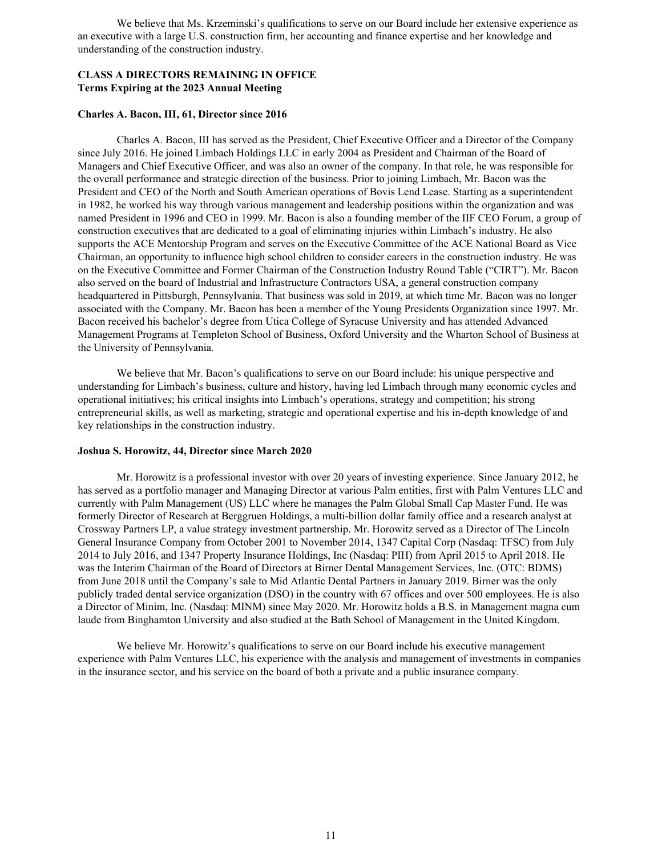We believe that Ms. Krzeminski's qualifications to serve on our Board include her extensive experience as an executive with a large U.S. construction firm, her accounting and finance expertise and her knowledge and understanding of the construction industry.

### **CLASS A DIRECTORS REMAINING IN OFFICE Terms Expiring at the 2023 Annual Meeting**

### **Charles A. Bacon, III, 61, Director since 2016**

Charles A. Bacon, III has served as the President, Chief Executive Officer and a Director of the Company since July 2016. He joined Limbach Holdings LLC in early 2004 as President and Chairman of the Board of Managers and Chief Executive Officer, and was also an owner of the company. In that role, he was responsible for the overall performance and strategic direction of the business. Prior to joining Limbach, Mr. Bacon was the President and CEO of the North and South American operations of Bovis Lend Lease. Starting as a superintendent in 1982, he worked his way through various management and leadership positions within the organization and was named President in 1996 and CEO in 1999. Mr. Bacon is also a founding member of the IIF CEO Forum, a group of construction executives that are dedicated to a goal of eliminating injuries within Limbach's industry. He also supports the ACE Mentorship Program and serves on the Executive Committee of the ACE National Board as Vice Chairman, an opportunity to influence high school children to consider careers in the construction industry. He was on the Executive Committee and Former Chairman of the Construction Industry Round Table ("CIRT"). Mr. Bacon also served on the board of Industrial and Infrastructure Contractors USA, a general construction company headquartered in Pittsburgh, Pennsylvania. That business was sold in 2019, at which time Mr. Bacon was no longer associated with the Company. Mr. Bacon has been a member of the Young Presidents Organization since 1997. Mr. Bacon received his bachelor's degree from Utica College of Syracuse University and has attended Advanced Management Programs at Templeton School of Business, Oxford University and the Wharton School of Business at the University of Pennsylvania.

We believe that Mr. Bacon's qualifications to serve on our Board include: his unique perspective and understanding for Limbach's business, culture and history, having led Limbach through many economic cycles and operational initiatives; his critical insights into Limbach's operations, strategy and competition; his strong entrepreneurial skills, as well as marketing, strategic and operational expertise and his in-depth knowledge of and key relationships in the construction industry.

#### **Joshua S. Horowitz, 44, Director since March 2020**

Mr. Horowitz is a professional investor with over 20 years of investing experience. Since January 2012, he has served as a portfolio manager and Managing Director at various Palm entities, first with Palm Ventures LLC and currently with Palm Management (US) LLC where he manages the Palm Global Small Cap Master Fund. He was formerly Director of Research at Berggruen Holdings, a multi-billion dollar family office and a research analyst at Crossway Partners LP, a value strategy investment partnership. Mr. Horowitz served as a Director of The Lincoln General Insurance Company from October 2001 to November 2014, 1347 Capital Corp (Nasdaq: TFSC) from July 2014 to July 2016, and 1347 Property Insurance Holdings, Inc (Nasdaq: PIH) from April 2015 to April 2018. He was the Interim Chairman of the Board of Directors at Birner Dental Management Services, Inc. (OTC: BDMS) from June 2018 until the Company's sale to Mid Atlantic Dental Partners in January 2019. Birner was the only publicly traded dental service organization (DSO) in the country with 67 offices and over 500 employees. He is also a Director of Minim, Inc. (Nasdaq: MINM) since May 2020. Mr. Horowitz holds a B.S. in Management magna cum laude from Binghamton University and also studied at the Bath School of Management in the United Kingdom.

We believe Mr. Horowitz's qualifications to serve on our Board include his executive management experience with Palm Ventures LLC, his experience with the analysis and management of investments in companies in the insurance sector, and his service on the board of both a private and a public insurance company.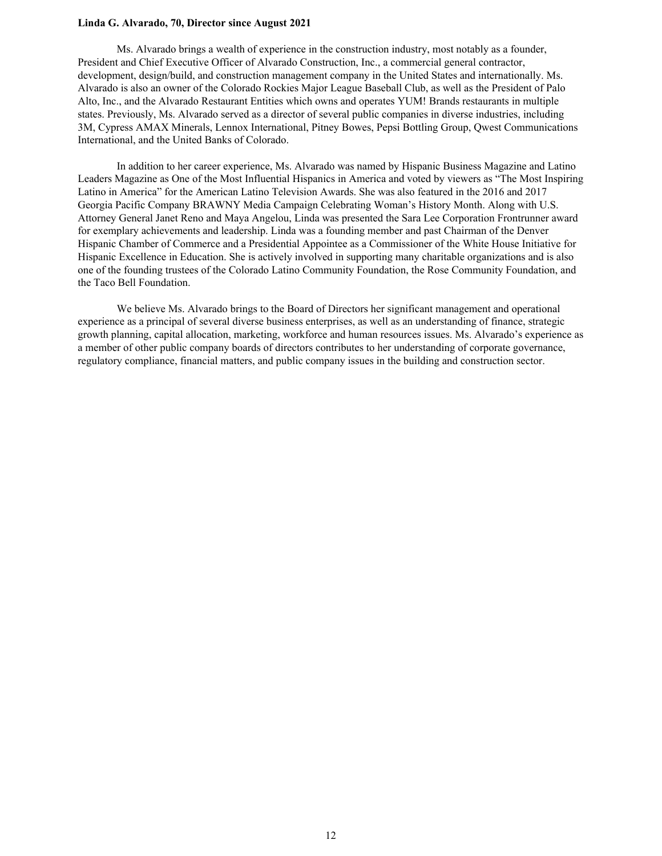### **Linda G. Alvarado, 70, Director since August 2021**

Ms. Alvarado brings a wealth of experience in the construction industry, most notably as a founder, President and Chief Executive Officer of Alvarado Construction, Inc., a commercial general contractor, development, design/build, and construction management company in the United States and internationally. Ms. Alvarado is also an owner of the Colorado Rockies Major League Baseball Club, as well as the President of Palo Alto, Inc., and the Alvarado Restaurant Entities which owns and operates YUM! Brands restaurants in multiple states. Previously, Ms. Alvarado served as a director of several public companies in diverse industries, including 3M, Cypress AMAX Minerals, Lennox International, Pitney Bowes, Pepsi Bottling Group, Qwest Communications International, and the United Banks of Colorado.

In addition to her career experience, Ms. Alvarado was named by Hispanic Business Magazine and Latino Leaders Magazine as One of the Most Influential Hispanics in America and voted by viewers as "The Most Inspiring Latino in America" for the American Latino Television Awards. She was also featured in the 2016 and 2017 Georgia Pacific Company BRAWNY Media Campaign Celebrating Woman's History Month. Along with U.S. Attorney General Janet Reno and Maya Angelou, Linda was presented the Sara Lee Corporation Frontrunner award for exemplary achievements and leadership. Linda was a founding member and past Chairman of the Denver Hispanic Chamber of Commerce and a Presidential Appointee as a Commissioner of the White House Initiative for Hispanic Excellence in Education. She is actively involved in supporting many charitable organizations and is also one of the founding trustees of the Colorado Latino Community Foundation, the Rose Community Foundation, and the Taco Bell Foundation.

We believe Ms. Alvarado brings to the Board of Directors her significant management and operational experience as a principal of several diverse business enterprises, as well as an understanding of finance, strategic growth planning, capital allocation, marketing, workforce and human resources issues. Ms. Alvarado's experience as a member of other public company boards of directors contributes to her understanding of corporate governance, regulatory compliance, financial matters, and public company issues in the building and construction sector.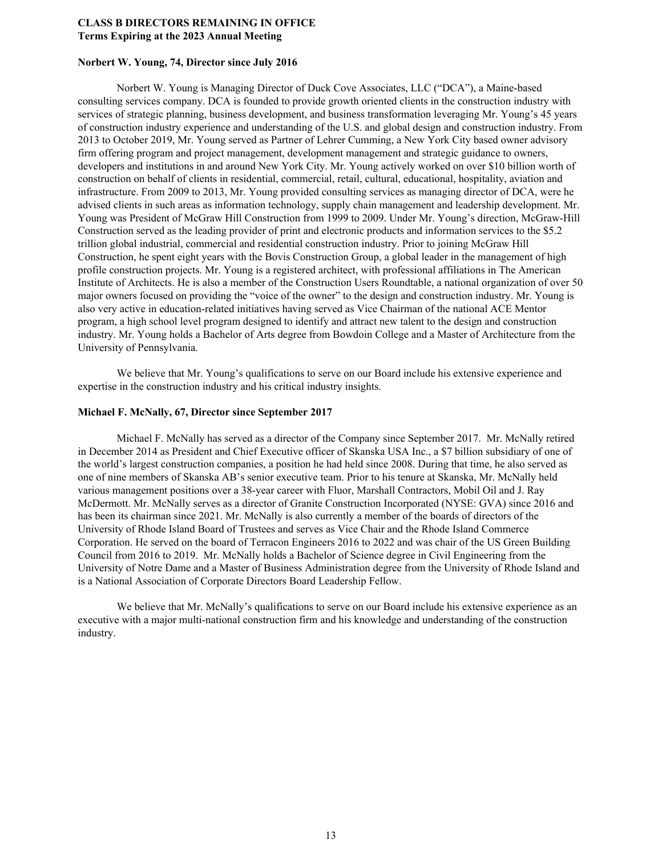### **CLASS B DIRECTORS REMAINING IN OFFICE Terms Expiring at the 2023 Annual Meeting**

### **Norbert W. Young, 74, Director since July 2016**

Norbert W. Young is Managing Director of Duck Cove Associates, LLC ("DCA"), a Maine-based consulting services company. DCA is founded to provide growth oriented clients in the construction industry with services of strategic planning, business development, and business transformation leveraging Mr. Young's 45 years of construction industry experience and understanding of the U.S. and global design and construction industry. From 2013 to October 2019, Mr. Young served as Partner of Lehrer Cumming, a New York City based owner advisory firm offering program and project management, development management and strategic guidance to owners, developers and institutions in and around New York City. Mr. Young actively worked on over \$10 billion worth of construction on behalf of clients in residential, commercial, retail, cultural, educational, hospitality, aviation and infrastructure. From 2009 to 2013, Mr. Young provided consulting services as managing director of DCA, were he advised clients in such areas as information technology, supply chain management and leadership development. Mr. Young was President of McGraw Hill Construction from 1999 to 2009. Under Mr. Young's direction, McGraw-Hill Construction served as the leading provider of print and electronic products and information services to the \$5.2 trillion global industrial, commercial and residential construction industry. Prior to joining McGraw Hill Construction, he spent eight years with the Bovis Construction Group, a global leader in the management of high profile construction projects. Mr. Young is a registered architect, with professional affiliations in The American Institute of Architects. He is also a member of the Construction Users Roundtable, a national organization of over 50 major owners focused on providing the "voice of the owner" to the design and construction industry. Mr. Young is also very active in education-related initiatives having served as Vice Chairman of the national ACE Mentor program, a high school level program designed to identify and attract new talent to the design and construction industry. Mr. Young holds a Bachelor of Arts degree from Bowdoin College and a Master of Architecture from the University of Pennsylvania.

We believe that Mr. Young's qualifications to serve on our Board include his extensive experience and expertise in the construction industry and his critical industry insights.

#### **Michael F. McNally, 67, Director since September 2017**

Michael F. McNally has served as a director of the Company since September 2017. Mr. McNally retired in December 2014 as President and Chief Executive officer of Skanska USA Inc., a \$7 billion subsidiary of one of the world's largest construction companies, a position he had held since 2008. During that time, he also served as one of nine members of Skanska AB's senior executive team. Prior to his tenure at Skanska, Mr. McNally held various management positions over a 38-year career with Fluor, Marshall Contractors, Mobil Oil and J. Ray McDermott. Mr. McNally serves as a director of Granite Construction Incorporated (NYSE: GVA) since 2016 and has been its chairman since 2021. Mr. McNally is also currently a member of the boards of directors of the University of Rhode Island Board of Trustees and serves as Vice Chair and the Rhode Island Commerce Corporation. He served on the board of Terracon Engineers 2016 to 2022 and was chair of the US Green Building Council from 2016 to 2019. Mr. McNally holds a Bachelor of Science degree in Civil Engineering from the University of Notre Dame and a Master of Business Administration degree from the University of Rhode Island and is a National Association of Corporate Directors Board Leadership Fellow.

We believe that Mr. McNally's qualifications to serve on our Board include his extensive experience as an executive with a major multi-national construction firm and his knowledge and understanding of the construction industry.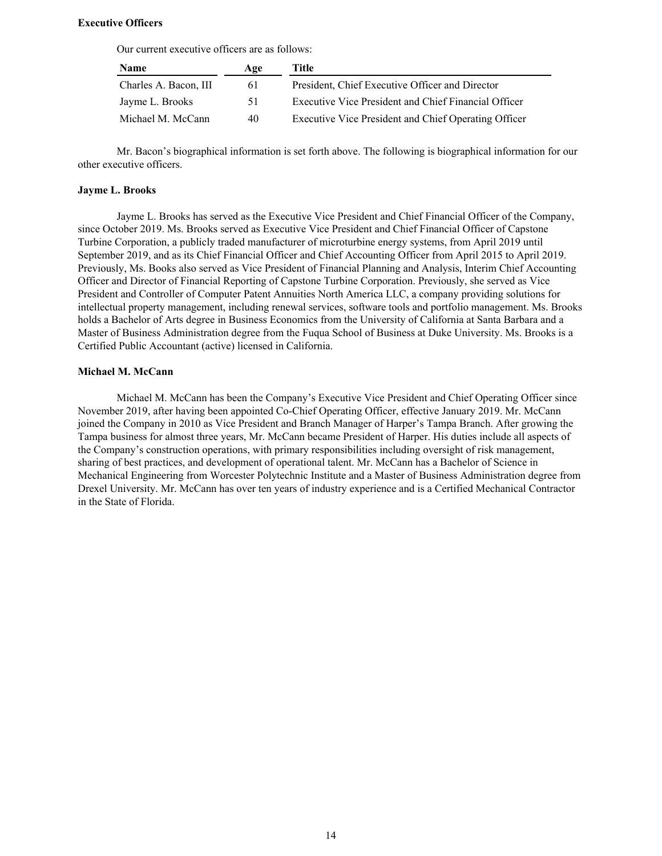#### **Executive Officers**

Our current executive officers are as follows:

| <b>Name</b>           | Age | Title                                                |
|-----------------------|-----|------------------------------------------------------|
| Charles A. Bacon, III | 61  | President, Chief Executive Officer and Director      |
| Jayme L. Brooks       | 51. | Executive Vice President and Chief Financial Officer |
| Michael M. McCann     | 40  | Executive Vice President and Chief Operating Officer |

Mr. Bacon's biographical information is set forth above. The following is biographical information for our other executive officers.

### **Jayme L. Brooks**

Jayme L. Brooks has served as the Executive Vice President and Chief Financial Officer of the Company, since October 2019. Ms. Brooks served as Executive Vice President and Chief Financial Officer of Capstone Turbine Corporation, a publicly traded manufacturer of microturbine energy systems, from April 2019 until September 2019, and as its Chief Financial Officer and Chief Accounting Officer from April 2015 to April 2019. Previously, Ms. Books also served as Vice President of Financial Planning and Analysis, Interim Chief Accounting Officer and Director of Financial Reporting of Capstone Turbine Corporation. Previously, she served as Vice President and Controller of Computer Patent Annuities North America LLC, a company providing solutions for intellectual property management, including renewal services, software tools and portfolio management. Ms. Brooks holds a Bachelor of Arts degree in Business Economics from the University of California at Santa Barbara and a Master of Business Administration degree from the Fuqua School of Business at Duke University. Ms. Brooks is a Certified Public Accountant (active) licensed in California.

#### **Michael M. McCann**

Michael M. McCann has been the Company's Executive Vice President and Chief Operating Officer since November 2019, after having been appointed Co-Chief Operating Officer, effective January 2019. Mr. McCann joined the Company in 2010 as Vice President and Branch Manager of Harper's Tampa Branch. After growing the Tampa business for almost three years, Mr. McCann became President of Harper. His duties include all aspects of the Company's construction operations, with primary responsibilities including oversight of risk management, sharing of best practices, and development of operational talent. Mr. McCann has a Bachelor of Science in Mechanical Engineering from Worcester Polytechnic Institute and a Master of Business Administration degree from Drexel University. Mr. McCann has over ten years of industry experience and is a Certified Mechanical Contractor in the State of Florida.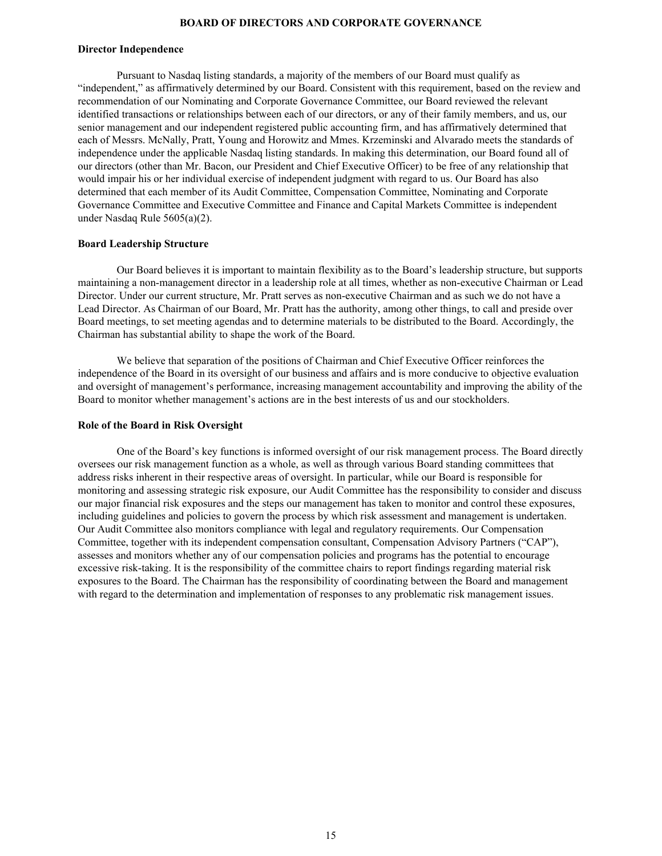### **BOARD OF DIRECTORS AND CORPORATE GOVERNANCE**

#### <span id="page-17-0"></span>**Director Independence**

Pursuant to Nasdaq listing standards, a majority of the members of our Board must qualify as "independent," as affirmatively determined by our Board. Consistent with this requirement, based on the review and recommendation of our Nominating and Corporate Governance Committee, our Board reviewed the relevant identified transactions or relationships between each of our directors, or any of their family members, and us, our senior management and our independent registered public accounting firm, and has affirmatively determined that each of Messrs. McNally, Pratt, Young and Horowitz and Mmes. Krzeminski and Alvarado meets the standards of independence under the applicable Nasdaq listing standards. In making this determination, our Board found all of our directors (other than Mr. Bacon, our President and Chief Executive Officer) to be free of any relationship that would impair his or her individual exercise of independent judgment with regard to us. Our Board has also determined that each member of its Audit Committee, Compensation Committee, Nominating and Corporate Governance Committee and Executive Committee and Finance and Capital Markets Committee is independent under Nasdaq Rule 5605(a)(2).

#### **Board Leadership Structure**

Our Board believes it is important to maintain flexibility as to the Board's leadership structure, but supports maintaining a non-management director in a leadership role at all times, whether as non-executive Chairman or Lead Director. Under our current structure, Mr. Pratt serves as non-executive Chairman and as such we do not have a Lead Director. As Chairman of our Board, Mr. Pratt has the authority, among other things, to call and preside over Board meetings, to set meeting agendas and to determine materials to be distributed to the Board. Accordingly, the Chairman has substantial ability to shape the work of the Board.

We believe that separation of the positions of Chairman and Chief Executive Officer reinforces the independence of the Board in its oversight of our business and affairs and is more conducive to objective evaluation and oversight of management's performance, increasing management accountability and improving the ability of the Board to monitor whether management's actions are in the best interests of us and our stockholders.

#### **Role of the Board in Risk Oversight**

One of the Board's key functions is informed oversight of our risk management process. The Board directly oversees our risk management function as a whole, as well as through various Board standing committees that address risks inherent in their respective areas of oversight. In particular, while our Board is responsible for monitoring and assessing strategic risk exposure, our Audit Committee has the responsibility to consider and discuss our major financial risk exposures and the steps our management has taken to monitor and control these exposures, including guidelines and policies to govern the process by which risk assessment and management is undertaken. Our Audit Committee also monitors compliance with legal and regulatory requirements. Our Compensation Committee, together with its independent compensation consultant, Compensation Advisory Partners ("CAP"), assesses and monitors whether any of our compensation policies and programs has the potential to encourage excessive risk-taking. It is the responsibility of the committee chairs to report findings regarding material risk exposures to the Board. The Chairman has the responsibility of coordinating between the Board and management with regard to the determination and implementation of responses to any problematic risk management issues.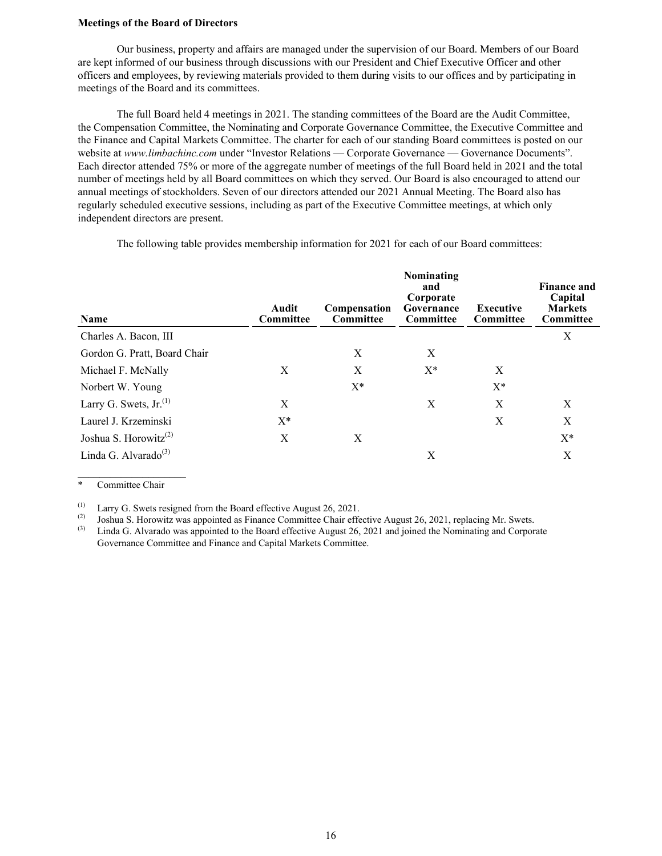#### <span id="page-18-0"></span>**Meetings of the Board of Directors**

Our business, property and affairs are managed under the supervision of our Board. Members of our Board are kept informed of our business through discussions with our President and Chief Executive Officer and other officers and employees, by reviewing materials provided to them during visits to our offices and by participating in meetings of the Board and its committees.

The full Board held 4 meetings in 2021. The standing committees of the Board are the Audit Committee, the Compensation Committee, the Nominating and Corporate Governance Committee, the Executive Committee and the Finance and Capital Markets Committee. The charter for each of our standing Board committees is posted on our website at *www.limbachinc.com* under "Investor Relations — Corporate Governance — Governance Documents". Each director attended 75% or more of the aggregate number of meetings of the full Board held in 2021 and the total number of meetings held by all Board committees on which they served. Our Board is also encouraged to attend our annual meetings of stockholders. Seven of our directors attended our 2021 Annual Meeting. The Board also has regularly scheduled executive sessions, including as part of the Executive Committee meetings, at which only independent directors are present.

| <b>Name</b>                                    | Audit<br><b>Committee</b> | Compensation<br><b>Committee</b> | Nominating<br>and<br>Corporate<br>Governance<br><b>Committee</b> | <b>Executive</b><br><b>Committee</b> | <b>Finance and</b><br>Capital<br><b>Markets</b><br><b>Committee</b> |
|------------------------------------------------|---------------------------|----------------------------------|------------------------------------------------------------------|--------------------------------------|---------------------------------------------------------------------|
| Charles A. Bacon, III                          |                           |                                  |                                                                  |                                      | X                                                                   |
| Gordon G. Pratt, Board Chair                   |                           | X                                | X                                                                |                                      |                                                                     |
| Michael F. McNally                             | X                         | X                                | $X^*$                                                            | X                                    |                                                                     |
| Norbert W. Young                               |                           | $X^*$                            |                                                                  | $X^*$                                |                                                                     |
| Larry G. Swets, $Jr^{(1)}$                     | X                         |                                  | X                                                                | X                                    | X                                                                   |
| Laurel J. Krzeminski                           | $X^*$                     |                                  |                                                                  | X                                    | X                                                                   |
| Joshua S. Horowitz <sup><math>(2)</math></sup> | X                         | X                                |                                                                  |                                      | X*                                                                  |
| Linda G. Alvarado $^{(3)}$                     |                           |                                  | X                                                                |                                      | X                                                                   |

The following table provides membership information for 2021 for each of our Board committees:

\* Committee Chair

 $\mathcal{L}_\text{max}$  , where  $\mathcal{L}_\text{max}$  , we have the set of  $\mathcal{L}_\text{max}$ 

(1) Larry G. Swets resigned from the Board effective August 26, 2021.

(2) Joshua S. Horowitz was appointed as Finance Committee Chair effective August 26, 2021, replacing Mr. Swets.

Linda G. Alvarado was appointed to the Board effective August 26, 2021 and joined the Nominating and Corporate Governance Committee and Finance and Capital Markets Committee.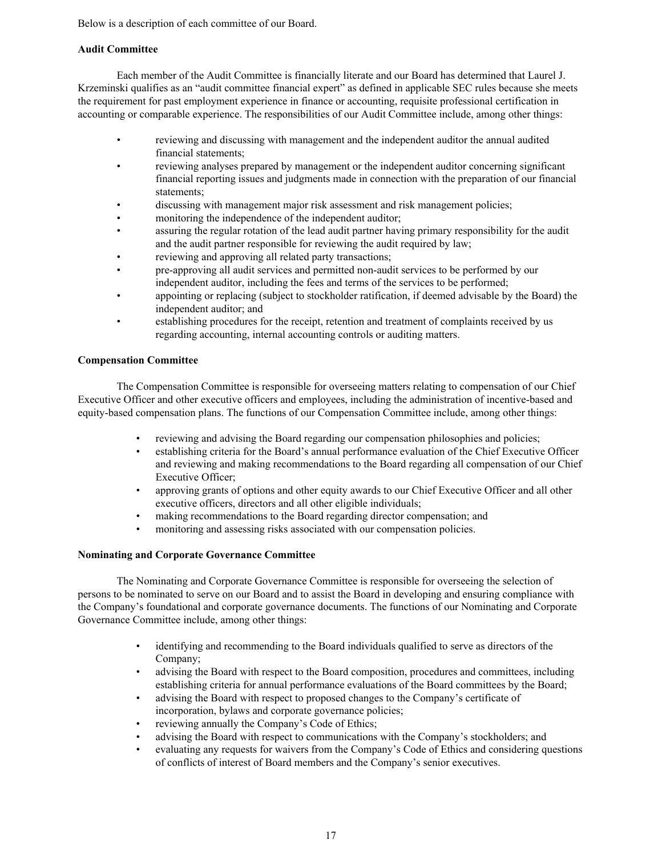<span id="page-19-0"></span>Below is a description of each committee of our Board.

### **Audit Committee**

Each member of the Audit Committee is financially literate and our Board has determined that Laurel J. Krzeminski qualifies as an "audit committee financial expert" as defined in applicable SEC rules because she meets the requirement for past employment experience in finance or accounting, requisite professional certification in accounting or comparable experience. The responsibilities of our Audit Committee include, among other things:

- reviewing and discussing with management and the independent auditor the annual audited financial statements;
- reviewing analyses prepared by management or the independent auditor concerning significant financial reporting issues and judgments made in connection with the preparation of our financial statements;
- discussing with management major risk assessment and risk management policies;
- monitoring the independence of the independent auditor;
- assuring the regular rotation of the lead audit partner having primary responsibility for the audit and the audit partner responsible for reviewing the audit required by law;
- reviewing and approving all related party transactions;
- pre-approving all audit services and permitted non-audit services to be performed by our independent auditor, including the fees and terms of the services to be performed;
- appointing or replacing (subject to stockholder ratification, if deemed advisable by the Board) the independent auditor; and
- establishing procedures for the receipt, retention and treatment of complaints received by us regarding accounting, internal accounting controls or auditing matters.

### **Compensation Committee**

The Compensation Committee is responsible for overseeing matters relating to compensation of our Chief Executive Officer and other executive officers and employees, including the administration of incentive-based and equity-based compensation plans. The functions of our Compensation Committee include, among other things:

- reviewing and advising the Board regarding our compensation philosophies and policies;
- establishing criteria for the Board's annual performance evaluation of the Chief Executive Officer and reviewing and making recommendations to the Board regarding all compensation of our Chief Executive Officer;
- approving grants of options and other equity awards to our Chief Executive Officer and all other executive officers, directors and all other eligible individuals;
- making recommendations to the Board regarding director compensation; and
- monitoring and assessing risks associated with our compensation policies.

### **Nominating and Corporate Governance Committee**

The Nominating and Corporate Governance Committee is responsible for overseeing the selection of persons to be nominated to serve on our Board and to assist the Board in developing and ensuring compliance with the Company's foundational and corporate governance documents. The functions of our Nominating and Corporate Governance Committee include, among other things:

- identifying and recommending to the Board individuals qualified to serve as directors of the Company;
- advising the Board with respect to the Board composition, procedures and committees, including establishing criteria for annual performance evaluations of the Board committees by the Board;
- advising the Board with respect to proposed changes to the Company's certificate of incorporation, bylaws and corporate governance policies;
- reviewing annually the Company's Code of Ethics;
- advising the Board with respect to communications with the Company's stockholders; and
- evaluating any requests for waivers from the Company's Code of Ethics and considering questions of conflicts of interest of Board members and the Company's senior executives.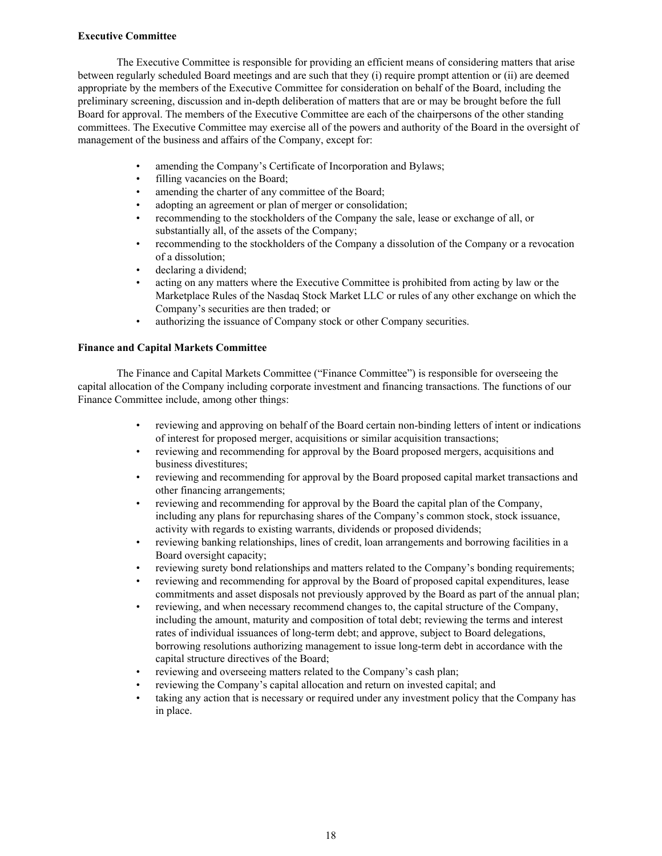### <span id="page-20-0"></span>**Executive Committee**

The Executive Committee is responsible for providing an efficient means of considering matters that arise between regularly scheduled Board meetings and are such that they (i) require prompt attention or (ii) are deemed appropriate by the members of the Executive Committee for consideration on behalf of the Board, including the preliminary screening, discussion and in-depth deliberation of matters that are or may be brought before the full Board for approval. The members of the Executive Committee are each of the chairpersons of the other standing committees. The Executive Committee may exercise all of the powers and authority of the Board in the oversight of management of the business and affairs of the Company, except for:

- amending the Company's Certificate of Incorporation and Bylaws;
- filling vacancies on the Board;
- amending the charter of any committee of the Board:
- adopting an agreement or plan of merger or consolidation;
- recommending to the stockholders of the Company the sale, lease or exchange of all, or substantially all, of the assets of the Company;
- recommending to the stockholders of the Company a dissolution of the Company or a revocation of a dissolution;
- declaring a dividend:
- acting on any matters where the Executive Committee is prohibited from acting by law or the Marketplace Rules of the Nasdaq Stock Market LLC or rules of any other exchange on which the Company's securities are then traded; or
- authorizing the issuance of Company stock or other Company securities.

### **Finance and Capital Markets Committee**

The Finance and Capital Markets Committee ("Finance Committee") is responsible for overseeing the capital allocation of the Company including corporate investment and financing transactions. The functions of our Finance Committee include, among other things:

- reviewing and approving on behalf of the Board certain non-binding letters of intent or indications of interest for proposed merger, acquisitions or similar acquisition transactions;
- reviewing and recommending for approval by the Board proposed mergers, acquisitions and business divestitures;
- reviewing and recommending for approval by the Board proposed capital market transactions and other financing arrangements;
- reviewing and recommending for approval by the Board the capital plan of the Company, including any plans for repurchasing shares of the Company's common stock, stock issuance, activity with regards to existing warrants, dividends or proposed dividends;
- reviewing banking relationships, lines of credit, loan arrangements and borrowing facilities in a Board oversight capacity;
- reviewing surety bond relationships and matters related to the Company's bonding requirements;
- reviewing and recommending for approval by the Board of proposed capital expenditures, lease commitments and asset disposals not previously approved by the Board as part of the annual plan;
- reviewing, and when necessary recommend changes to, the capital structure of the Company, including the amount, maturity and composition of total debt; reviewing the terms and interest rates of individual issuances of long-term debt; and approve, subject to Board delegations, borrowing resolutions authorizing management to issue long-term debt in accordance with the capital structure directives of the Board;
- reviewing and overseeing matters related to the Company's cash plan;
- reviewing the Company's capital allocation and return on invested capital; and
- taking any action that is necessary or required under any investment policy that the Company has in place.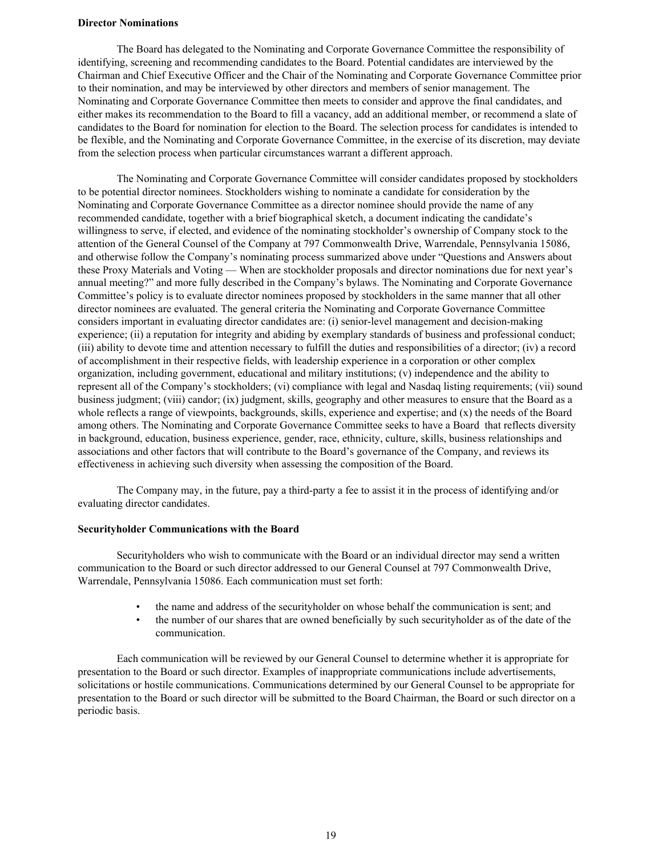### <span id="page-21-0"></span>**Director Nominations**

The Board has delegated to the Nominating and Corporate Governance Committee the responsibility of identifying, screening and recommending candidates to the Board. Potential candidates are interviewed by the Chairman and Chief Executive Officer and the Chair of the Nominating and Corporate Governance Committee prior to their nomination, and may be interviewed by other directors and members of senior management. The Nominating and Corporate Governance Committee then meets to consider and approve the final candidates, and either makes its recommendation to the Board to fill a vacancy, add an additional member, or recommend a slate of candidates to the Board for nomination for election to the Board. The selection process for candidates is intended to be flexible, and the Nominating and Corporate Governance Committee, in the exercise of its discretion, may deviate from the selection process when particular circumstances warrant a different approach.

The Nominating and Corporate Governance Committee will consider candidates proposed by stockholders to be potential director nominees. Stockholders wishing to nominate a candidate for consideration by the Nominating and Corporate Governance Committee as a director nominee should provide the name of any recommended candidate, together with a brief biographical sketch, a document indicating the candidate's willingness to serve, if elected, and evidence of the nominating stockholder's ownership of Company stock to the attention of the General Counsel of the Company at 797 Commonwealth Drive, Warrendale, Pennsylvania 15086, and otherwise follow the Company's nominating process summarized above under "Questions and Answers about these Proxy Materials and Voting — When are stockholder proposals and director nominations due for next year's annual meeting?" and more fully described in the Company's bylaws. The Nominating and Corporate Governance Committee's policy is to evaluate director nominees proposed by stockholders in the same manner that all other director nominees are evaluated. The general criteria the Nominating and Corporate Governance Committee considers important in evaluating director candidates are: (i) senior-level management and decision-making experience; (ii) a reputation for integrity and abiding by exemplary standards of business and professional conduct; (iii) ability to devote time and attention necessary to fulfill the duties and responsibilities of a director; (iv) a record of accomplishment in their respective fields, with leadership experience in a corporation or other complex organization, including government, educational and military institutions; (v) independence and the ability to represent all of the Company's stockholders; (vi) compliance with legal and Nasdaq listing requirements; (vii) sound business judgment; (viii) candor; (ix) judgment, skills, geography and other measures to ensure that the Board as a whole reflects a range of viewpoints, backgrounds, skills, experience and expertise; and (x) the needs of the Board among others. The Nominating and Corporate Governance Committee seeks to have a Board that reflects diversity in background, education, business experience, gender, race, ethnicity, culture, skills, business relationships and associations and other factors that will contribute to the Board's governance of the Company, and reviews its effectiveness in achieving such diversity when assessing the composition of the Board.

The Company may, in the future, pay a third-party a fee to assist it in the process of identifying and/or evaluating director candidates.

#### **Securityholder Communications with the Board**

Securityholders who wish to communicate with the Board or an individual director may send a written communication to the Board or such director addressed to our General Counsel at 797 Commonwealth Drive, Warrendale, Pennsylvania 15086. Each communication must set forth:

- the name and address of the securityholder on whose behalf the communication is sent; and
- the number of our shares that are owned beneficially by such securityholder as of the date of the communication.

Each communication will be reviewed by our General Counsel to determine whether it is appropriate for presentation to the Board or such director. Examples of inappropriate communications include advertisements, solicitations or hostile communications. Communications determined by our General Counsel to be appropriate for presentation to the Board or such director will be submitted to the Board Chairman, the Board or such director on a periodic basis.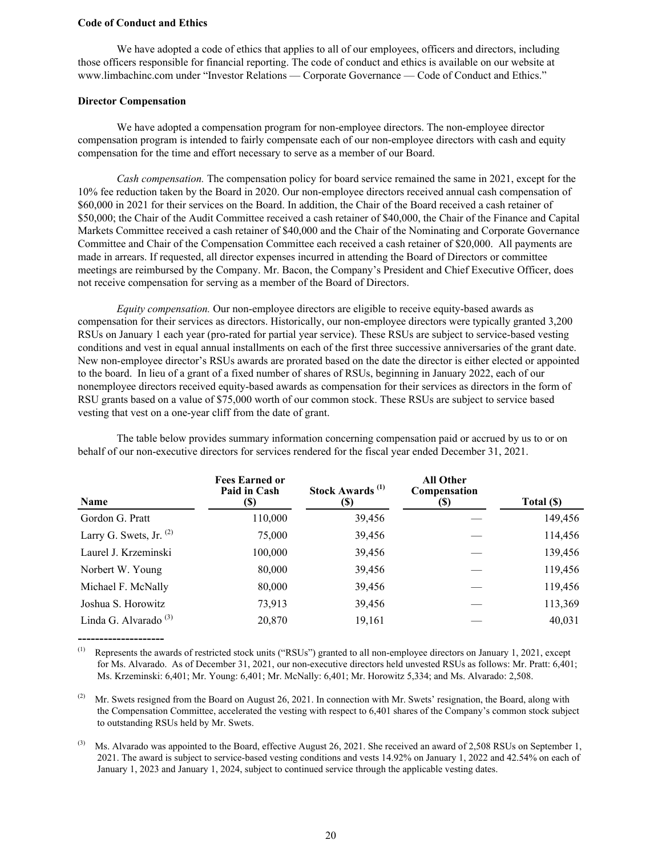### <span id="page-22-0"></span>**Code of Conduct and Ethics**

We have adopted a code of ethics that applies to all of our employees, officers and directors, including those officers responsible for financial reporting. The code of conduct and ethics is available on our website at www.limbachinc.com under "Investor Relations — Corporate Governance — Code of Conduct and Ethics."

### **Director Compensation**

--------------------

We have adopted a compensation program for non-employee directors. The non-employee director compensation program is intended to fairly compensate each of our non-employee directors with cash and equity compensation for the time and effort necessary to serve as a member of our Board.

*Cash compensation.* The compensation policy for board service remained the same in 2021, except for the 10% fee reduction taken by the Board in 2020. Our non-employee directors received annual cash compensation of \$60,000 in 2021 for their services on the Board. In addition, the Chair of the Board received a cash retainer of \$50,000; the Chair of the Audit Committee received a cash retainer of \$40,000, the Chair of the Finance and Capital Markets Committee received a cash retainer of \$40,000 and the Chair of the Nominating and Corporate Governance Committee and Chair of the Compensation Committee each received a cash retainer of \$20,000. All payments are made in arrears. If requested, all director expenses incurred in attending the Board of Directors or committee meetings are reimbursed by the Company. Mr. Bacon, the Company's President and Chief Executive Officer, does not receive compensation for serving as a member of the Board of Directors.

*Equity compensation.* Our non-employee directors are eligible to receive equity-based awards as compensation for their services as directors. Historically, our non-employee directors were typically granted 3,200 RSUs on January 1 each year (pro-rated for partial year service). These RSUs are subject to service-based vesting conditions and vest in equal annual installments on each of the first three successive anniversaries of the grant date. New non-employee director's RSUs awards are prorated based on the date the director is either elected or appointed to the board. In lieu of a grant of a fixed number of shares of RSUs, beginning in January 2022, each of our nonemployee directors received equity-based awards as compensation for their services as directors in the form of RSU grants based on a value of \$75,000 worth of our common stock. These RSUs are subject to service based vesting that vest on a one-year cliff from the date of grant.

| Name                             | <b>Fees Earned or</b><br>Paid in Cash<br>(S) | Stock Awards <sup>(1)</sup><br>(S) | <b>All Other</b><br>Compensation<br>(\$) | Total (\$) |
|----------------------------------|----------------------------------------------|------------------------------------|------------------------------------------|------------|
| Gordon G. Pratt                  | 110,000                                      | 39,456                             |                                          | 149,456    |
| Larry G. Swets, Jr. $^{(2)}$     | 75,000                                       | 39,456                             |                                          | 114,456    |
| Laurel J. Krzeminski             | 100,000                                      | 39,456                             |                                          | 139,456    |
| Norbert W. Young                 | 80,000                                       | 39,456                             |                                          | 119,456    |
| Michael F. McNally               | 80,000                                       | 39,456                             |                                          | 119,456    |
| Joshua S. Horowitz               | 73,913                                       | 39,456                             |                                          | 113,369    |
| Linda G. Alvarado <sup>(3)</sup> | 20,870                                       | 19,161                             |                                          | 40,031     |

The table below provides summary information concerning compensation paid or accrued by us to or on behalf of our non-executive directors for services rendered for the fiscal year ended December 31, 2021.

(1) Represents the awards of restricted stock units ("RSUs") granted to all non-employee directors on January 1, 2021, except for Ms. Alvarado. As of December 31, 2021, our non-executive directors held unvested RSUs as follows: Mr. Pratt: 6,401; Ms. Krzeminski: 6,401; Mr. Young: 6,401; Mr. McNally: 6,401; Mr. Horowitz 5,334; and Ms. Alvarado: 2,508.

(2) Mr. Swets resigned from the Board on August 26, 2021. In connection with Mr. Swets' resignation, the Board, along with the Compensation Committee, accelerated the vesting with respect to 6,401 shares of the Company's common stock subject to outstanding RSUs held by Mr. Swets.

 $^{(3)}$  Ms. Alvarado was appointed to the Board, effective August 26, 2021. She received an award of 2,508 RSUs on September 1, 2021. The award is subject to service-based vesting conditions and vests 14.92% on January 1, 2022 and 42.54% on each of January 1, 2023 and January 1, 2024, subject to continued service through the applicable vesting dates.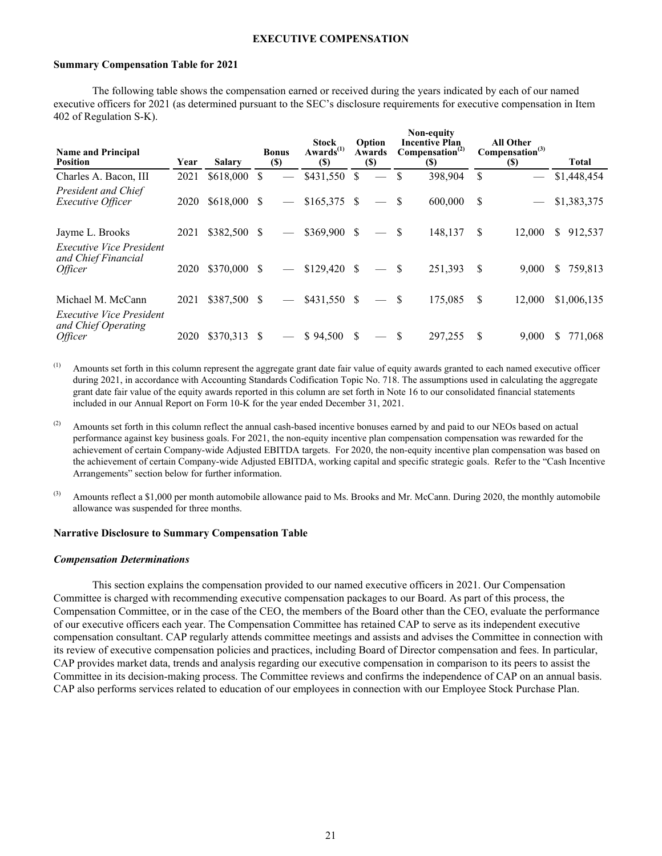### **EXECUTIVE COMPENSATION**

#### <span id="page-23-0"></span>**Summary Compensation Table for 2021**

The following table shows the compensation earned or received during the years indicated by each of our named executive officers for 2021 (as determined pursuant to the SEC's disclosure requirements for executive compensation in Item 402 of Regulation S-K).

| <b>Name and Principal</b><br><b>Position</b>           | Year | <b>Salary</b> |              | <b>Bonus</b><br>$($)$    | <b>Stock</b><br>Awards <sup>(1)</sup><br><b>(\$)</b> |    | Option<br>Awards<br>$\left( \mathbb{S}\right)$ |          | Non-equity<br><b>Incentive Plan</b><br>Compensation <sup>(2)</sup><br><b>(\$)</b> |    | <b>All Other</b><br>Compensation <sup>(3)</sup><br>$(\$)$ |    | <b>Total</b> |
|--------------------------------------------------------|------|---------------|--------------|--------------------------|------------------------------------------------------|----|------------------------------------------------|----------|-----------------------------------------------------------------------------------|----|-----------------------------------------------------------|----|--------------|
| Charles A. Bacon, III                                  | 2021 | \$618,000     | <sup>S</sup> |                          | $$431,550$ \$                                        |    |                                                |          | 398,904                                                                           | S  |                                                           |    | \$1,448,454  |
| <b>President and Chief</b><br><i>Executive Officer</i> | 2020 | $$618,000$ \$ |              | $\overline{\phantom{m}}$ | $$165,375$ \$                                        |    |                                                |          | 600,000                                                                           | S  |                                                           |    | \$1,383,375  |
| Jayme L. Brooks<br><b>Executive Vice President</b>     | 2021 | \$382,500 \$  |              |                          | $$369,900$ \$                                        |    |                                                | S        | 148,137                                                                           | \$ | 12,000                                                    | S. | 912,537      |
| and Chief Financial<br><i>Officer</i>                  | 2020 | \$370,000 \$  |              |                          | $$129,420$ \, \$                                     |    |                                                | <b>S</b> | 251,393                                                                           | S  | 9,000                                                     | \$ | 759,813      |
| Michael M. McCann<br><b>Executive Vice President</b>   | 2021 | \$387,500 \$  |              |                          | $$431,550$ \$                                        |    | $\frac{1}{2}$                                  | -S       | 175,085                                                                           | \$ | 12,000                                                    |    | \$1,006,135  |
| and Chief Operating<br><i><b>Officer</b></i>           | 2020 | \$370.313     | <b>S</b>     |                          | \$94.500                                             | S. |                                                |          | 297.255                                                                           | \$ | 9.000                                                     | S. | 771.068      |

- $^{(1)}$  Amounts set forth in this column represent the aggregate grant date fair value of equity awards granted to each named executive officer during 2021, in accordance with Accounting Standards Codification Topic No. 718. The assumptions used in calculating the aggregate grant date fair value of the equity awards reported in this column are set forth in Note 16 to our consolidated financial statements included in our Annual Report on Form 10-K for the year ended December 31, 2021.
- (2) Amounts set forth in this column reflect the annual cash-based incentive bonuses earned by and paid to our NEOs based on actual performance against key business goals. For 2021, the non-equity incentive plan compensation compensation was rewarded for the achievement of certain Company-wide Adjusted EBITDA targets. For 2020, the non-equity incentive plan compensation was based on the achievement of certain Company-wide Adjusted EBITDA, working capital and specific strategic goals. Refer to the "Cash Incentive Arrangements" section below for further information.
- $^{(3)}$  Amounts reflect a \$1,000 per month automobile allowance paid to Ms. Brooks and Mr. McCann. During 2020, the monthly automobile allowance was suspended for three months.

#### **Narrative Disclosure to Summary Compensation Table**

#### *Compensation Determinations*

This section explains the compensation provided to our named executive officers in 2021. Our Compensation Committee is charged with recommending executive compensation packages to our Board. As part of this process, the Compensation Committee, or in the case of the CEO, the members of the Board other than the CEO, evaluate the performance of our executive officers each year. The Compensation Committee has retained CAP to serve as its independent executive compensation consultant. CAP regularly attends committee meetings and assists and advises the Committee in connection with its review of executive compensation policies and practices, including Board of Director compensation and fees. In particular, CAP provides market data, trends and analysis regarding our executive compensation in comparison to its peers to assist the Committee in its decision-making process. The Committee reviews and confirms the independence of CAP on an annual basis. CAP also performs services related to education of our employees in connection with our Employee Stock Purchase Plan.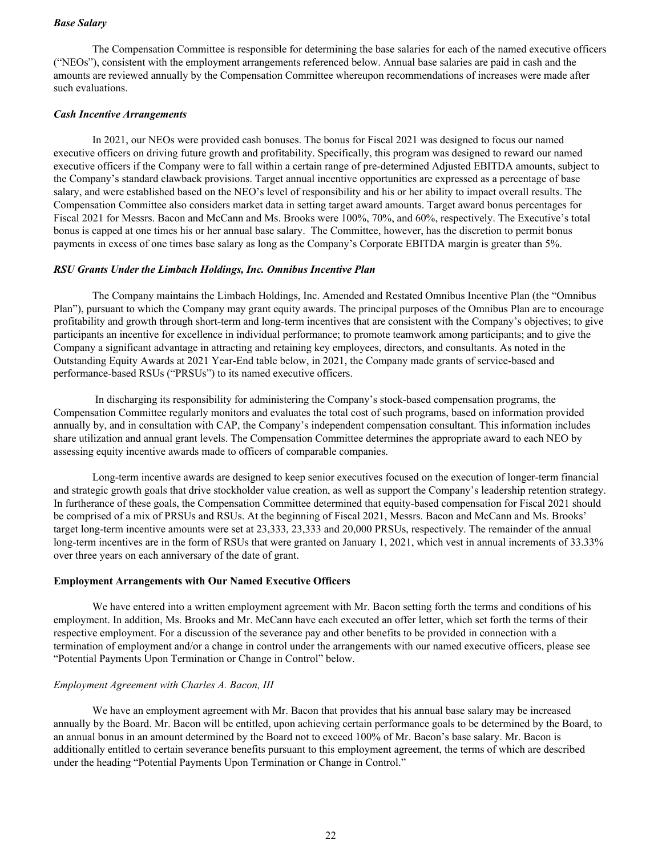### *Base Salary*

The Compensation Committee is responsible for determining the base salaries for each of the named executive officers ("NEOs"), consistent with the employment arrangements referenced below. Annual base salaries are paid in cash and the amounts are reviewed annually by the Compensation Committee whereupon recommendations of increases were made after such evaluations.

#### *Cash Incentive Arrangements*

In 2021, our NEOs were provided cash bonuses. The bonus for Fiscal 2021 was designed to focus our named executive officers on driving future growth and profitability. Specifically, this program was designed to reward our named executive officers if the Company were to fall within a certain range of pre-determined Adjusted EBITDA amounts, subject to the Company's standard clawback provisions. Target annual incentive opportunities are expressed as a percentage of base salary, and were established based on the NEO's level of responsibility and his or her ability to impact overall results. The Compensation Committee also considers market data in setting target award amounts. Target award bonus percentages for Fiscal 2021 for Messrs. Bacon and McCann and Ms. Brooks were 100%, 70%, and 60%, respectively. The Executive's total bonus is capped at one times his or her annual base salary. The Committee, however, has the discretion to permit bonus payments in excess of one times base salary as long as the Company's Corporate EBITDA margin is greater than 5%.

### *RSU Grants Under the Limbach Holdings, Inc. Omnibus Incentive Plan*

The Company maintains the Limbach Holdings, Inc. Amended and Restated Omnibus Incentive Plan (the "Omnibus Plan"), pursuant to which the Company may grant equity awards. The principal purposes of the Omnibus Plan are to encourage profitability and growth through short-term and long-term incentives that are consistent with the Company's objectives; to give participants an incentive for excellence in individual performance; to promote teamwork among participants; and to give the Company a significant advantage in attracting and retaining key employees, directors, and consultants. As noted in the Outstanding Equity Awards at 2021 Year-End table below, in 2021, the Company made grants of service-based and performance-based RSUs ("PRSUs") to its named executive officers.

 In discharging its responsibility for administering the Company's stock-based compensation programs, the Compensation Committee regularly monitors and evaluates the total cost of such programs, based on information provided annually by, and in consultation with CAP, the Company's independent compensation consultant. This information includes share utilization and annual grant levels. The Compensation Committee determines the appropriate award to each NEO by assessing equity incentive awards made to officers of comparable companies.

Long-term incentive awards are designed to keep senior executives focused on the execution of longer-term financial and strategic growth goals that drive stockholder value creation, as well as support the Company's leadership retention strategy. In furtherance of these goals, the Compensation Committee determined that equity-based compensation for Fiscal 2021 should be comprised of a mix of PRSUs and RSUs. At the beginning of Fiscal 2021, Messrs. Bacon and McCann and Ms. Brooks' target long-term incentive amounts were set at 23,333, 23,333 and 20,000 PRSUs, respectively. The remainder of the annual long-term incentives are in the form of RSUs that were granted on January 1, 2021, which vest in annual increments of 33.33% over three years on each anniversary of the date of grant.

#### **Employment Arrangements with Our Named Executive Officers**

We have entered into a written employment agreement with Mr. Bacon setting forth the terms and conditions of his employment. In addition, Ms. Brooks and Mr. McCann have each executed an offer letter, which set forth the terms of their respective employment. For a discussion of the severance pay and other benefits to be provided in connection with a termination of employment and/or a change in control under the arrangements with our named executive officers, please see "Potential Payments Upon Termination or Change in Control" below.

#### *Employment Agreement with Charles A. Bacon, III*

We have an employment agreement with Mr. Bacon that provides that his annual base salary may be increased annually by the Board. Mr. Bacon will be entitled, upon achieving certain performance goals to be determined by the Board, to an annual bonus in an amount determined by the Board not to exceed 100% of Mr. Bacon's base salary. Mr. Bacon is additionally entitled to certain severance benefits pursuant to this employment agreement, the terms of which are described under the heading "Potential Payments Upon Termination or Change in Control."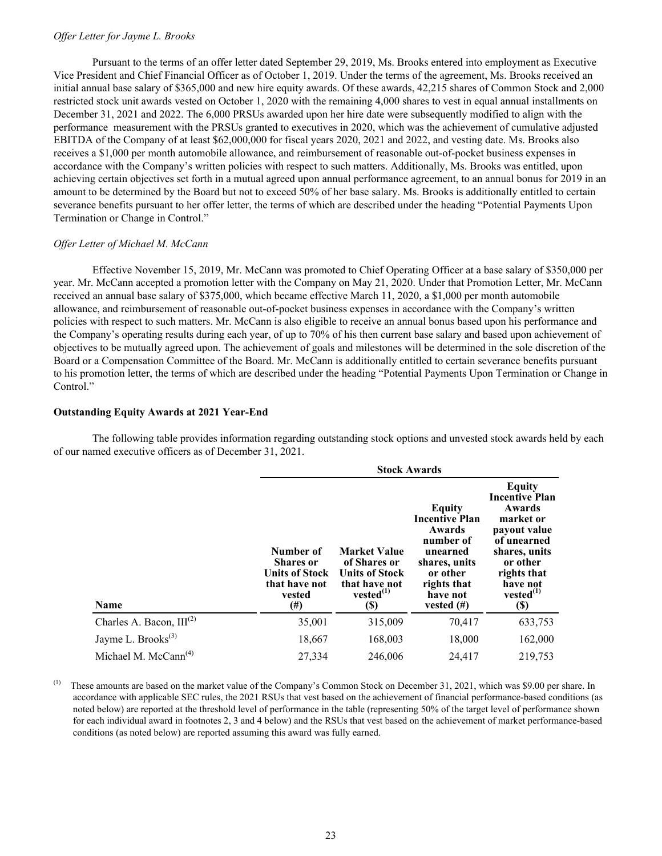### *Offer Letter for Jayme L. Brooks*

Pursuant to the terms of an offer letter dated September 29, 2019, Ms. Brooks entered into employment as Executive Vice President and Chief Financial Officer as of October 1, 2019. Under the terms of the agreement, Ms. Brooks received an initial annual base salary of \$365,000 and new hire equity awards. Of these awards, 42,215 shares of Common Stock and 2,000 restricted stock unit awards vested on October 1, 2020 with the remaining 4,000 shares to vest in equal annual installments on December 31, 2021 and 2022. The 6,000 PRSUs awarded upon her hire date were subsequently modified to align with the performance measurement with the PRSUs granted to executives in 2020, which was the achievement of cumulative adjusted EBITDA of the Company of at least \$62,000,000 for fiscal years 2020, 2021 and 2022, and vesting date. Ms. Brooks also receives a \$1,000 per month automobile allowance, and reimbursement of reasonable out-of-pocket business expenses in accordance with the Company's written policies with respect to such matters. Additionally, Ms. Brooks was entitled, upon achieving certain objectives set forth in a mutual agreed upon annual performance agreement, to an annual bonus for 2019 in an amount to be determined by the Board but not to exceed 50% of her base salary. Ms. Brooks is additionally entitled to certain severance benefits pursuant to her offer letter, the terms of which are described under the heading "Potential Payments Upon Termination or Change in Control."

### *Offer Letter of Michael M. McCann*

Effective November 15, 2019, Mr. McCann was promoted to Chief Operating Officer at a base salary of \$350,000 per year. Mr. McCann accepted a promotion letter with the Company on May 21, 2020. Under that Promotion Letter, Mr. McCann received an annual base salary of \$375,000, which became effective March 11, 2020, a \$1,000 per month automobile allowance, and reimbursement of reasonable out-of-pocket business expenses in accordance with the Company's written policies with respect to such matters. Mr. McCann is also eligible to receive an annual bonus based upon his performance and the Company's operating results during each year, of up to 70% of his then current base salary and based upon achievement of objectives to be mutually agreed upon. The achievement of goals and milestones will be determined in the sole discretion of the Board or a Compensation Committee of the Board. Mr. McCann is additionally entitled to certain severance benefits pursuant to his promotion letter, the terms of which are described under the heading "Potential Payments Upon Termination or Change in Control."

### **Outstanding Equity Awards at 2021 Year-End**

The following table provides information regarding outstanding stock options and unvested stock awards held by each of our named executive officers as of December 31, 2021.

|                                  | <b>Stock Awards</b>                                                                      |                                                                                                         |                                                                                                                                             |                                                                                                                                                                                       |  |  |  |  |  |  |  |
|----------------------------------|------------------------------------------------------------------------------------------|---------------------------------------------------------------------------------------------------------|---------------------------------------------------------------------------------------------------------------------------------------------|---------------------------------------------------------------------------------------------------------------------------------------------------------------------------------------|--|--|--|--|--|--|--|
| <b>Name</b>                      | Number of<br><b>Shares or</b><br><b>Units of Stock</b><br>that have not<br>vested<br>(#) | <b>Market Value</b><br>of Shares or<br><b>Units of Stock</b><br>that have not<br>$vested^{(1)}$<br>(\$) | Equity<br><b>Incentive Plan</b><br>Awards<br>number of<br>unearned<br>shares, units<br>or other<br>rights that<br>have not<br>vested $(\#)$ | <b>Equity</b><br><b>Incentive Plan</b><br>Awards<br>market or<br>payout value<br>of unearned<br>shares, units<br>or other<br>rights that<br>have not<br>$vested^{(1)}$<br><b>(\$)</b> |  |  |  |  |  |  |  |
| Charles A. Bacon, $III^{(2)}$    | 35,001                                                                                   | 315,009                                                                                                 | 70,417                                                                                                                                      | 633,753                                                                                                                                                                               |  |  |  |  |  |  |  |
| Jayme L. Brooks <sup>(3)</sup>   | 18,667                                                                                   | 168,003                                                                                                 | 18,000                                                                                                                                      | 162,000                                                                                                                                                                               |  |  |  |  |  |  |  |
| Michael M. McCann <sup>(4)</sup> | 27,334                                                                                   | 246,006                                                                                                 | 24,417                                                                                                                                      | 219,753                                                                                                                                                                               |  |  |  |  |  |  |  |

<sup>(1)</sup> These amounts are based on the market value of the Company's Common Stock on December 31, 2021, which was \$9.00 per share. In accordance with applicable SEC rules, the 2021 RSUs that vest based on the achievement of financial performance-based conditions (as noted below) are reported at the threshold level of performance in the table (representing 50% of the target level of performance shown for each individual award in footnotes 2, 3 and 4 below) and the RSUs that vest based on the achievement of market performance-based conditions (as noted below) are reported assuming this award was fully earned.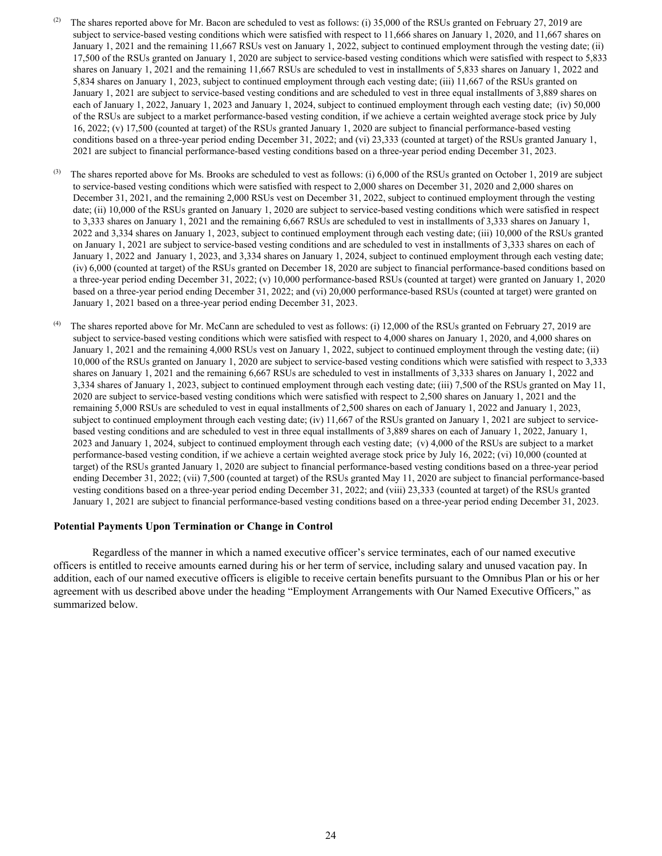- (2) The shares reported above for Mr. Bacon are scheduled to vest as follows: (i) 35,000 of the RSUs granted on February 27, 2019 are subject to service-based vesting conditions which were satisfied with respect to 11,666 shares on January 1, 2020, and 11,667 shares on January 1, 2021 and the remaining 11,667 RSUs vest on January 1, 2022, subject to continued employment through the vesting date; (ii) 17,500 of the RSUs granted on January 1, 2020 are subject to service-based vesting conditions which were satisfied with respect to 5,833 shares on January 1, 2021 and the remaining 11,667 RSUs are scheduled to vest in installments of 5,833 shares on January 1, 2022 and 5,834 shares on January 1, 2023, subject to continued employment through each vesting date; (iii) 11,667 of the RSUs granted on January 1, 2021 are subject to service-based vesting conditions and are scheduled to vest in three equal installments of 3,889 shares on each of January 1, 2022, January 1, 2023 and January 1, 2024, subject to continued employment through each vesting date; (iv) 50,000 of the RSUs are subject to a market performance-based vesting condition, if we achieve a certain weighted average stock price by July 16, 2022; (v) 17,500 (counted at target) of the RSUs granted January 1, 2020 are subject to financial performance-based vesting conditions based on a three-year period ending December 31, 2022; and (vi) 23,333 (counted at target) of the RSUs granted January 1, 2021 are subject to financial performance-based vesting conditions based on a three-year period ending December 31, 2023.
- (3) The shares reported above for Ms. Brooks are scheduled to vest as follows: (i) 6,000 of the RSUs granted on October 1, 2019 are subject to service-based vesting conditions which were satisfied with respect to 2,000 shares on December 31, 2020 and 2,000 shares on December 31, 2021, and the remaining 2,000 RSUs vest on December 31, 2022, subject to continued employment through the vesting date; (ii) 10,000 of the RSUs granted on January 1, 2020 are subject to service-based vesting conditions which were satisfied in respect to 3,333 shares on January 1, 2021 and the remaining 6,667 RSUs are scheduled to vest in installments of 3,333 shares on January 1, 2022 and 3,334 shares on January 1, 2023, subject to continued employment through each vesting date; (iii) 10,000 of the RSUs granted on January 1, 2021 are subject to service-based vesting conditions and are scheduled to vest in installments of 3,333 shares on each of January 1, 2022 and January 1, 2023, and 3,334 shares on January 1, 2024, subject to continued employment through each vesting date; (iv) 6,000 (counted at target) of the RSUs granted on December 18, 2020 are subject to financial performance-based conditions based on a three-year period ending December 31, 2022; (v) 10,000 performance-based RSUs (counted at target) were granted on January 1, 2020 based on a three-year period ending December 31, 2022; and (vi) 20,000 performance-based RSUs (counted at target) were granted on January 1, 2021 based on a three-year period ending December 31, 2023.
- (4) The shares reported above for Mr. McCann are scheduled to vest as follows: (i) 12,000 of the RSUs granted on February 27, 2019 are subject to service-based vesting conditions which were satisfied with respect to 4,000 shares on January 1, 2020, and 4,000 shares on January 1, 2021 and the remaining 4,000 RSUs vest on January 1, 2022, subject to continued employment through the vesting date; (ii) 10,000 of the RSUs granted on January 1, 2020 are subject to service-based vesting conditions which were satisfied with respect to 3,333 shares on January 1, 2021 and the remaining 6,667 RSUs are scheduled to vest in installments of 3,333 shares on January 1, 2022 and 3,334 shares of January 1, 2023, subject to continued employment through each vesting date; (iii) 7,500 of the RSUs granted on May 11, 2020 are subject to service-based vesting conditions which were satisfied with respect to 2,500 shares on January 1, 2021 and the remaining 5,000 RSUs are scheduled to vest in equal installments of 2,500 shares on each of January 1, 2022 and January 1, 2023, subject to continued employment through each vesting date; (iv) 11,667 of the RSUs granted on January 1, 2021 are subject to servicebased vesting conditions and are scheduled to vest in three equal installments of 3,889 shares on each of January 1, 2022, January 1, 2023 and January 1, 2024, subject to continued employment through each vesting date; (v) 4,000 of the RSUs are subject to a market performance-based vesting condition, if we achieve a certain weighted average stock price by July 16, 2022; (vi) 10,000 (counted at target) of the RSUs granted January 1, 2020 are subject to financial performance-based vesting conditions based on a three-year period ending December 31, 2022; (vii) 7,500 (counted at target) of the RSUs granted May 11, 2020 are subject to financial performance-based vesting conditions based on a three-year period ending December 31, 2022; and (viii) 23,333 (counted at target) of the RSUs granted January 1, 2021 are subject to financial performance-based vesting conditions based on a three-year period ending December 31, 2023.

#### **Potential Payments Upon Termination or Change in Control**

Regardless of the manner in which a named executive officer's service terminates, each of our named executive officers is entitled to receive amounts earned during his or her term of service, including salary and unused vacation pay. In addition, each of our named executive officers is eligible to receive certain benefits pursuant to the Omnibus Plan or his or her agreement with us described above under the heading "Employment Arrangements with Our Named Executive Officers," as summarized below.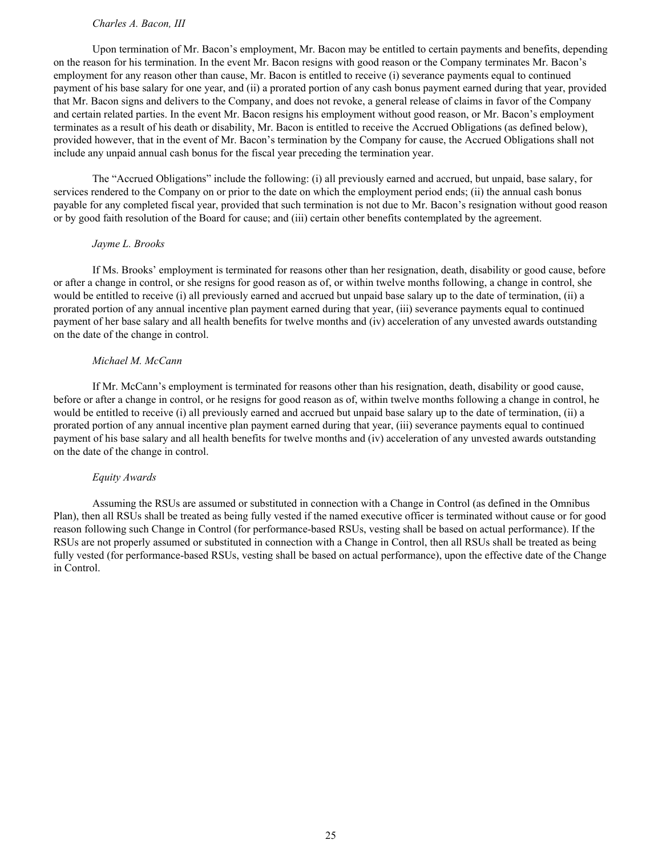### *Charles A. Bacon, III*

Upon termination of Mr. Bacon's employment, Mr. Bacon may be entitled to certain payments and benefits, depending on the reason for his termination. In the event Mr. Bacon resigns with good reason or the Company terminates Mr. Bacon's employment for any reason other than cause, Mr. Bacon is entitled to receive (i) severance payments equal to continued payment of his base salary for one year, and (ii) a prorated portion of any cash bonus payment earned during that year, provided that Mr. Bacon signs and delivers to the Company, and does not revoke, a general release of claims in favor of the Company and certain related parties. In the event Mr. Bacon resigns his employment without good reason, or Mr. Bacon's employment terminates as a result of his death or disability, Mr. Bacon is entitled to receive the Accrued Obligations (as defined below), provided however, that in the event of Mr. Bacon's termination by the Company for cause, the Accrued Obligations shall not include any unpaid annual cash bonus for the fiscal year preceding the termination year.

The "Accrued Obligations" include the following: (i) all previously earned and accrued, but unpaid, base salary, for services rendered to the Company on or prior to the date on which the employment period ends; (ii) the annual cash bonus payable for any completed fiscal year, provided that such termination is not due to Mr. Bacon's resignation without good reason or by good faith resolution of the Board for cause; and (iii) certain other benefits contemplated by the agreement.

#### *Jayme L. Brooks*

If Ms. Brooks' employment is terminated for reasons other than her resignation, death, disability or good cause, before or after a change in control, or she resigns for good reason as of, or within twelve months following, a change in control, she would be entitled to receive (i) all previously earned and accrued but unpaid base salary up to the date of termination, (ii) a prorated portion of any annual incentive plan payment earned during that year, (iii) severance payments equal to continued payment of her base salary and all health benefits for twelve months and (iv) acceleration of any unvested awards outstanding on the date of the change in control.

#### *Michael M. McCann*

If Mr. McCann's employment is terminated for reasons other than his resignation, death, disability or good cause, before or after a change in control, or he resigns for good reason as of, within twelve months following a change in control, he would be entitled to receive (i) all previously earned and accrued but unpaid base salary up to the date of termination, (ii) a prorated portion of any annual incentive plan payment earned during that year, (iii) severance payments equal to continued payment of his base salary and all health benefits for twelve months and (iv) acceleration of any unvested awards outstanding on the date of the change in control.

#### *Equity Awards*

Assuming the RSUs are assumed or substituted in connection with a Change in Control (as defined in the Omnibus Plan), then all RSUs shall be treated as being fully vested if the named executive officer is terminated without cause or for good reason following such Change in Control (for performance-based RSUs, vesting shall be based on actual performance). If the RSUs are not properly assumed or substituted in connection with a Change in Control, then all RSUs shall be treated as being fully vested (for performance-based RSUs, vesting shall be based on actual performance), upon the effective date of the Change in Control.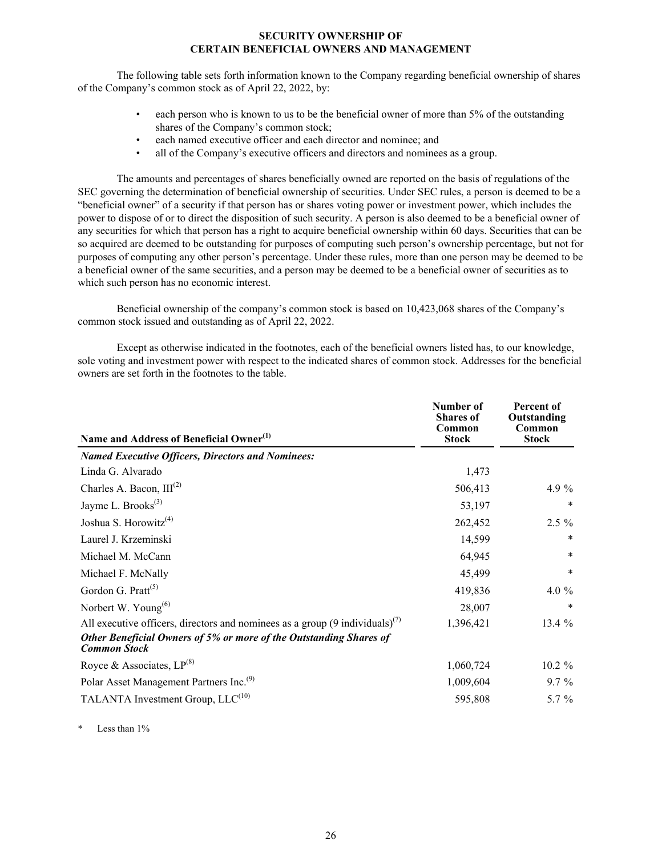### **SECURITY OWNERSHIP OF CERTAIN BENEFICIAL OWNERS AND MANAGEMENT**

<span id="page-28-0"></span>The following table sets forth information known to the Company regarding beneficial ownership of shares of the Company's common stock as of April 22, 2022, by:

- each person who is known to us to be the beneficial owner of more than 5% of the outstanding shares of the Company's common stock;
- each named executive officer and each director and nominee; and
- all of the Company's executive officers and directors and nominees as a group.

The amounts and percentages of shares beneficially owned are reported on the basis of regulations of the SEC governing the determination of beneficial ownership of securities. Under SEC rules, a person is deemed to be a "beneficial owner" of a security if that person has or shares voting power or investment power, which includes the power to dispose of or to direct the disposition of such security. A person is also deemed to be a beneficial owner of any securities for which that person has a right to acquire beneficial ownership within 60 days. Securities that can be so acquired are deemed to be outstanding for purposes of computing such person's ownership percentage, but not for purposes of computing any other person's percentage. Under these rules, more than one person may be deemed to be a beneficial owner of the same securities, and a person may be deemed to be a beneficial owner of securities as to which such person has no economic interest.

Beneficial ownership of the company's common stock is based on 10,423,068 shares of the Company's common stock issued and outstanding as of April 22, 2022.

Except as otherwise indicated in the footnotes, each of the beneficial owners listed has, to our knowledge, sole voting and investment power with respect to the indicated shares of common stock. Addresses for the beneficial owners are set forth in the footnotes to the table.

| Name and Address of Beneficial Owner <sup>(1)</sup>                                       | Number of<br><b>Shares of</b><br>Common<br><b>Stock</b> | Percent of<br>Outstanding<br>Common<br><b>Stock</b> |
|-------------------------------------------------------------------------------------------|---------------------------------------------------------|-----------------------------------------------------|
| <b>Named Executive Officers, Directors and Nominees:</b>                                  |                                                         |                                                     |
| Linda G. Alvarado                                                                         | 1,473                                                   |                                                     |
| Charles A. Bacon, $III^{(2)}$                                                             | 506,413                                                 | 4.9 %                                               |
| Jayme L. Brooks <sup>(3)</sup>                                                            | 53,197                                                  | *                                                   |
| Joshua S. Horowitz <sup>(4)</sup>                                                         | 262,452                                                 | $2.5 \%$                                            |
| Laurel J. Krzeminski                                                                      | 14,599                                                  | $\ast$                                              |
| Michael M. McCann                                                                         | 64,945                                                  | *                                                   |
| Michael F. McNally                                                                        | 45,499                                                  | $\ast$                                              |
| Gordon G. Pratt <sup>(5)</sup>                                                            | 419,836                                                 | 4.0 $%$                                             |
| Norbert W. Young $^{(6)}$                                                                 | 28,007                                                  | $\ast$                                              |
| All executive officers, directors and nominees as a group $(9 \text{ individuals})^{(7)}$ | 1,396,421                                               | 13.4 %                                              |
| Other Beneficial Owners of 5% or more of the Outstanding Shares of<br><b>Common Stock</b> |                                                         |                                                     |
| Royce & Associates, $LP^{(8)}$                                                            | 1,060,724                                               | $10.2 \%$                                           |
| Polar Asset Management Partners Inc. <sup>(9)</sup>                                       | 1,009,604                                               | $9.7\%$                                             |
| TALANTA Investment Group, $LLC^{(10)}$                                                    | 595,808                                                 | 5.7 $%$                                             |
|                                                                                           |                                                         |                                                     |

Less than 1%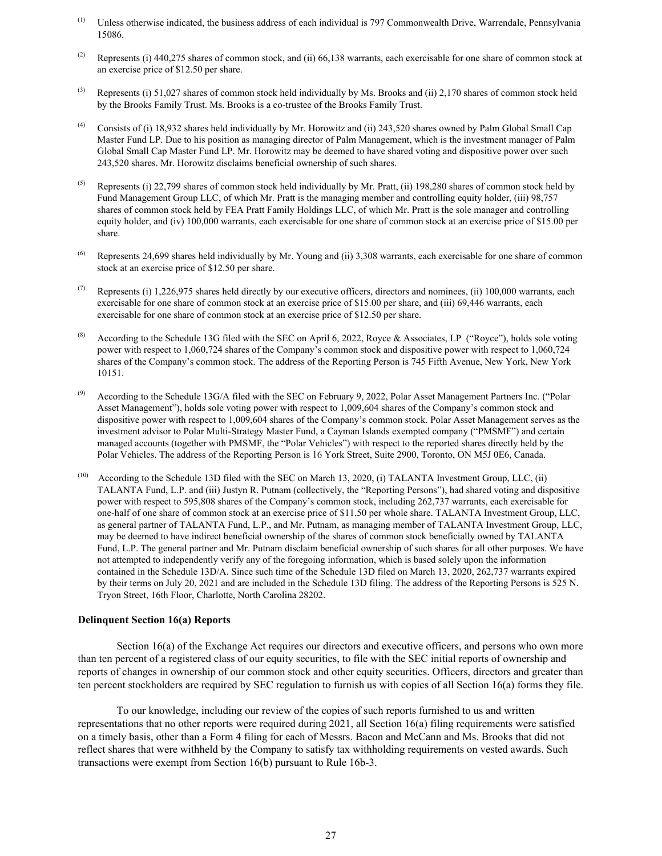- <span id="page-29-0"></span> $<sup>(1)</sup>$  Unless otherwise indicated, the business address of each individual is 797 Commonwealth Drive, Warrendale, Pennsylvania</sup> 15086.
- (2) Represents (i) 440,275 shares of common stock, and (ii) 66,138 warrants, each exercisable for one share of common stock at an exercise price of \$12.50 per share.
- (3) Represents (i) 51,027 shares of common stock held individually by Ms. Brooks and (ii) 2,170 shares of common stock held by the Brooks Family Trust. Ms. Brooks is a co-trustee of the Brooks Family Trust.
- (4) Consists of (i) 18,932 shares held individually by Mr. Horowitz and (ii) 243,520 shares owned by Palm Global Small Cap Master Fund LP. Due to his position as managing director of Palm Management, which is the investment manager of Palm Global Small Cap Master Fund LP. Mr. Horowitz may be deemed to have shared voting and dispositive power over such 243,520 shares. Mr. Horowitz disclaims beneficial ownership of such shares.
- (5) Represents (i) 22.799 shares of common stock held individually by Mr. Pratt. (ii) 198.280 shares of common stock held by Fund Management Group LLC, of which Mr. Pratt is the managing member and controlling equity holder, (iii) 98,757 shares of common stock held by FEA Pratt Family Holdings LLC, of which Mr. Pratt is the sole manager and controlling equity holder, and (iv) 100,000 warrants, each exercisable for one share of common stock at an exercise price of \$15.00 per share.
- Represents 24,699 shares held individually by Mr. Young and (ii) 3,308 warrants, each exercisable for one share of common stock at an exercise price of \$12.50 per share.
- (7) Represents (i) 1,226,975 shares held directly by our executive officers, directors and nominees, (ii) 100,000 warrants, each exercisable for one share of common stock at an exercise price of \$15.00 per share, and (iii) 69,446 warrants, each exercisable for one share of common stock at an exercise price of \$12.50 per share.
- According to the Schedule 13G filed with the SEC on April 6, 2022, Royce & Associates, LP ("Royce"), holds sole voting power with respect to 1,060,724 shares of the Company's common stock and dispositive power with respect to 1,060,724 shares of the Company's common stock. The address of the Reporting Person is 745 Fifth Avenue, New York, New York 10151.
- According to the Schedule 13G/A filed with the SEC on February 9, 2022, Polar Asset Management Partners Inc. ("Polar Asset Management"), holds sole voting power with respect to 1,009,604 shares of the Company's common stock and dispositive power with respect to 1,009,604 shares of the Company's common stock. Polar Asset Management serves as the investment advisor to Polar Multi-Strategy Master Fund, a Cayman Islands exempted company ("PMSMF") and certain managed accounts (together with PMSMF, the "Polar Vehicles") with respect to the reported shares directly held by the Polar Vehicles. The address of the Reporting Person is 16 York Street, Suite 2900, Toronto, ON M5J 0E6, Canada.
- According to the Schedule 13D filed with the SEC on March 13, 2020, (i) TALANTA Investment Group, LLC, (ii) TALANTA Fund, L.P. and (iii) Justyn R. Putnam (collectively, the "Reporting Persons"), had shared voting and dispositive power with respect to 595,808 shares of the Company's common stock, including 262,737 warrants, each exercisable for one-half of one share of common stock at an exercise price of \$11.50 per whole share. TALANTA Investment Group, LLC, as general partner of TALANTA Fund, L.P., and Mr. Putnam, as managing member of TALANTA Investment Group, LLC, may be deemed to have indirect beneficial ownership of the shares of common stock beneficially owned by TALANTA Fund, L.P. The general partner and Mr. Putnam disclaim beneficial ownership of such shares for all other purposes. We have not attempted to independently verify any of the foregoing information, which is based solely upon the information contained in the Schedule 13D/A. Since such time of the Schedule 13D filed on March 13, 2020, 262,737 warrants expired by their terms on July 20, 2021 and are included in the Schedule 13D filing. The address of the Reporting Persons is 525 N. Tryon Street, 16th Floor, Charlotte, North Carolina 28202.

#### **Delinquent Section 16(a) Reports**

Section 16(a) of the Exchange Act requires our directors and executive officers, and persons who own more than ten percent of a registered class of our equity securities, to file with the SEC initial reports of ownership and reports of changes in ownership of our common stock and other equity securities. Officers, directors and greater than ten percent stockholders are required by SEC regulation to furnish us with copies of all Section 16(a) forms they file.

To our knowledge, including our review of the copies of such reports furnished to us and written representations that no other reports were required during 2021, all Section 16(a) filing requirements were satisfied on a timely basis, other than a Form 4 filing for each of Messrs. Bacon and McCann and Ms. Brooks that did not reflect shares that were withheld by the Company to satisfy tax withholding requirements on vested awards. Such transactions were exempt from Section 16(b) pursuant to Rule 16b-3.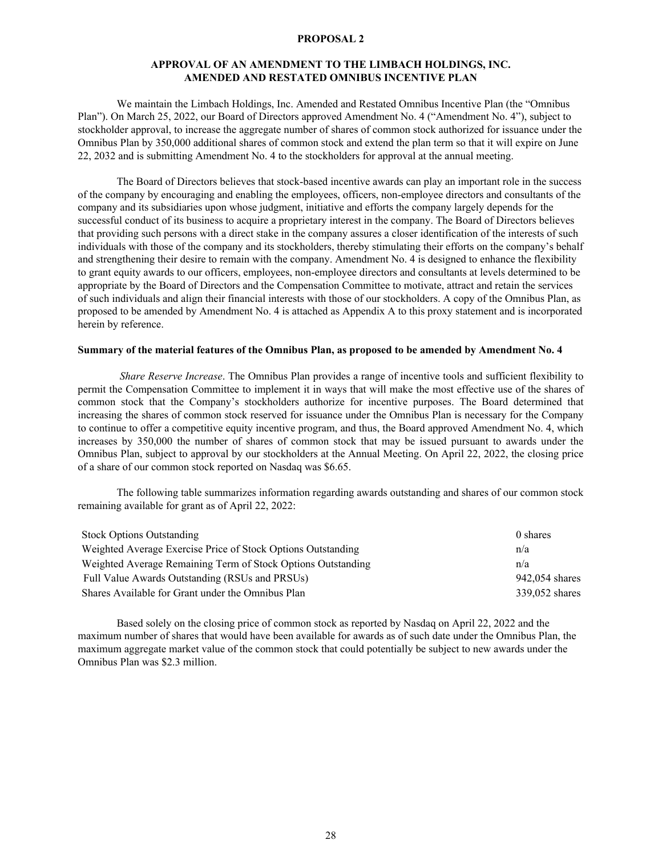#### **PROPOSAL 2**

### **APPROVAL OF AN AMENDMENT TO THE LIMBACH HOLDINGS, INC. AMENDED AND RESTATED OMNIBUS INCENTIVE PLAN**

<span id="page-30-0"></span>We maintain the Limbach Holdings, Inc. Amended and Restated Omnibus Incentive Plan (the "Omnibus Plan"). On March 25, 2022, our Board of Directors approved Amendment No. 4 ("Amendment No. 4"), subject to stockholder approval, to increase the aggregate number of shares of common stock authorized for issuance under the Omnibus Plan by 350,000 additional shares of common stock and extend the plan term so that it will expire on June 22, 2032 and is submitting Amendment No. 4 to the stockholders for approval at the annual meeting.

The Board of Directors believes that stock-based incentive awards can play an important role in the success of the company by encouraging and enabling the employees, officers, non-employee directors and consultants of the company and its subsidiaries upon whose judgment, initiative and efforts the company largely depends for the successful conduct of its business to acquire a proprietary interest in the company. The Board of Directors believes that providing such persons with a direct stake in the company assures a closer identification of the interests of such individuals with those of the company and its stockholders, thereby stimulating their efforts on the company's behalf and strengthening their desire to remain with the company. Amendment No. 4 is designed to enhance the flexibility to grant equity awards to our officers, employees, non-employee directors and consultants at levels determined to be appropriate by the Board of Directors and the Compensation Committee to motivate, attract and retain the services of such individuals and align their financial interests with those of our stockholders. A copy of the Omnibus Plan, as proposed to be amended by Amendment No. 4 is attached as Appendix A to this proxy statement and is incorporated herein by reference.

#### **Summary of the material features of the Omnibus Plan, as proposed to be amended by Amendment No. 4**

*Share Reserve Increase*. The Omnibus Plan provides a range of incentive tools and sufficient flexibility to permit the Compensation Committee to implement it in ways that will make the most effective use of the shares of common stock that the Company's stockholders authorize for incentive purposes. The Board determined that increasing the shares of common stock reserved for issuance under the Omnibus Plan is necessary for the Company to continue to offer a competitive equity incentive program, and thus, the Board approved Amendment No. 4, which increases by 350,000 the number of shares of common stock that may be issued pursuant to awards under the Omnibus Plan, subject to approval by our stockholders at the Annual Meeting. On April 22, 2022, the closing price of a share of our common stock reported on Nasdaq was \$6.65.

The following table summarizes information regarding awards outstanding and shares of our common stock remaining available for grant as of April 22, 2022:

| <b>Stock Options Outstanding</b>                             | 0 shares       |
|--------------------------------------------------------------|----------------|
| Weighted Average Exercise Price of Stock Options Outstanding | n/a            |
| Weighted Average Remaining Term of Stock Options Outstanding | n/a            |
| Full Value Awards Outstanding (RSUs and PRSUs)               | 942,054 shares |
| Shares Available for Grant under the Omnibus Plan            | 339,052 shares |

Based solely on the closing price of common stock as reported by Nasdaq on April 22, 2022 and the maximum number of shares that would have been available for awards as of such date under the Omnibus Plan, the maximum aggregate market value of the common stock that could potentially be subject to new awards under the Omnibus Plan was \$2.3 million.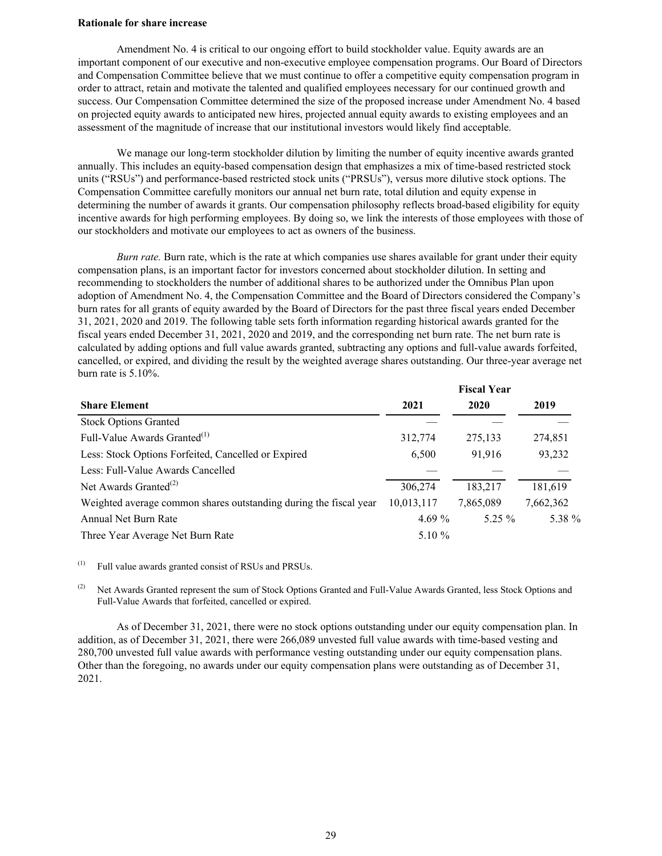### **Rationale for share increase**

Amendment No. 4 is critical to our ongoing effort to build stockholder value. Equity awards are an important component of our executive and non-executive employee compensation programs. Our Board of Directors and Compensation Committee believe that we must continue to offer a competitive equity compensation program in order to attract, retain and motivate the talented and qualified employees necessary for our continued growth and success. Our Compensation Committee determined the size of the proposed increase under Amendment No. 4 based on projected equity awards to anticipated new hires, projected annual equity awards to existing employees and an assessment of the magnitude of increase that our institutional investors would likely find acceptable.

We manage our long-term stockholder dilution by limiting the number of equity incentive awards granted annually. This includes an equity-based compensation design that emphasizes a mix of time-based restricted stock units ("RSUs") and performance-based restricted stock units ("PRSUs"), versus more dilutive stock options. The Compensation Committee carefully monitors our annual net burn rate, total dilution and equity expense in determining the number of awards it grants. Our compensation philosophy reflects broad-based eligibility for equity incentive awards for high performing employees. By doing so, we link the interests of those employees with those of our stockholders and motivate our employees to act as owners of the business.

*Burn rate.* Burn rate, which is the rate at which companies use shares available for grant under their equity compensation plans, is an important factor for investors concerned about stockholder dilution. In setting and recommending to stockholders the number of additional shares to be authorized under the Omnibus Plan upon adoption of Amendment No. 4, the Compensation Committee and the Board of Directors considered the Company's burn rates for all grants of equity awarded by the Board of Directors for the past three fiscal years ended December 31, 2021, 2020 and 2019. The following table sets forth information regarding historical awards granted for the fiscal years ended December 31, 2021, 2020 and 2019, and the corresponding net burn rate. The net burn rate is calculated by adding options and full value awards granted, subtracting any options and full-value awards forfeited, cancelled, or expired, and dividing the result by the weighted average shares outstanding. Our three-year average net burn rate is 5.10%.

|                                                                   |            | <b>Fiscal Year</b> |           |  |  |  |
|-------------------------------------------------------------------|------------|--------------------|-----------|--|--|--|
| <b>Share Element</b>                                              | 2021       | 2020               | 2019      |  |  |  |
| <b>Stock Options Granted</b>                                      |            |                    |           |  |  |  |
| Full-Value Awards Granted <sup>(1)</sup>                          | 312,774    | 275,133            | 274,851   |  |  |  |
| Less: Stock Options Forfeited, Cancelled or Expired               | 6,500      | 91,916             | 93,232    |  |  |  |
| Less: Full-Value Awards Cancelled                                 |            |                    |           |  |  |  |
| Net Awards Granted <sup>(2)</sup>                                 | 306,274    | 183,217            | 181,619   |  |  |  |
| Weighted average common shares outstanding during the fiscal year | 10,013,117 | 7,865,089          | 7,662,362 |  |  |  |
| Annual Net Burn Rate                                              | 4.69 $%$   | $5.25 \%$          | 5.38 %    |  |  |  |
| Three Year Average Net Burn Rate                                  | 5.10 $%$   |                    |           |  |  |  |

(1) Full value awards granted consist of RSUs and PRSUs.

<sup>(2)</sup> Net Awards Granted represent the sum of Stock Options Granted and Full-Value Awards Granted, less Stock Options and Full-Value Awards that forfeited, cancelled or expired.

As of December 31, 2021, there were no stock options outstanding under our equity compensation plan. In addition, as of December 31, 2021, there were 266,089 unvested full value awards with time-based vesting and 280,700 unvested full value awards with performance vesting outstanding under our equity compensation plans. Other than the foregoing, no awards under our equity compensation plans were outstanding as of December 31, 2021.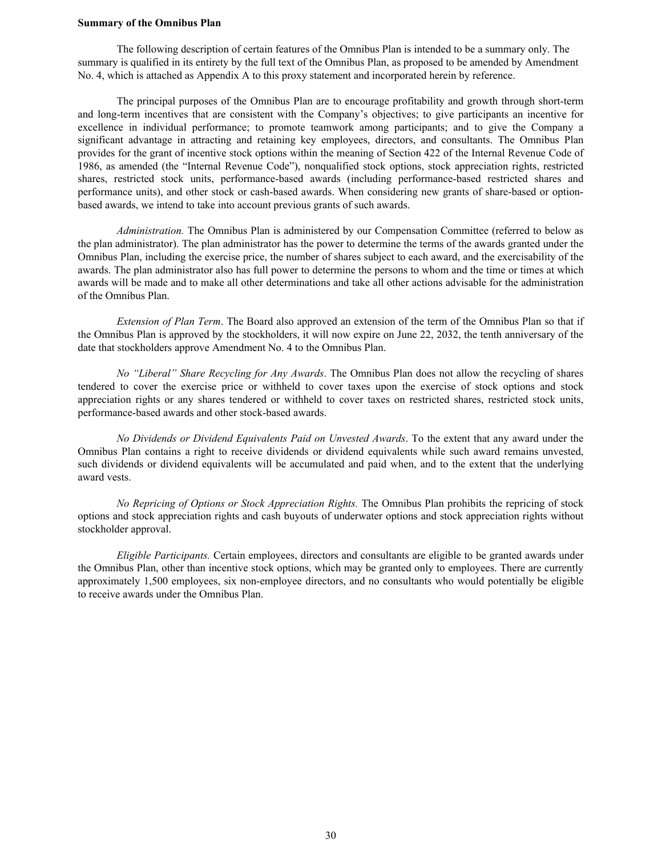#### **Summary of the Omnibus Plan**

The following description of certain features of the Omnibus Plan is intended to be a summary only. The summary is qualified in its entirety by the full text of the Omnibus Plan, as proposed to be amended by Amendment No. 4, which is attached as Appendix A to this proxy statement and incorporated herein by reference.

The principal purposes of the Omnibus Plan are to encourage profitability and growth through short-term and long-term incentives that are consistent with the Company's objectives; to give participants an incentive for excellence in individual performance; to promote teamwork among participants; and to give the Company a significant advantage in attracting and retaining key employees, directors, and consultants. The Omnibus Plan provides for the grant of incentive stock options within the meaning of Section 422 of the Internal Revenue Code of 1986, as amended (the "Internal Revenue Code"), nonqualified stock options, stock appreciation rights, restricted shares, restricted stock units, performance-based awards (including performance-based restricted shares and performance units), and other stock or cash-based awards. When considering new grants of share-based or optionbased awards, we intend to take into account previous grants of such awards.

*Administration.* The Omnibus Plan is administered by our Compensation Committee (referred to below as the plan administrator). The plan administrator has the power to determine the terms of the awards granted under the Omnibus Plan, including the exercise price, the number of shares subject to each award, and the exercisability of the awards. The plan administrator also has full power to determine the persons to whom and the time or times at which awards will be made and to make all other determinations and take all other actions advisable for the administration of the Omnibus Plan.

*Extension of Plan Term*. The Board also approved an extension of the term of the Omnibus Plan so that if the Omnibus Plan is approved by the stockholders, it will now expire on June 22, 2032, the tenth anniversary of the date that stockholders approve Amendment No. 4 to the Omnibus Plan.

*No "Liberal" Share Recycling for Any Awards*. The Omnibus Plan does not allow the recycling of shares tendered to cover the exercise price or withheld to cover taxes upon the exercise of stock options and stock appreciation rights or any shares tendered or withheld to cover taxes on restricted shares, restricted stock units, performance-based awards and other stock-based awards.

*No Dividends or Dividend Equivalents Paid on Unvested Awards*. To the extent that any award under the Omnibus Plan contains a right to receive dividends or dividend equivalents while such award remains unvested, such dividends or dividend equivalents will be accumulated and paid when, and to the extent that the underlying award vests.

*No Repricing of Options or Stock Appreciation Rights.* The Omnibus Plan prohibits the repricing of stock options and stock appreciation rights and cash buyouts of underwater options and stock appreciation rights without stockholder approval.

*Eligible Participants.* Certain employees, directors and consultants are eligible to be granted awards under the Omnibus Plan, other than incentive stock options, which may be granted only to employees. There are currently approximately 1,500 employees, six non-employee directors, and no consultants who would potentially be eligible to receive awards under the Omnibus Plan.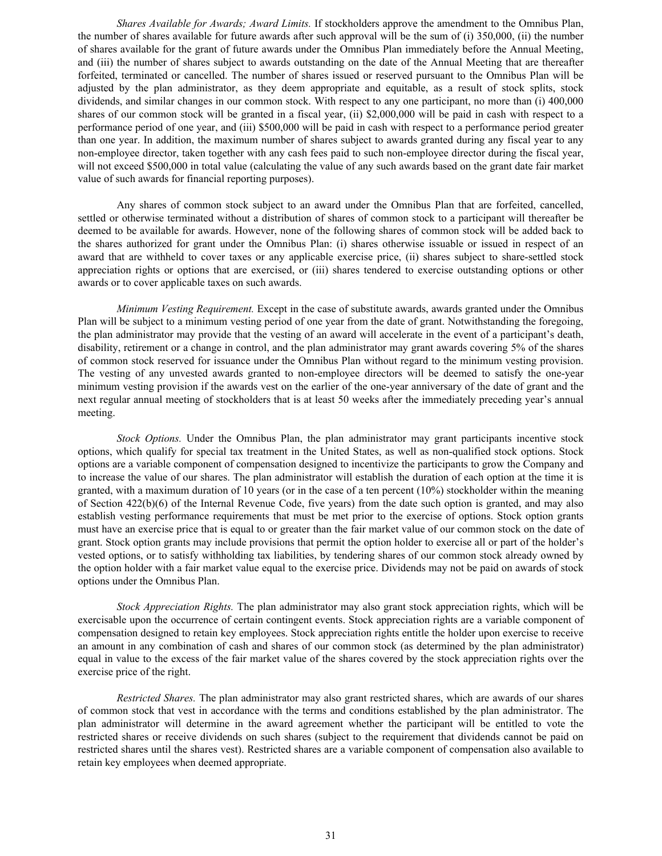*Shares Available for Awards; Award Limits.* If stockholders approve the amendment to the Omnibus Plan, the number of shares available for future awards after such approval will be the sum of (i) 350,000, (ii) the number of shares available for the grant of future awards under the Omnibus Plan immediately before the Annual Meeting, and (iii) the number of shares subject to awards outstanding on the date of the Annual Meeting that are thereafter forfeited, terminated or cancelled. The number of shares issued or reserved pursuant to the Omnibus Plan will be adjusted by the plan administrator, as they deem appropriate and equitable, as a result of stock splits, stock dividends, and similar changes in our common stock. With respect to any one participant, no more than (i) 400,000 shares of our common stock will be granted in a fiscal year, (ii) \$2,000,000 will be paid in cash with respect to a performance period of one year, and (iii) \$500,000 will be paid in cash with respect to a performance period greater than one year. In addition, the maximum number of shares subject to awards granted during any fiscal year to any non-employee director, taken together with any cash fees paid to such non-employee director during the fiscal year, will not exceed \$500,000 in total value (calculating the value of any such awards based on the grant date fair market value of such awards for financial reporting purposes).

Any shares of common stock subject to an award under the Omnibus Plan that are forfeited, cancelled, settled or otherwise terminated without a distribution of shares of common stock to a participant will thereafter be deemed to be available for awards. However, none of the following shares of common stock will be added back to the shares authorized for grant under the Omnibus Plan: (i) shares otherwise issuable or issued in respect of an award that are withheld to cover taxes or any applicable exercise price, (ii) shares subject to share-settled stock appreciation rights or options that are exercised, or (iii) shares tendered to exercise outstanding options or other awards or to cover applicable taxes on such awards.

*Minimum Vesting Requirement.* Except in the case of substitute awards, awards granted under the Omnibus Plan will be subject to a minimum vesting period of one year from the date of grant. Notwithstanding the foregoing, the plan administrator may provide that the vesting of an award will accelerate in the event of a participant's death, disability, retirement or a change in control, and the plan administrator may grant awards covering 5% of the shares of common stock reserved for issuance under the Omnibus Plan without regard to the minimum vesting provision. The vesting of any unvested awards granted to non-employee directors will be deemed to satisfy the one-year minimum vesting provision if the awards vest on the earlier of the one-year anniversary of the date of grant and the next regular annual meeting of stockholders that is at least 50 weeks after the immediately preceding year's annual meeting.

*Stock Options.* Under the Omnibus Plan, the plan administrator may grant participants incentive stock options, which qualify for special tax treatment in the United States, as well as non-qualified stock options. Stock options are a variable component of compensation designed to incentivize the participants to grow the Company and to increase the value of our shares. The plan administrator will establish the duration of each option at the time it is granted, with a maximum duration of 10 years (or in the case of a ten percent (10%) stockholder within the meaning of Section 422(b)(6) of the Internal Revenue Code, five years) from the date such option is granted, and may also establish vesting performance requirements that must be met prior to the exercise of options. Stock option grants must have an exercise price that is equal to or greater than the fair market value of our common stock on the date of grant. Stock option grants may include provisions that permit the option holder to exercise all or part of the holder's vested options, or to satisfy withholding tax liabilities, by tendering shares of our common stock already owned by the option holder with a fair market value equal to the exercise price. Dividends may not be paid on awards of stock options under the Omnibus Plan.

*Stock Appreciation Rights.* The plan administrator may also grant stock appreciation rights, which will be exercisable upon the occurrence of certain contingent events. Stock appreciation rights are a variable component of compensation designed to retain key employees. Stock appreciation rights entitle the holder upon exercise to receive an amount in any combination of cash and shares of our common stock (as determined by the plan administrator) equal in value to the excess of the fair market value of the shares covered by the stock appreciation rights over the exercise price of the right.

*Restricted Shares.* The plan administrator may also grant restricted shares, which are awards of our shares of common stock that vest in accordance with the terms and conditions established by the plan administrator. The plan administrator will determine in the award agreement whether the participant will be entitled to vote the restricted shares or receive dividends on such shares (subject to the requirement that dividends cannot be paid on restricted shares until the shares vest). Restricted shares are a variable component of compensation also available to retain key employees when deemed appropriate.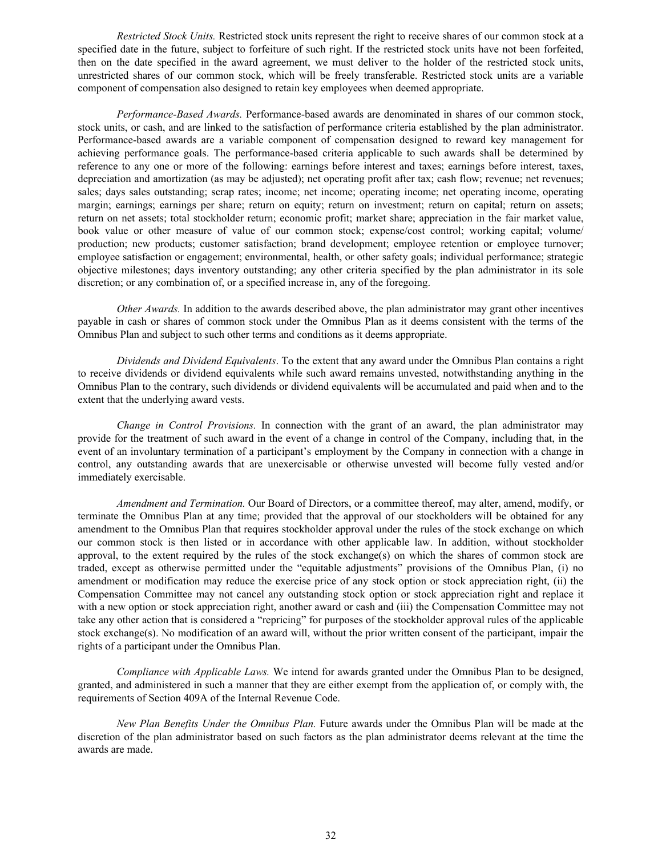*Restricted Stock Units.* Restricted stock units represent the right to receive shares of our common stock at a specified date in the future, subject to forfeiture of such right. If the restricted stock units have not been forfeited, then on the date specified in the award agreement, we must deliver to the holder of the restricted stock units, unrestricted shares of our common stock, which will be freely transferable. Restricted stock units are a variable component of compensation also designed to retain key employees when deemed appropriate.

*Performance-Based Awards.* Performance-based awards are denominated in shares of our common stock, stock units, or cash, and are linked to the satisfaction of performance criteria established by the plan administrator. Performance-based awards are a variable component of compensation designed to reward key management for achieving performance goals. The performance-based criteria applicable to such awards shall be determined by reference to any one or more of the following: earnings before interest and taxes; earnings before interest, taxes, depreciation and amortization (as may be adjusted); net operating profit after tax; cash flow; revenue; net revenues; sales; days sales outstanding; scrap rates; income; net income; operating income; net operating income, operating margin; earnings; earnings per share; return on equity; return on investment; return on capital; return on assets; return on net assets; total stockholder return; economic profit; market share; appreciation in the fair market value, book value or other measure of value of our common stock; expense/cost control; working capital; volume/ production; new products; customer satisfaction; brand development; employee retention or employee turnover; employee satisfaction or engagement; environmental, health, or other safety goals; individual performance; strategic objective milestones; days inventory outstanding; any other criteria specified by the plan administrator in its sole discretion; or any combination of, or a specified increase in, any of the foregoing.

*Other Awards.* In addition to the awards described above, the plan administrator may grant other incentives payable in cash or shares of common stock under the Omnibus Plan as it deems consistent with the terms of the Omnibus Plan and subject to such other terms and conditions as it deems appropriate.

*Dividends and Dividend Equivalents*. To the extent that any award under the Omnibus Plan contains a right to receive dividends or dividend equivalents while such award remains unvested, notwithstanding anything in the Omnibus Plan to the contrary, such dividends or dividend equivalents will be accumulated and paid when and to the extent that the underlying award vests.

*Change in Control Provisions.* In connection with the grant of an award, the plan administrator may provide for the treatment of such award in the event of a change in control of the Company, including that, in the event of an involuntary termination of a participant's employment by the Company in connection with a change in control, any outstanding awards that are unexercisable or otherwise unvested will become fully vested and/or immediately exercisable.

*Amendment and Termination.* Our Board of Directors, or a committee thereof, may alter, amend, modify, or terminate the Omnibus Plan at any time; provided that the approval of our stockholders will be obtained for any amendment to the Omnibus Plan that requires stockholder approval under the rules of the stock exchange on which our common stock is then listed or in accordance with other applicable law. In addition, without stockholder approval, to the extent required by the rules of the stock exchange(s) on which the shares of common stock are traded, except as otherwise permitted under the "equitable adjustments" provisions of the Omnibus Plan, (i) no amendment or modification may reduce the exercise price of any stock option or stock appreciation right, (ii) the Compensation Committee may not cancel any outstanding stock option or stock appreciation right and replace it with a new option or stock appreciation right, another award or cash and (iii) the Compensation Committee may not take any other action that is considered a "repricing" for purposes of the stockholder approval rules of the applicable stock exchange(s). No modification of an award will, without the prior written consent of the participant, impair the rights of a participant under the Omnibus Plan.

*Compliance with Applicable Laws.* We intend for awards granted under the Omnibus Plan to be designed, granted, and administered in such a manner that they are either exempt from the application of, or comply with, the requirements of Section 409A of the Internal Revenue Code.

*New Plan Benefits Under the Omnibus Plan.* Future awards under the Omnibus Plan will be made at the discretion of the plan administrator based on such factors as the plan administrator deems relevant at the time the awards are made.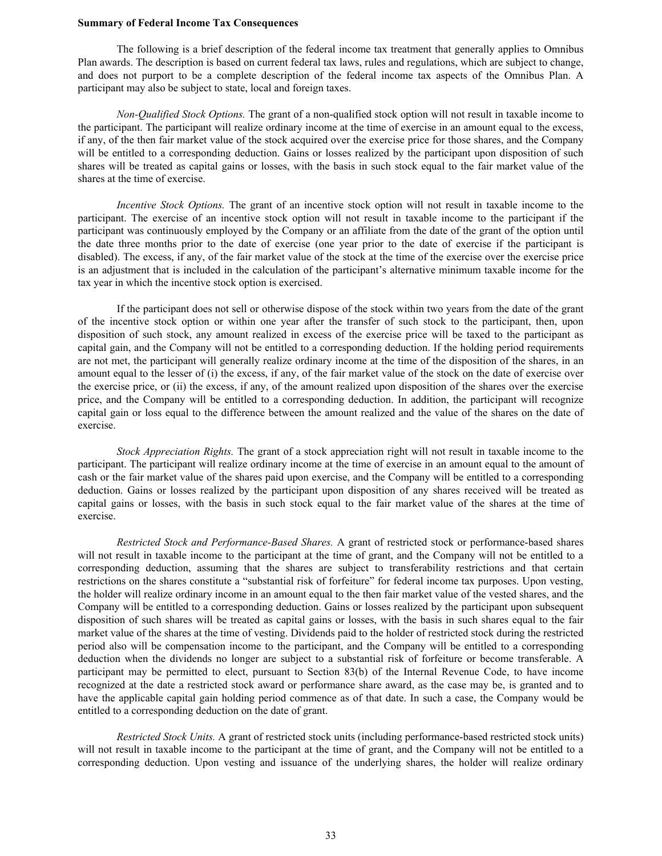#### **Summary of Federal Income Tax Consequences**

The following is a brief description of the federal income tax treatment that generally applies to Omnibus Plan awards. The description is based on current federal tax laws, rules and regulations, which are subject to change, and does not purport to be a complete description of the federal income tax aspects of the Omnibus Plan. A participant may also be subject to state, local and foreign taxes.

*Non-Qualified Stock Options.* The grant of a non-qualified stock option will not result in taxable income to the participant. The participant will realize ordinary income at the time of exercise in an amount equal to the excess, if any, of the then fair market value of the stock acquired over the exercise price for those shares, and the Company will be entitled to a corresponding deduction. Gains or losses realized by the participant upon disposition of such shares will be treated as capital gains or losses, with the basis in such stock equal to the fair market value of the shares at the time of exercise.

*Incentive Stock Options.* The grant of an incentive stock option will not result in taxable income to the participant. The exercise of an incentive stock option will not result in taxable income to the participant if the participant was continuously employed by the Company or an affiliate from the date of the grant of the option until the date three months prior to the date of exercise (one year prior to the date of exercise if the participant is disabled). The excess, if any, of the fair market value of the stock at the time of the exercise over the exercise price is an adjustment that is included in the calculation of the participant's alternative minimum taxable income for the tax year in which the incentive stock option is exercised.

If the participant does not sell or otherwise dispose of the stock within two years from the date of the grant of the incentive stock option or within one year after the transfer of such stock to the participant, then, upon disposition of such stock, any amount realized in excess of the exercise price will be taxed to the participant as capital gain, and the Company will not be entitled to a corresponding deduction. If the holding period requirements are not met, the participant will generally realize ordinary income at the time of the disposition of the shares, in an amount equal to the lesser of (i) the excess, if any, of the fair market value of the stock on the date of exercise over the exercise price, or (ii) the excess, if any, of the amount realized upon disposition of the shares over the exercise price, and the Company will be entitled to a corresponding deduction. In addition, the participant will recognize capital gain or loss equal to the difference between the amount realized and the value of the shares on the date of exercise.

*Stock Appreciation Rights.* The grant of a stock appreciation right will not result in taxable income to the participant. The participant will realize ordinary income at the time of exercise in an amount equal to the amount of cash or the fair market value of the shares paid upon exercise, and the Company will be entitled to a corresponding deduction. Gains or losses realized by the participant upon disposition of any shares received will be treated as capital gains or losses, with the basis in such stock equal to the fair market value of the shares at the time of exercise.

*Restricted Stock and Performance-Based Shares.* A grant of restricted stock or performance-based shares will not result in taxable income to the participant at the time of grant, and the Company will not be entitled to a corresponding deduction, assuming that the shares are subject to transferability restrictions and that certain restrictions on the shares constitute a "substantial risk of forfeiture" for federal income tax purposes. Upon vesting, the holder will realize ordinary income in an amount equal to the then fair market value of the vested shares, and the Company will be entitled to a corresponding deduction. Gains or losses realized by the participant upon subsequent disposition of such shares will be treated as capital gains or losses, with the basis in such shares equal to the fair market value of the shares at the time of vesting. Dividends paid to the holder of restricted stock during the restricted period also will be compensation income to the participant, and the Company will be entitled to a corresponding deduction when the dividends no longer are subject to a substantial risk of forfeiture or become transferable. A participant may be permitted to elect, pursuant to Section 83(b) of the Internal Revenue Code, to have income recognized at the date a restricted stock award or performance share award, as the case may be, is granted and to have the applicable capital gain holding period commence as of that date. In such a case, the Company would be entitled to a corresponding deduction on the date of grant.

*Restricted Stock Units.* A grant of restricted stock units (including performance-based restricted stock units) will not result in taxable income to the participant at the time of grant, and the Company will not be entitled to a corresponding deduction. Upon vesting and issuance of the underlying shares, the holder will realize ordinary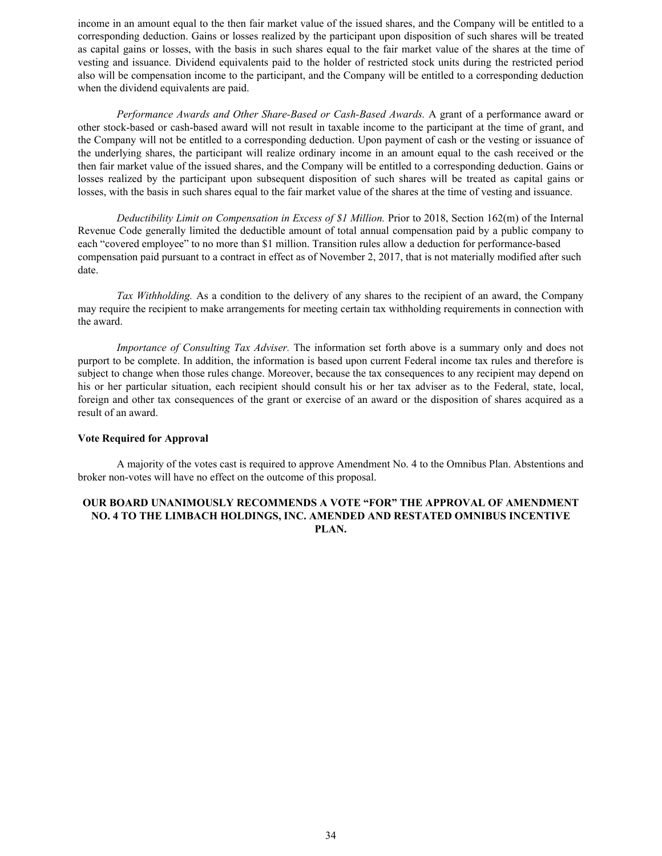income in an amount equal to the then fair market value of the issued shares, and the Company will be entitled to a corresponding deduction. Gains or losses realized by the participant upon disposition of such shares will be treated as capital gains or losses, with the basis in such shares equal to the fair market value of the shares at the time of vesting and issuance. Dividend equivalents paid to the holder of restricted stock units during the restricted period also will be compensation income to the participant, and the Company will be entitled to a corresponding deduction when the dividend equivalents are paid.

*Performance Awards and Other Share-Based or Cash-Based Awards.* A grant of a performance award or other stock-based or cash-based award will not result in taxable income to the participant at the time of grant, and the Company will not be entitled to a corresponding deduction. Upon payment of cash or the vesting or issuance of the underlying shares, the participant will realize ordinary income in an amount equal to the cash received or the then fair market value of the issued shares, and the Company will be entitled to a corresponding deduction. Gains or losses realized by the participant upon subsequent disposition of such shares will be treated as capital gains or losses, with the basis in such shares equal to the fair market value of the shares at the time of vesting and issuance.

*Deductibility Limit on Compensation in Excess of \$1 Million.* Prior to 2018, Section 162(m) of the Internal Revenue Code generally limited the deductible amount of total annual compensation paid by a public company to each "covered employee" to no more than \$1 million. Transition rules allow a deduction for performance-based compensation paid pursuant to a contract in effect as of November 2, 2017, that is not materially modified after such date.

*Tax Withholding.* As a condition to the delivery of any shares to the recipient of an award, the Company may require the recipient to make arrangements for meeting certain tax withholding requirements in connection with the award.

*Importance of Consulting Tax Adviser.* The information set forth above is a summary only and does not purport to be complete. In addition, the information is based upon current Federal income tax rules and therefore is subject to change when those rules change. Moreover, because the tax consequences to any recipient may depend on his or her particular situation, each recipient should consult his or her tax adviser as to the Federal, state, local, foreign and other tax consequences of the grant or exercise of an award or the disposition of shares acquired as a result of an award.

#### **Vote Required for Approval**

A majority of the votes cast is required to approve Amendment No. 4 to the Omnibus Plan. Abstentions and broker non-votes will have no effect on the outcome of this proposal.

### **OUR BOARD UNANIMOUSLY RECOMMENDS A VOTE "FOR" THE APPROVAL OF AMENDMENT NO. 4 TO THE LIMBACH HOLDINGS, INC. AMENDED AND RESTATED OMNIBUS INCENTIVE PLAN.**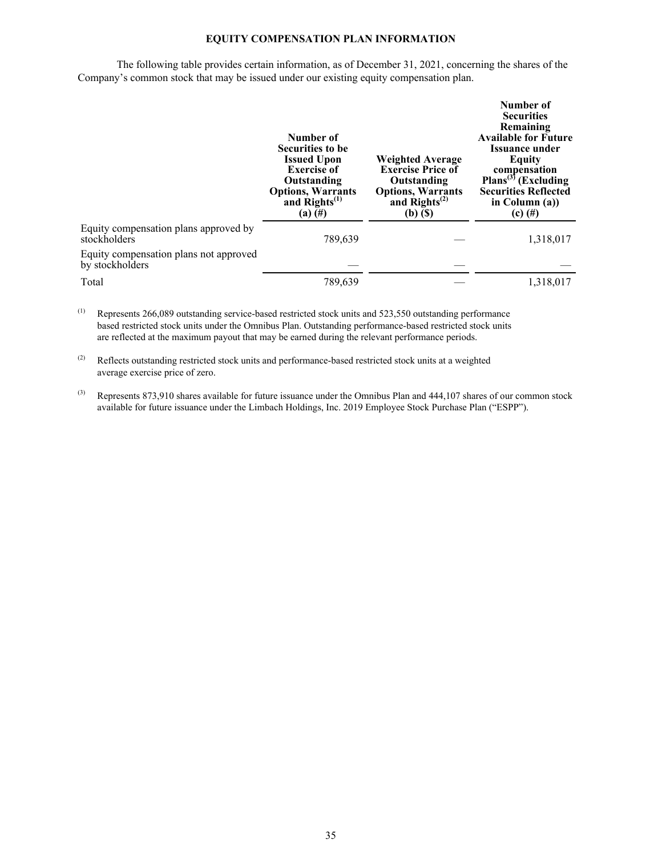### **EQUITY COMPENSATION PLAN INFORMATION**

The following table provides certain information, as of December 31, 2021, concerning the shares of the Company's common stock that may be issued under our existing equity compensation plan.

|                                                           | Number of<br><b>Securities to be</b><br><b>Issued Upon</b><br><b>Exercise of</b><br>Outstanding<br><b>Options, Warrants</b><br>and Rights <sup>(1)</sup><br>$(a)$ (#) | <b>Weighted Average</b><br><b>Exercise Price of</b><br>Outstanding<br><b>Options, Warrants</b><br>and $\text{Rights}^{(2)}$<br>$(b)$ $(S)$ | Number of<br><b>Securities</b><br>Remaining<br><b>Available for Future</b><br>Issuance under<br>Equity<br>compensation<br>Plans <sup>(3)</sup> (Excluding<br><b>Securities Reflected</b><br>in Column $(a)$ )<br>$(c)$ (#) |
|-----------------------------------------------------------|-----------------------------------------------------------------------------------------------------------------------------------------------------------------------|--------------------------------------------------------------------------------------------------------------------------------------------|----------------------------------------------------------------------------------------------------------------------------------------------------------------------------------------------------------------------------|
| Equity compensation plans approved by<br>stockholders     | 789,639                                                                                                                                                               |                                                                                                                                            | 1,318,017                                                                                                                                                                                                                  |
| Equity compensation plans not approved<br>by stockholders |                                                                                                                                                                       |                                                                                                                                            |                                                                                                                                                                                                                            |
| Total                                                     | 789,639                                                                                                                                                               |                                                                                                                                            | 1,318,017                                                                                                                                                                                                                  |

(1) Represents 266,089 outstanding service-based restricted stock units and 523,550 outstanding performance based restricted stock units under the Omnibus Plan. Outstanding performance-based restricted stock units are reflected at the maximum payout that may be earned during the relevant performance periods.

(2) Reflects outstanding restricted stock units and performance-based restricted stock units at a weighted average exercise price of zero.

 $^{(3)}$  Represents 873,910 shares available for future issuance under the Omnibus Plan and 444,107 shares of our common stock available for future issuance under the Limbach Holdings, Inc. 2019 Employee Stock Purchase Plan ("ESPP").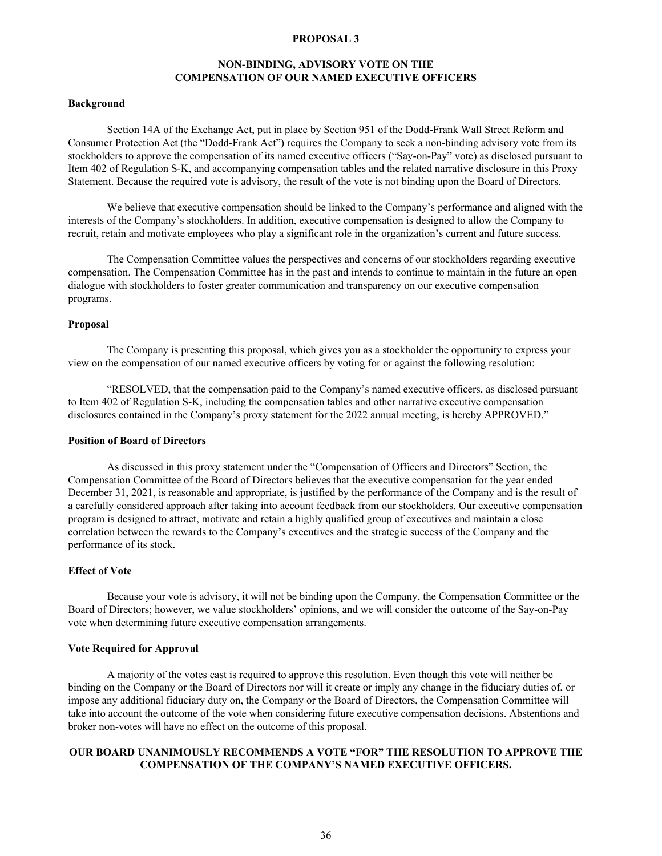### **PROPOSAL 3**

### **NON-BINDING, ADVISORY VOTE ON THE COMPENSATION OF OUR NAMED EXECUTIVE OFFICERS**

### <span id="page-38-0"></span>**Background**

Section 14A of the Exchange Act, put in place by Section 951 of the Dodd-Frank Wall Street Reform and Consumer Protection Act (the "Dodd-Frank Act") requires the Company to seek a non-binding advisory vote from its stockholders to approve the compensation of its named executive officers ("Say-on-Pay" vote) as disclosed pursuant to Item 402 of Regulation S-K, and accompanying compensation tables and the related narrative disclosure in this Proxy Statement. Because the required vote is advisory, the result of the vote is not binding upon the Board of Directors.

We believe that executive compensation should be linked to the Company's performance and aligned with the interests of the Company's stockholders. In addition, executive compensation is designed to allow the Company to recruit, retain and motivate employees who play a significant role in the organization's current and future success.

The Compensation Committee values the perspectives and concerns of our stockholders regarding executive compensation. The Compensation Committee has in the past and intends to continue to maintain in the future an open dialogue with stockholders to foster greater communication and transparency on our executive compensation programs.

#### **Proposal**

The Company is presenting this proposal, which gives you as a stockholder the opportunity to express your view on the compensation of our named executive officers by voting for or against the following resolution:

"RESOLVED, that the compensation paid to the Company's named executive officers, as disclosed pursuant to Item 402 of Regulation S-K, including the compensation tables and other narrative executive compensation disclosures contained in the Company's proxy statement for the 2022 annual meeting, is hereby APPROVED."

#### **Position of Board of Directors**

As discussed in this proxy statement under the "Compensation of Officers and Directors" Section, the Compensation Committee of the Board of Directors believes that the executive compensation for the year ended December 31, 2021, is reasonable and appropriate, is justified by the performance of the Company and is the result of a carefully considered approach after taking into account feedback from our stockholders. Our executive compensation program is designed to attract, motivate and retain a highly qualified group of executives and maintain a close correlation between the rewards to the Company's executives and the strategic success of the Company and the performance of its stock.

### **Effect of Vote**

Because your vote is advisory, it will not be binding upon the Company, the Compensation Committee or the Board of Directors; however, we value stockholders' opinions, and we will consider the outcome of the Say-on-Pay vote when determining future executive compensation arrangements.

#### **Vote Required for Approval**

A majority of the votes cast is required to approve this resolution. Even though this vote will neither be binding on the Company or the Board of Directors nor will it create or imply any change in the fiduciary duties of, or impose any additional fiduciary duty on, the Company or the Board of Directors, the Compensation Committee will take into account the outcome of the vote when considering future executive compensation decisions. Abstentions and broker non-votes will have no effect on the outcome of this proposal.

### **OUR BOARD UNANIMOUSLY RECOMMENDS A VOTE "FOR" THE RESOLUTION TO APPROVE THE COMPENSATION OF THE COMPANY'S NAMED EXECUTIVE OFFICERS.**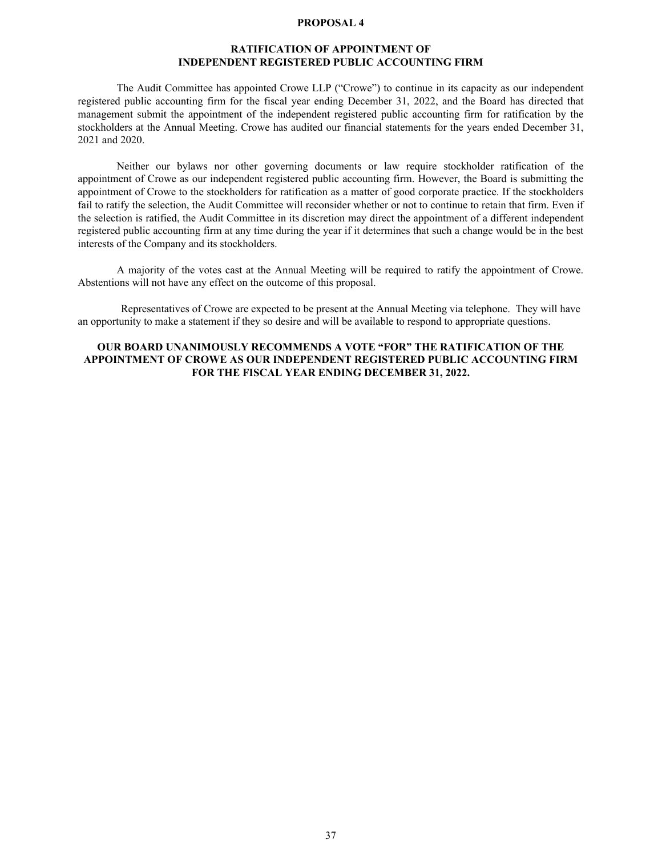#### **PROPOSAL 4**

### **RATIFICATION OF APPOINTMENT OF INDEPENDENT REGISTERED PUBLIC ACCOUNTING FIRM**

<span id="page-39-0"></span>The Audit Committee has appointed Crowe LLP ("Crowe") to continue in its capacity as our independent registered public accounting firm for the fiscal year ending December 31, 2022, and the Board has directed that management submit the appointment of the independent registered public accounting firm for ratification by the stockholders at the Annual Meeting. Crowe has audited our financial statements for the years ended December 31, 2021 and 2020.

Neither our bylaws nor other governing documents or law require stockholder ratification of the appointment of Crowe as our independent registered public accounting firm. However, the Board is submitting the appointment of Crowe to the stockholders for ratification as a matter of good corporate practice. If the stockholders fail to ratify the selection, the Audit Committee will reconsider whether or not to continue to retain that firm. Even if the selection is ratified, the Audit Committee in its discretion may direct the appointment of a different independent registered public accounting firm at any time during the year if it determines that such a change would be in the best interests of the Company and its stockholders.

A majority of the votes cast at the Annual Meeting will be required to ratify the appointment of Crowe. Abstentions will not have any effect on the outcome of this proposal.

 Representatives of Crowe are expected to be present at the Annual Meeting via telephone. They will have an opportunity to make a statement if they so desire and will be available to respond to appropriate questions.

### **OUR BOARD UNANIMOUSLY RECOMMENDS A VOTE "FOR" THE RATIFICATION OF THE APPOINTMENT OF CROWE AS OUR INDEPENDENT REGISTERED PUBLIC ACCOUNTING FIRM FOR THE FISCAL YEAR ENDING DECEMBER 31, 2022.**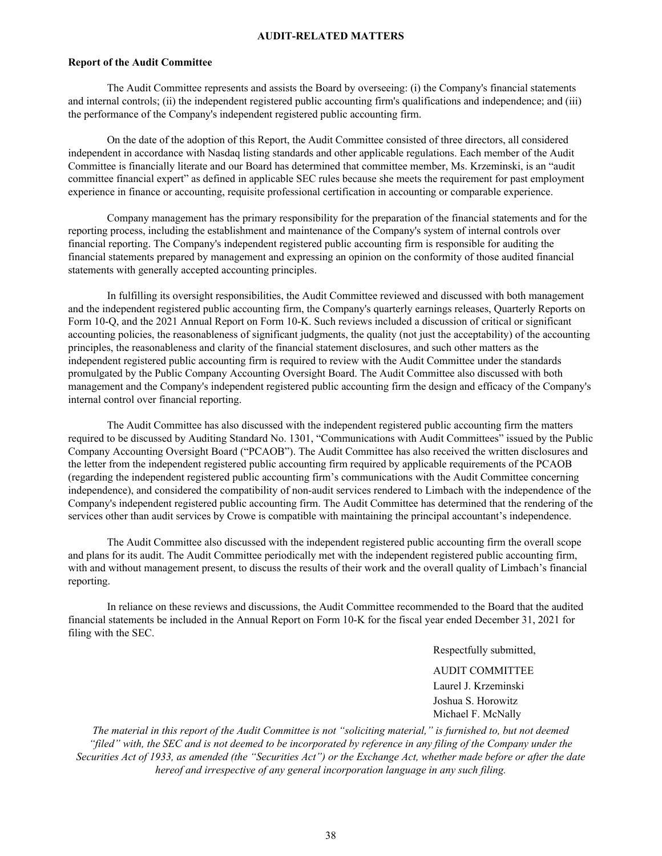### **AUDIT-RELATED MATTERS**

#### **Report of the Audit Committee**

The Audit Committee represents and assists the Board by overseeing: (i) the Company's financial statements and internal controls; (ii) the independent registered public accounting firm's qualifications and independence; and (iii) the performance of the Company's independent registered public accounting firm.

On the date of the adoption of this Report, the Audit Committee consisted of three directors, all considered independent in accordance with Nasdaq listing standards and other applicable regulations. Each member of the Audit Committee is financially literate and our Board has determined that committee member, Ms. Krzeminski, is an "audit committee financial expert" as defined in applicable SEC rules because she meets the requirement for past employment experience in finance or accounting, requisite professional certification in accounting or comparable experience.

Company management has the primary responsibility for the preparation of the financial statements and for the reporting process, including the establishment and maintenance of the Company's system of internal controls over financial reporting. The Company's independent registered public accounting firm is responsible for auditing the financial statements prepared by management and expressing an opinion on the conformity of those audited financial statements with generally accepted accounting principles.

In fulfilling its oversight responsibilities, the Audit Committee reviewed and discussed with both management and the independent registered public accounting firm, the Company's quarterly earnings releases, Quarterly Reports on Form 10-Q, and the 2021 Annual Report on Form 10-K. Such reviews included a discussion of critical or significant accounting policies, the reasonableness of significant judgments, the quality (not just the acceptability) of the accounting principles, the reasonableness and clarity of the financial statement disclosures, and such other matters as the independent registered public accounting firm is required to review with the Audit Committee under the standards promulgated by the Public Company Accounting Oversight Board. The Audit Committee also discussed with both management and the Company's independent registered public accounting firm the design and efficacy of the Company's internal control over financial reporting.

The Audit Committee has also discussed with the independent registered public accounting firm the matters required to be discussed by Auditing Standard No. 1301, "Communications with Audit Committees" issued by the Public Company Accounting Oversight Board ("PCAOB"). The Audit Committee has also received the written disclosures and the letter from the independent registered public accounting firm required by applicable requirements of the PCAOB (regarding the independent registered public accounting firm's communications with the Audit Committee concerning independence), and considered the compatibility of non-audit services rendered to Limbach with the independence of the Company's independent registered public accounting firm. The Audit Committee has determined that the rendering of the services other than audit services by Crowe is compatible with maintaining the principal accountant's independence.

The Audit Committee also discussed with the independent registered public accounting firm the overall scope and plans for its audit. The Audit Committee periodically met with the independent registered public accounting firm, with and without management present, to discuss the results of their work and the overall quality of Limbach's financial reporting.

In reliance on these reviews and discussions, the Audit Committee recommended to the Board that the audited financial statements be included in the Annual Report on Form 10-K for the fiscal year ended December 31, 2021 for filing with the SEC.

Respectfully submitted,

AUDIT COMMITTEE Laurel J. Krzeminski Joshua S. Horowitz Michael F. McNally

*The material in this report of the Audit Committee is not "soliciting material," is furnished to, but not deemed "filed" with, the SEC and is not deemed to be incorporated by reference in any filing of the Company under the Securities Act of 1933, as amended (the "Securities Act") or the Exchange Act, whether made before or after the date hereof and irrespective of any general incorporation language in any such filing.*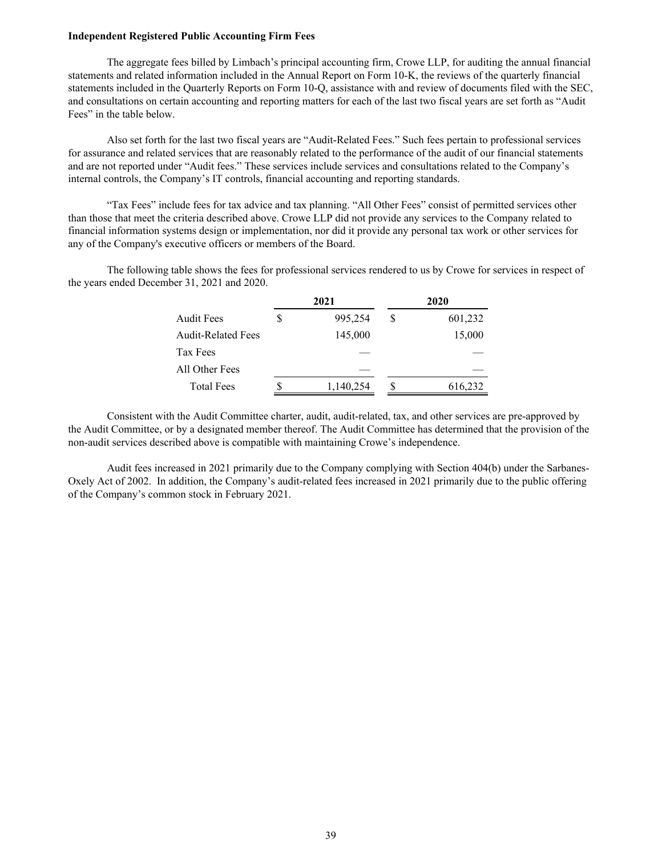#### **Independent Registered Public Accounting Firm Fees**

The aggregate fees billed by Limbach's principal accounting firm, Crowe LLP, for auditing the annual financial statements and related information included in the Annual Report on Form 10-K, the reviews of the quarterly financial statements included in the Quarterly Reports on Form 10-Q, assistance with and review of documents filed with the SEC, and consultations on certain accounting and reporting matters for each of the last two fiscal years are set forth as "Audit Fees" in the table below.

Also set forth for the last two fiscal years are "Audit-Related Fees." Such fees pertain to professional services for assurance and related services that are reasonably related to the performance of the audit of our financial statements and are not reported under "Audit fees." These services include services and consultations related to the Company's internal controls, the Company's IT controls, financial accounting and reporting standards.

"Tax Fees" include fees for tax advice and tax planning. "All Other Fees" consist of permitted services other than those that meet the criteria described above. Crowe LLP did not provide any services to the Company related to financial information systems design or implementation, nor did it provide any personal tax work or other services for any of the Company's executive officers or members of the Board.

The following table shows the fees for professional services rendered to us by Crowe for services in respect of the years ended December 31, 2021 and 2020.

|                           |   | 2021      |   | 2020    |
|---------------------------|---|-----------|---|---------|
| <b>Audit Fees</b>         | S | 995,254   | S | 601,232 |
| <b>Audit-Related Fees</b> |   | 145,000   |   | 15,000  |
| Tax Fees                  |   |           |   |         |
| All Other Fees            |   |           |   |         |
| <b>Total Fees</b>         |   | 1,140,254 |   | 616,232 |

Consistent with the Audit Committee charter, audit, audit-related, tax, and other services are pre-approved by the Audit Committee, or by a designated member thereof. The Audit Committee has determined that the provision of the non-audit services described above is compatible with maintaining Crowe's independence.

Audit fees increased in 2021 primarily due to the Company complying with Section 404(b) under the Sarbanes-Oxely Act of 2002. In addition, the Company's audit-related fees increased in 2021 primarily due to the public offering of the Company's common stock in February 2021.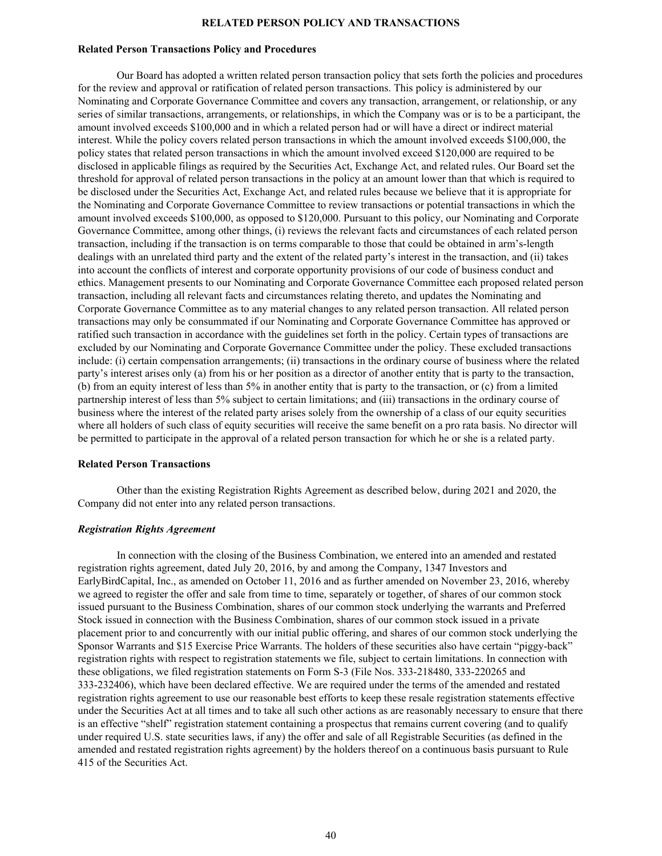### **RELATED PERSON POLICY AND TRANSACTIONS**

### <span id="page-42-0"></span>**Related Person Transactions Policy and Procedures**

Our Board has adopted a written related person transaction policy that sets forth the policies and procedures for the review and approval or ratification of related person transactions. This policy is administered by our Nominating and Corporate Governance Committee and covers any transaction, arrangement, or relationship, or any series of similar transactions, arrangements, or relationships, in which the Company was or is to be a participant, the amount involved exceeds \$100,000 and in which a related person had or will have a direct or indirect material interest. While the policy covers related person transactions in which the amount involved exceeds \$100,000, the policy states that related person transactions in which the amount involved exceed \$120,000 are required to be disclosed in applicable filings as required by the Securities Act, Exchange Act, and related rules. Our Board set the threshold for approval of related person transactions in the policy at an amount lower than that which is required to be disclosed under the Securities Act, Exchange Act, and related rules because we believe that it is appropriate for the Nominating and Corporate Governance Committee to review transactions or potential transactions in which the amount involved exceeds \$100,000, as opposed to \$120,000. Pursuant to this policy, our Nominating and Corporate Governance Committee, among other things, (i) reviews the relevant facts and circumstances of each related person transaction, including if the transaction is on terms comparable to those that could be obtained in arm's-length dealings with an unrelated third party and the extent of the related party's interest in the transaction, and (ii) takes into account the conflicts of interest and corporate opportunity provisions of our code of business conduct and ethics. Management presents to our Nominating and Corporate Governance Committee each proposed related person transaction, including all relevant facts and circumstances relating thereto, and updates the Nominating and Corporate Governance Committee as to any material changes to any related person transaction. All related person transactions may only be consummated if our Nominating and Corporate Governance Committee has approved or ratified such transaction in accordance with the guidelines set forth in the policy. Certain types of transactions are excluded by our Nominating and Corporate Governance Committee under the policy. These excluded transactions include: (i) certain compensation arrangements; (ii) transactions in the ordinary course of business where the related party's interest arises only (a) from his or her position as a director of another entity that is party to the transaction, (b) from an equity interest of less than 5% in another entity that is party to the transaction, or (c) from a limited partnership interest of less than 5% subject to certain limitations; and (iii) transactions in the ordinary course of business where the interest of the related party arises solely from the ownership of a class of our equity securities where all holders of such class of equity securities will receive the same benefit on a pro rata basis. No director will be permitted to participate in the approval of a related person transaction for which he or she is a related party.

#### **Related Person Transactions**

Other than the existing Registration Rights Agreement as described below, during 2021 and 2020, the Company did not enter into any related person transactions.

### *Registration Rights Agreement*

In connection with the closing of the Business Combination, we entered into an amended and restated registration rights agreement, dated July 20, 2016, by and among the Company, 1347 Investors and EarlyBirdCapital, Inc., as amended on October 11, 2016 and as further amended on November 23, 2016, whereby we agreed to register the offer and sale from time to time, separately or together, of shares of our common stock issued pursuant to the Business Combination, shares of our common stock underlying the warrants and Preferred Stock issued in connection with the Business Combination, shares of our common stock issued in a private placement prior to and concurrently with our initial public offering, and shares of our common stock underlying the Sponsor Warrants and \$15 Exercise Price Warrants. The holders of these securities also have certain "piggy-back" registration rights with respect to registration statements we file, subject to certain limitations. In connection with these obligations, we filed registration statements on Form S-3 (File Nos. 333-218480, 333-220265 and 333-232406), which have been declared effective. We are required under the terms of the amended and restated registration rights agreement to use our reasonable best efforts to keep these resale registration statements effective under the Securities Act at all times and to take all such other actions as are reasonably necessary to ensure that there is an effective "shelf" registration statement containing a prospectus that remains current covering (and to qualify under required U.S. state securities laws, if any) the offer and sale of all Registrable Securities (as defined in the amended and restated registration rights agreement) by the holders thereof on a continuous basis pursuant to Rule 415 of the Securities Act.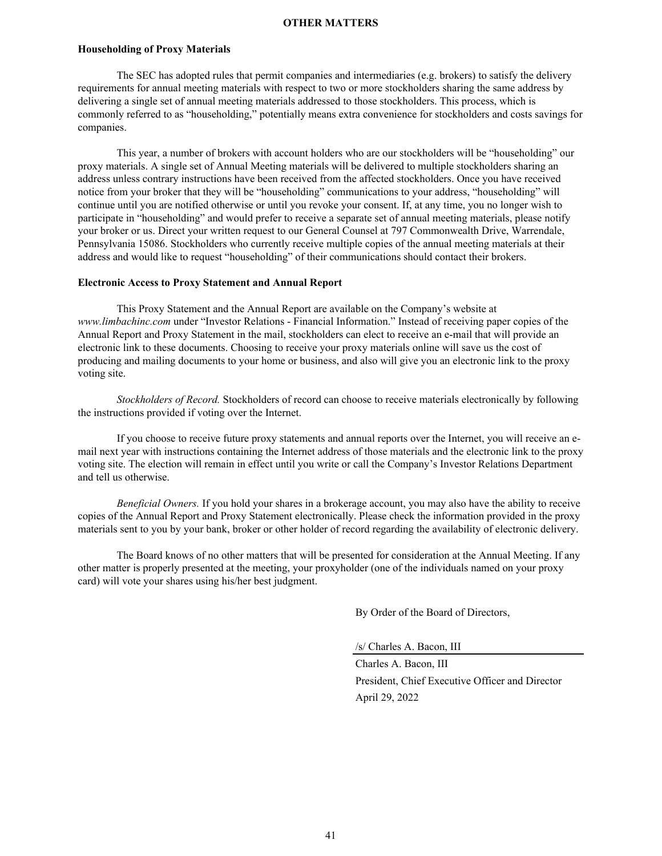#### **OTHER MATTERS**

#### <span id="page-43-0"></span>**Householding of Proxy Materials**

The SEC has adopted rules that permit companies and intermediaries (e.g. brokers) to satisfy the delivery requirements for annual meeting materials with respect to two or more stockholders sharing the same address by delivering a single set of annual meeting materials addressed to those stockholders. This process, which is commonly referred to as "householding," potentially means extra convenience for stockholders and costs savings for companies.

This year, a number of brokers with account holders who are our stockholders will be "householding" our proxy materials. A single set of Annual Meeting materials will be delivered to multiple stockholders sharing an address unless contrary instructions have been received from the affected stockholders. Once you have received notice from your broker that they will be "householding" communications to your address, "householding" will continue until you are notified otherwise or until you revoke your consent. If, at any time, you no longer wish to participate in "householding" and would prefer to receive a separate set of annual meeting materials, please notify your broker or us. Direct your written request to our General Counsel at 797 Commonwealth Drive, Warrendale, Pennsylvania 15086. Stockholders who currently receive multiple copies of the annual meeting materials at their address and would like to request "householding" of their communications should contact their brokers.

#### **Electronic Access to Proxy Statement and Annual Report**

This Proxy Statement and the Annual Report are available on the Company's website at *www.limbachinc.com* under "Investor Relations - Financial Information." Instead of receiving paper copies of the Annual Report and Proxy Statement in the mail, stockholders can elect to receive an e-mail that will provide an electronic link to these documents. Choosing to receive your proxy materials online will save us the cost of producing and mailing documents to your home or business, and also will give you an electronic link to the proxy voting site.

*Stockholders of Record.* Stockholders of record can choose to receive materials electronically by following the instructions provided if voting over the Internet.

If you choose to receive future proxy statements and annual reports over the Internet, you will receive an email next year with instructions containing the Internet address of those materials and the electronic link to the proxy voting site. The election will remain in effect until you write or call the Company's Investor Relations Department and tell us otherwise.

*Beneficial Owners.* If you hold your shares in a brokerage account, you may also have the ability to receive copies of the Annual Report and Proxy Statement electronically. Please check the information provided in the proxy materials sent to you by your bank, broker or other holder of record regarding the availability of electronic delivery.

The Board knows of no other matters that will be presented for consideration at the Annual Meeting. If any other matter is properly presented at the meeting, your proxyholder (one of the individuals named on your proxy card) will vote your shares using his/her best judgment.

By Order of the Board of Directors,

/s/ Charles A. Bacon, III

Charles A. Bacon, III President, Chief Executive Officer and Director April 29, 2022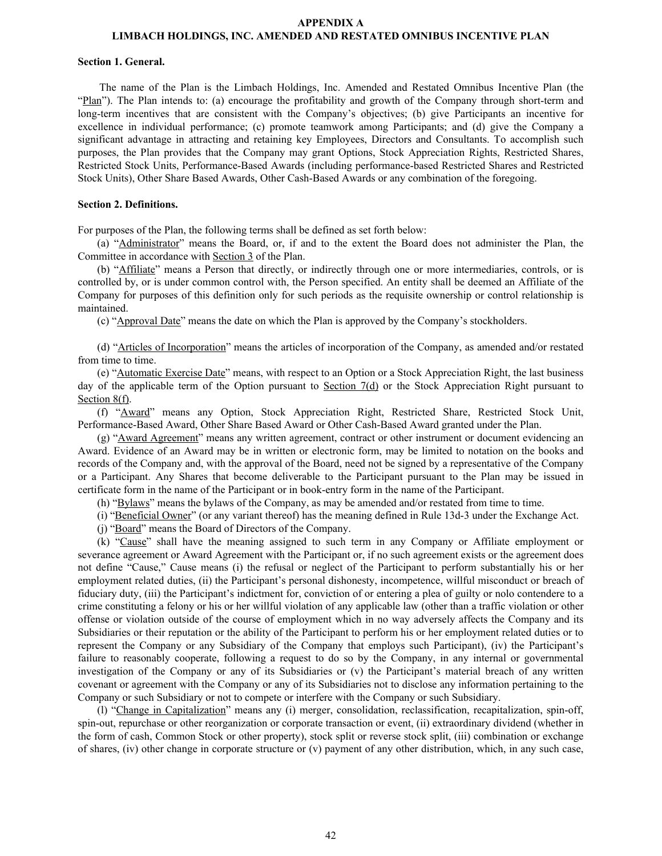#### **APPENDIX A LIMBACH HOLDINGS, INC. AMENDED AND RESTATED OMNIBUS INCENTIVE PLAN**

#### **Section 1. General.**

The name of the Plan is the Limbach Holdings, Inc. Amended and Restated Omnibus Incentive Plan (the "Plan"). The Plan intends to: (a) encourage the profitability and growth of the Company through short-term and long-term incentives that are consistent with the Company's objectives; (b) give Participants an incentive for excellence in individual performance; (c) promote teamwork among Participants; and (d) give the Company a significant advantage in attracting and retaining key Employees, Directors and Consultants. To accomplish such purposes, the Plan provides that the Company may grant Options, Stock Appreciation Rights, Restricted Shares, Restricted Stock Units, Performance-Based Awards (including performance-based Restricted Shares and Restricted Stock Units), Other Share Based Awards, Other Cash-Based Awards or any combination of the foregoing.

#### **Section 2. Definitions.**

For purposes of the Plan, the following terms shall be defined as set forth below:

(a) "Administrator" means the Board, or, if and to the extent the Board does not administer the Plan, the Committee in accordance with Section 3 of the Plan.

(b) "Affiliate" means a Person that directly, or indirectly through one or more intermediaries, controls, or is controlled by, or is under common control with, the Person specified. An entity shall be deemed an Affiliate of the Company for purposes of this definition only for such periods as the requisite ownership or control relationship is maintained.

(c) "Approval Date" means the date on which the Plan is approved by the Company's stockholders.

(d) "Articles of Incorporation" means the articles of incorporation of the Company, as amended and/or restated from time to time.

(e) "Automatic Exercise Date" means, with respect to an Option or a Stock Appreciation Right, the last business day of the applicable term of the Option pursuant to Section 7(d) or the Stock Appreciation Right pursuant to Section 8(f).

(f) "Award" means any Option, Stock Appreciation Right, Restricted Share, Restricted Stock Unit, Performance-Based Award, Other Share Based Award or Other Cash-Based Award granted under the Plan.

(g) "Award Agreement" means any written agreement, contract or other instrument or document evidencing an Award. Evidence of an Award may be in written or electronic form, may be limited to notation on the books and records of the Company and, with the approval of the Board, need not be signed by a representative of the Company or a Participant. Any Shares that become deliverable to the Participant pursuant to the Plan may be issued in certificate form in the name of the Participant or in book-entry form in the name of the Participant.

(h) "Bylaws" means the bylaws of the Company, as may be amended and/or restated from time to time.

(i) "Beneficial Owner" (or any variant thereof) has the meaning defined in Rule 13d-3 under the Exchange Act.

(j) "Board" means the Board of Directors of the Company.

(k) "Cause" shall have the meaning assigned to such term in any Company or Affiliate employment or severance agreement or Award Agreement with the Participant or, if no such agreement exists or the agreement does not define "Cause," Cause means (i) the refusal or neglect of the Participant to perform substantially his or her employment related duties, (ii) the Participant's personal dishonesty, incompetence, willful misconduct or breach of fiduciary duty, (iii) the Participant's indictment for, conviction of or entering a plea of guilty or nolo contendere to a crime constituting a felony or his or her willful violation of any applicable law (other than a traffic violation or other offense or violation outside of the course of employment which in no way adversely affects the Company and its Subsidiaries or their reputation or the ability of the Participant to perform his or her employment related duties or to represent the Company or any Subsidiary of the Company that employs such Participant), (iv) the Participant's failure to reasonably cooperate, following a request to do so by the Company, in any internal or governmental investigation of the Company or any of its Subsidiaries or (v) the Participant's material breach of any written covenant or agreement with the Company or any of its Subsidiaries not to disclose any information pertaining to the Company or such Subsidiary or not to compete or interfere with the Company or such Subsidiary.

(l) "Change in Capitalization" means any (i) merger, consolidation, reclassification, recapitalization, spin-off, spin-out, repurchase or other reorganization or corporate transaction or event, (ii) extraordinary dividend (whether in the form of cash, Common Stock or other property), stock split or reverse stock split, (iii) combination or exchange of shares, (iv) other change in corporate structure or (v) payment of any other distribution, which, in any such case,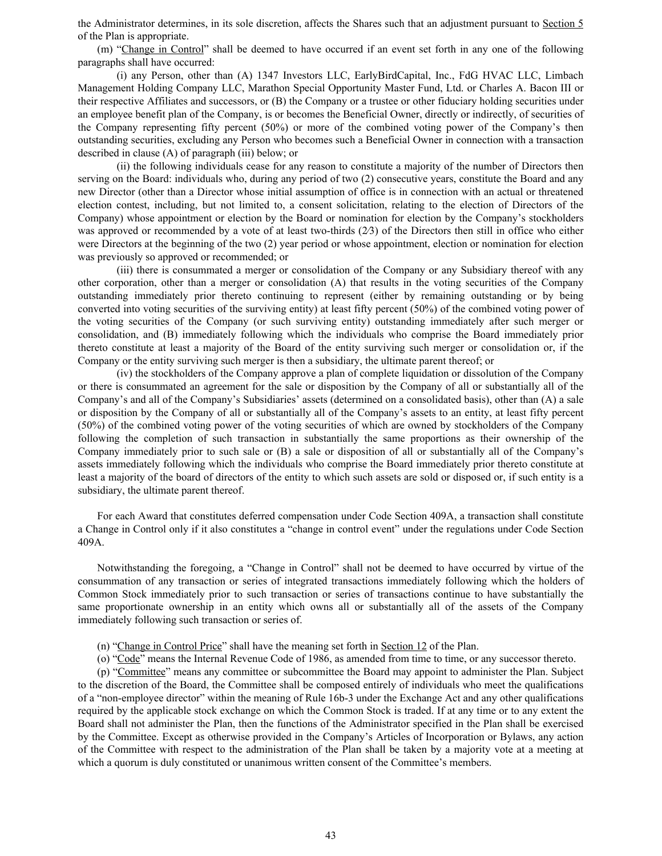the Administrator determines, in its sole discretion, affects the Shares such that an adjustment pursuant to Section 5 of the Plan is appropriate.

(m) "Change in Control" shall be deemed to have occurred if an event set forth in any one of the following paragraphs shall have occurred:

(i) any Person, other than (A) 1347 Investors LLC, EarlyBirdCapital, Inc., FdG HVAC LLC, Limbach Management Holding Company LLC, Marathon Special Opportunity Master Fund, Ltd. or Charles A. Bacon III or their respective Affiliates and successors, or (B) the Company or a trustee or other fiduciary holding securities under an employee benefit plan of the Company, is or becomes the Beneficial Owner, directly or indirectly, of securities of the Company representing fifty percent (50%) or more of the combined voting power of the Company's then outstanding securities, excluding any Person who becomes such a Beneficial Owner in connection with a transaction described in clause (A) of paragraph (iii) below; or

(ii) the following individuals cease for any reason to constitute a majority of the number of Directors then serving on the Board: individuals who, during any period of two (2) consecutive years, constitute the Board and any new Director (other than a Director whose initial assumption of office is in connection with an actual or threatened election contest, including, but not limited to, a consent solicitation, relating to the election of Directors of the Company) whose appointment or election by the Board or nomination for election by the Company's stockholders was approved or recommended by a vote of at least two-thirds (2/3) of the Directors then still in office who either were Directors at the beginning of the two (2) year period or whose appointment, election or nomination for election was previously so approved or recommended; or

(iii) there is consummated a merger or consolidation of the Company or any Subsidiary thereof with any other corporation, other than a merger or consolidation (A) that results in the voting securities of the Company outstanding immediately prior thereto continuing to represent (either by remaining outstanding or by being converted into voting securities of the surviving entity) at least fifty percent (50%) of the combined voting power of the voting securities of the Company (or such surviving entity) outstanding immediately after such merger or consolidation, and (B) immediately following which the individuals who comprise the Board immediately prior thereto constitute at least a majority of the Board of the entity surviving such merger or consolidation or, if the Company or the entity surviving such merger is then a subsidiary, the ultimate parent thereof; or

(iv) the stockholders of the Company approve a plan of complete liquidation or dissolution of the Company or there is consummated an agreement for the sale or disposition by the Company of all or substantially all of the Company's and all of the Company's Subsidiaries' assets (determined on a consolidated basis), other than (A) a sale or disposition by the Company of all or substantially all of the Company's assets to an entity, at least fifty percent (50%) of the combined voting power of the voting securities of which are owned by stockholders of the Company following the completion of such transaction in substantially the same proportions as their ownership of the Company immediately prior to such sale or (B) a sale or disposition of all or substantially all of the Company's assets immediately following which the individuals who comprise the Board immediately prior thereto constitute at least a majority of the board of directors of the entity to which such assets are sold or disposed or, if such entity is a subsidiary, the ultimate parent thereof.

For each Award that constitutes deferred compensation under Code Section 409A, a transaction shall constitute a Change in Control only if it also constitutes a "change in control event" under the regulations under Code Section 409A.

Notwithstanding the foregoing, a "Change in Control" shall not be deemed to have occurred by virtue of the consummation of any transaction or series of integrated transactions immediately following which the holders of Common Stock immediately prior to such transaction or series of transactions continue to have substantially the same proportionate ownership in an entity which owns all or substantially all of the assets of the Company immediately following such transaction or series of.

- (n) "Change in Control Price" shall have the meaning set forth in Section 12 of the Plan.
- (o) "Code" means the Internal Revenue Code of 1986, as amended from time to time, or any successor thereto.

(p) "Committee" means any committee or subcommittee the Board may appoint to administer the Plan. Subject to the discretion of the Board, the Committee shall be composed entirely of individuals who meet the qualifications of a "non-employee director" within the meaning of Rule 16b-3 under the Exchange Act and any other qualifications required by the applicable stock exchange on which the Common Stock is traded. If at any time or to any extent the Board shall not administer the Plan, then the functions of the Administrator specified in the Plan shall be exercised by the Committee. Except as otherwise provided in the Company's Articles of Incorporation or Bylaws, any action of the Committee with respect to the administration of the Plan shall be taken by a majority vote at a meeting at which a quorum is duly constituted or unanimous written consent of the Committee's members.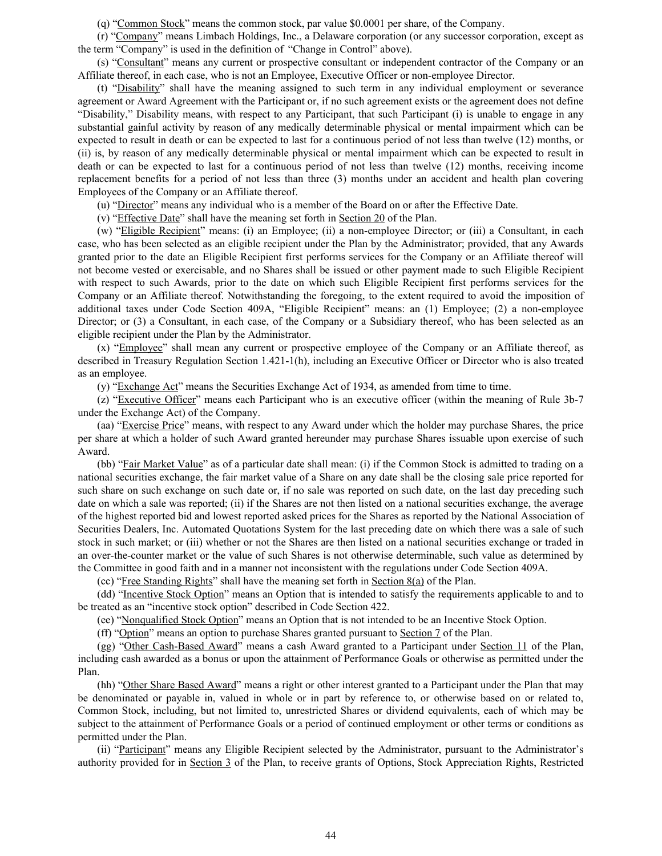(q) "Common Stock" means the common stock, par value \$0.0001 per share, of the Company.

(r) "Company" means Limbach Holdings, Inc., a Delaware corporation (or any successor corporation, except as the term "Company" is used in the definition of "Change in Control" above).

(s) "Consultant" means any current or prospective consultant or independent contractor of the Company or an Affiliate thereof, in each case, who is not an Employee, Executive Officer or non-employee Director.

(t) "Disability" shall have the meaning assigned to such term in any individual employment or severance agreement or Award Agreement with the Participant or, if no such agreement exists or the agreement does not define "Disability," Disability means, with respect to any Participant, that such Participant (i) is unable to engage in any substantial gainful activity by reason of any medically determinable physical or mental impairment which can be expected to result in death or can be expected to last for a continuous period of not less than twelve (12) months, or (ii) is, by reason of any medically determinable physical or mental impairment which can be expected to result in death or can be expected to last for a continuous period of not less than twelve (12) months, receiving income replacement benefits for a period of not less than three (3) months under an accident and health plan covering Employees of the Company or an Affiliate thereof.

(u) "Director" means any individual who is a member of the Board on or after the Effective Date.

(v) "Effective Date" shall have the meaning set forth in Section 20 of the Plan.

(w) "Eligible Recipient" means: (i) an Employee; (ii) a non-employee Director; or (iii) a Consultant, in each case, who has been selected as an eligible recipient under the Plan by the Administrator; provided, that any Awards granted prior to the date an Eligible Recipient first performs services for the Company or an Affiliate thereof will not become vested or exercisable, and no Shares shall be issued or other payment made to such Eligible Recipient with respect to such Awards, prior to the date on which such Eligible Recipient first performs services for the Company or an Affiliate thereof. Notwithstanding the foregoing, to the extent required to avoid the imposition of additional taxes under Code Section 409A, "Eligible Recipient" means: an (1) Employee; (2) a non-employee Director; or (3) a Consultant, in each case, of the Company or a Subsidiary thereof, who has been selected as an eligible recipient under the Plan by the Administrator.

(x) "Employee" shall mean any current or prospective employee of the Company or an Affiliate thereof, as described in Treasury Regulation Section 1.421-1(h), including an Executive Officer or Director who is also treated as an employee.

(y) "Exchange Act" means the Securities Exchange Act of 1934, as amended from time to time.

(z) "Executive Officer" means each Participant who is an executive officer (within the meaning of Rule 3b-7 under the Exchange Act) of the Company.

(aa) "Exercise Price" means, with respect to any Award under which the holder may purchase Shares, the price per share at which a holder of such Award granted hereunder may purchase Shares issuable upon exercise of such Award.

(bb) "Fair Market Value" as of a particular date shall mean: (i) if the Common Stock is admitted to trading on a national securities exchange, the fair market value of a Share on any date shall be the closing sale price reported for such share on such exchange on such date or, if no sale was reported on such date, on the last day preceding such date on which a sale was reported; (ii) if the Shares are not then listed on a national securities exchange, the average of the highest reported bid and lowest reported asked prices for the Shares as reported by the National Association of Securities Dealers, Inc. Automated Quotations System for the last preceding date on which there was a sale of such stock in such market; or (iii) whether or not the Shares are then listed on a national securities exchange or traded in an over-the-counter market or the value of such Shares is not otherwise determinable, such value as determined by the Committee in good faith and in a manner not inconsistent with the regulations under Code Section 409A.

(cc) "Free Standing Rights" shall have the meaning set forth in Section 8(a) of the Plan.

(dd) "Incentive Stock Option" means an Option that is intended to satisfy the requirements applicable to and to be treated as an "incentive stock option" described in Code Section 422.

(ee) "Nonqualified Stock Option" means an Option that is not intended to be an Incentive Stock Option.

(ff) "Option" means an option to purchase Shares granted pursuant to Section 7 of the Plan.

(gg) "Other Cash-Based Award" means a cash Award granted to a Participant under Section 11 of the Plan, including cash awarded as a bonus or upon the attainment of Performance Goals or otherwise as permitted under the Plan.

(hh) "Other Share Based Award" means a right or other interest granted to a Participant under the Plan that may be denominated or payable in, valued in whole or in part by reference to, or otherwise based on or related to, Common Stock, including, but not limited to, unrestricted Shares or dividend equivalents, each of which may be subject to the attainment of Performance Goals or a period of continued employment or other terms or conditions as permitted under the Plan.

(ii) "Participant" means any Eligible Recipient selected by the Administrator, pursuant to the Administrator's authority provided for in Section 3 of the Plan, to receive grants of Options, Stock Appreciation Rights, Restricted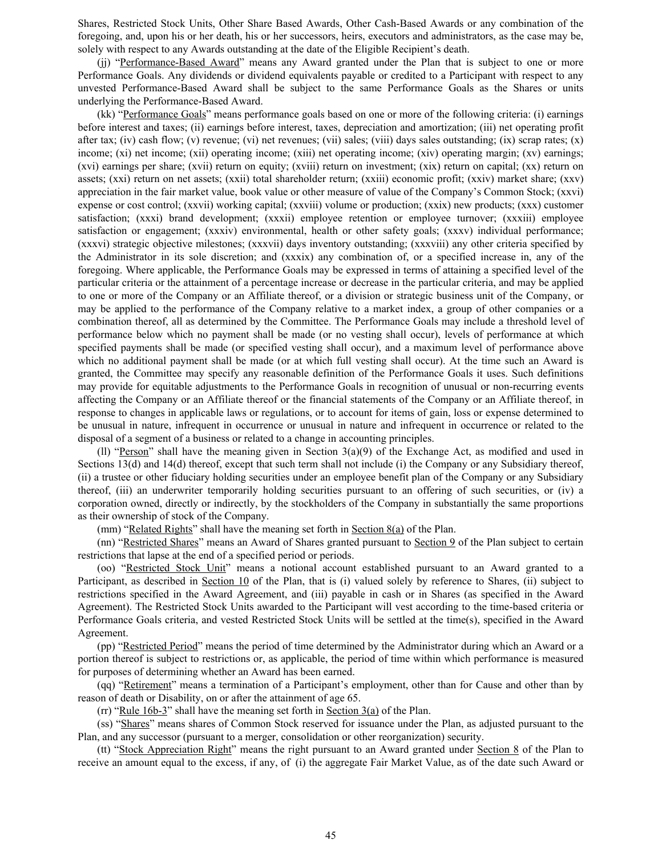Shares, Restricted Stock Units, Other Share Based Awards, Other Cash-Based Awards or any combination of the foregoing, and, upon his or her death, his or her successors, heirs, executors and administrators, as the case may be, solely with respect to any Awards outstanding at the date of the Eligible Recipient's death.

(ij) "Performance-Based Award" means any Award granted under the Plan that is subject to one or more Performance Goals. Any dividends or dividend equivalents payable or credited to a Participant with respect to any unvested Performance-Based Award shall be subject to the same Performance Goals as the Shares or units underlying the Performance-Based Award.

(kk) "Performance Goals" means performance goals based on one or more of the following criteria: (i) earnings before interest and taxes; (ii) earnings before interest, taxes, depreciation and amortization; (iii) net operating profit after tax; (iv) cash flow; (v) revenue; (vi) net revenues; (vii) sales; (viii) days sales outstanding; (ix) scrap rates; (x) income; (xi) net income; (xii) operating income; (xiii) net operating income; (xiv) operating margin; (xv) earnings; (xvi) earnings per share; (xvii) return on equity; (xviii) return on investment; (xix) return on capital; (xx) return on assets; (xxi) return on net assets; (xxii) total shareholder return; (xxiii) economic profit; (xxiv) market share; (xxv) appreciation in the fair market value, book value or other measure of value of the Company's Common Stock; (xxvi) expense or cost control; (xxvii) working capital; (xxviii) volume or production; (xxix) new products; (xxx) customer satisfaction; (xxxi) brand development; (xxxii) employee retention or employee turnover; (xxxiii) employee satisfaction or engagement; (xxxiv) environmental, health or other safety goals; (xxxv) individual performance; (xxxvi) strategic objective milestones; (xxxvii) days inventory outstanding; (xxxviii) any other criteria specified by the Administrator in its sole discretion; and (xxxix) any combination of, or a specified increase in, any of the foregoing. Where applicable, the Performance Goals may be expressed in terms of attaining a specified level of the particular criteria or the attainment of a percentage increase or decrease in the particular criteria, and may be applied to one or more of the Company or an Affiliate thereof, or a division or strategic business unit of the Company, or may be applied to the performance of the Company relative to a market index, a group of other companies or a combination thereof, all as determined by the Committee. The Performance Goals may include a threshold level of performance below which no payment shall be made (or no vesting shall occur), levels of performance at which specified payments shall be made (or specified vesting shall occur), and a maximum level of performance above which no additional payment shall be made (or at which full vesting shall occur). At the time such an Award is granted, the Committee may specify any reasonable definition of the Performance Goals it uses. Such definitions may provide for equitable adjustments to the Performance Goals in recognition of unusual or non-recurring events affecting the Company or an Affiliate thereof or the financial statements of the Company or an Affiliate thereof, in response to changes in applicable laws or regulations, or to account for items of gain, loss or expense determined to be unusual in nature, infrequent in occurrence or unusual in nature and infrequent in occurrence or related to the disposal of a segment of a business or related to a change in accounting principles.

(ll) "Person" shall have the meaning given in Section  $3(a)(9)$  of the Exchange Act, as modified and used in Sections 13(d) and 14(d) thereof, except that such term shall not include (i) the Company or any Subsidiary thereof, (ii) a trustee or other fiduciary holding securities under an employee benefit plan of the Company or any Subsidiary thereof, (iii) an underwriter temporarily holding securities pursuant to an offering of such securities, or (iv) a corporation owned, directly or indirectly, by the stockholders of the Company in substantially the same proportions as their ownership of stock of the Company.

(mm) "Related Rights" shall have the meaning set forth in Section  $8(a)$  of the Plan.

(nn) "Restricted Shares" means an Award of Shares granted pursuant to Section 9 of the Plan subject to certain restrictions that lapse at the end of a specified period or periods.

(oo) "Restricted Stock Unit" means a notional account established pursuant to an Award granted to a Participant, as described in <u>Section 10</u> of the Plan, that is (i) valued solely by reference to Shares, (ii) subject to restrictions specified in the Award Agreement, and (iii) payable in cash or in Shares (as specified in the Award Agreement). The Restricted Stock Units awarded to the Participant will vest according to the time-based criteria or Performance Goals criteria, and vested Restricted Stock Units will be settled at the time(s), specified in the Award Agreement.

(pp) "Restricted Period" means the period of time determined by the Administrator during which an Award or a portion thereof is subject to restrictions or, as applicable, the period of time within which performance is measured for purposes of determining whether an Award has been earned.

(qq) "Retirement" means a termination of a Participant's employment, other than for Cause and other than by reason of death or Disability, on or after the attainment of age 65.

(rr) "Rule  $16b-3$ " shall have the meaning set forth in Section  $3(a)$  of the Plan.

(ss) "Shares" means shares of Common Stock reserved for issuance under the Plan, as adjusted pursuant to the Plan, and any successor (pursuant to a merger, consolidation or other reorganization) security.

(tt) "Stock Appreciation Right" means the right pursuant to an Award granted under Section 8 of the Plan to receive an amount equal to the excess, if any, of (i) the aggregate Fair Market Value, as of the date such Award or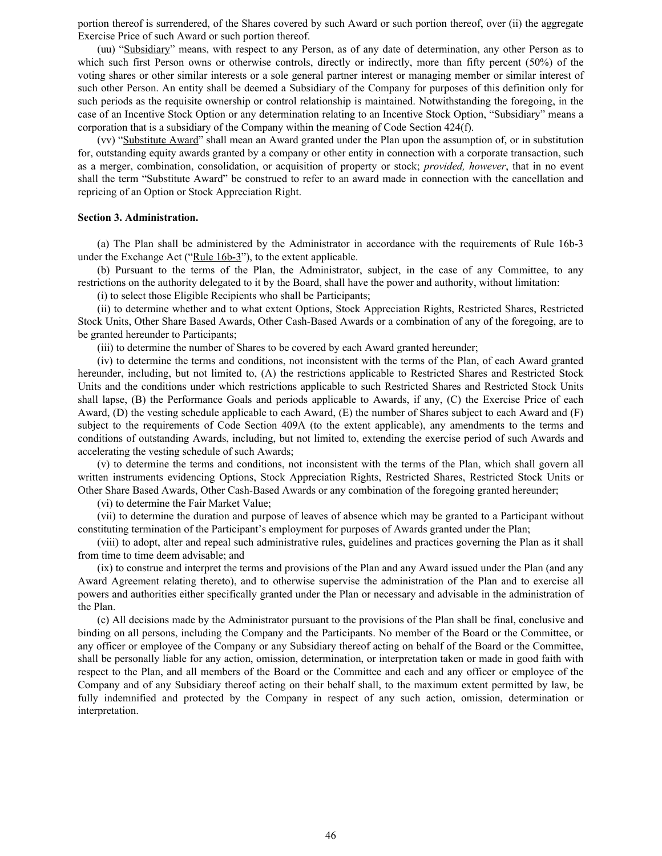portion thereof is surrendered, of the Shares covered by such Award or such portion thereof, over (ii) the aggregate Exercise Price of such Award or such portion thereof.

(uu) "Subsidiary" means, with respect to any Person, as of any date of determination, any other Person as to which such first Person owns or otherwise controls, directly or indirectly, more than fifty percent (50%) of the voting shares or other similar interests or a sole general partner interest or managing member or similar interest of such other Person. An entity shall be deemed a Subsidiary of the Company for purposes of this definition only for such periods as the requisite ownership or control relationship is maintained. Notwithstanding the foregoing, in the case of an Incentive Stock Option or any determination relating to an Incentive Stock Option, "Subsidiary" means a corporation that is a subsidiary of the Company within the meaning of Code Section 424(f).

(vv) "Substitute Award" shall mean an Award granted under the Plan upon the assumption of, or in substitution for, outstanding equity awards granted by a company or other entity in connection with a corporate transaction, such as a merger, combination, consolidation, or acquisition of property or stock; *provided, however*, that in no event shall the term "Substitute Award" be construed to refer to an award made in connection with the cancellation and repricing of an Option or Stock Appreciation Right.

#### **Section 3. Administration.**

(a) The Plan shall be administered by the Administrator in accordance with the requirements of Rule 16b-3 under the Exchange Act ("Rule 16b-3"), to the extent applicable.

(b) Pursuant to the terms of the Plan, the Administrator, subject, in the case of any Committee, to any restrictions on the authority delegated to it by the Board, shall have the power and authority, without limitation:

(i) to select those Eligible Recipients who shall be Participants;

(ii) to determine whether and to what extent Options, Stock Appreciation Rights, Restricted Shares, Restricted Stock Units, Other Share Based Awards, Other Cash-Based Awards or a combination of any of the foregoing, are to be granted hereunder to Participants;

(iii) to determine the number of Shares to be covered by each Award granted hereunder;

(iv) to determine the terms and conditions, not inconsistent with the terms of the Plan, of each Award granted hereunder, including, but not limited to, (A) the restrictions applicable to Restricted Shares and Restricted Stock Units and the conditions under which restrictions applicable to such Restricted Shares and Restricted Stock Units shall lapse, (B) the Performance Goals and periods applicable to Awards, if any, (C) the Exercise Price of each Award, (D) the vesting schedule applicable to each Award, (E) the number of Shares subject to each Award and (F) subject to the requirements of Code Section 409A (to the extent applicable), any amendments to the terms and conditions of outstanding Awards, including, but not limited to, extending the exercise period of such Awards and accelerating the vesting schedule of such Awards;

(v) to determine the terms and conditions, not inconsistent with the terms of the Plan, which shall govern all written instruments evidencing Options, Stock Appreciation Rights, Restricted Shares, Restricted Stock Units or Other Share Based Awards, Other Cash-Based Awards or any combination of the foregoing granted hereunder;

(vi) to determine the Fair Market Value;

(vii) to determine the duration and purpose of leaves of absence which may be granted to a Participant without constituting termination of the Participant's employment for purposes of Awards granted under the Plan;

(viii) to adopt, alter and repeal such administrative rules, guidelines and practices governing the Plan as it shall from time to time deem advisable; and

(ix) to construe and interpret the terms and provisions of the Plan and any Award issued under the Plan (and any Award Agreement relating thereto), and to otherwise supervise the administration of the Plan and to exercise all powers and authorities either specifically granted under the Plan or necessary and advisable in the administration of the Plan.

(c) All decisions made by the Administrator pursuant to the provisions of the Plan shall be final, conclusive and binding on all persons, including the Company and the Participants. No member of the Board or the Committee, or any officer or employee of the Company or any Subsidiary thereof acting on behalf of the Board or the Committee, shall be personally liable for any action, omission, determination, or interpretation taken or made in good faith with respect to the Plan, and all members of the Board or the Committee and each and any officer or employee of the Company and of any Subsidiary thereof acting on their behalf shall, to the maximum extent permitted by law, be fully indemnified and protected by the Company in respect of any such action, omission, determination or interpretation.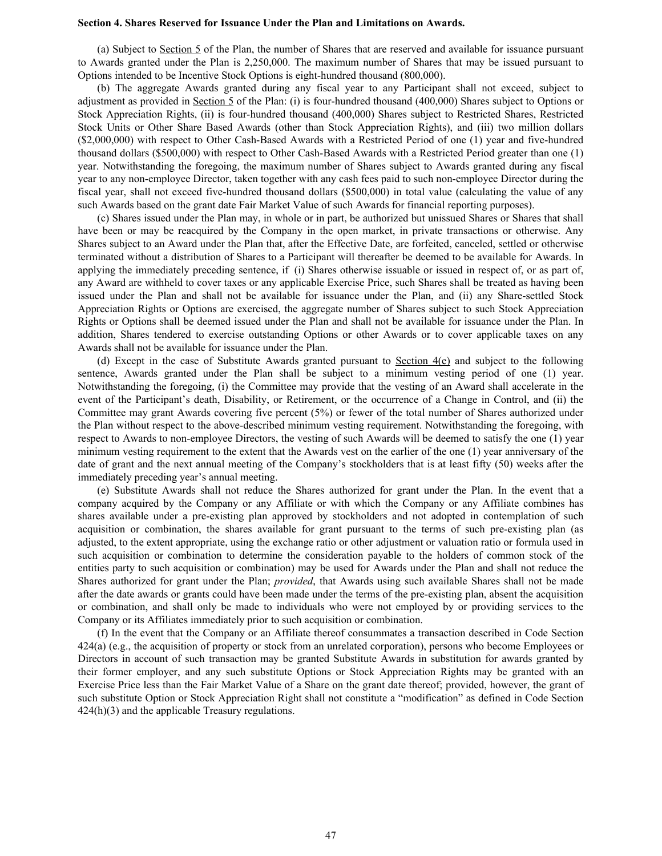#### **Section 4. Shares Reserved for Issuance Under the Plan and Limitations on Awards.**

(a) Subject to Section 5 of the Plan, the number of Shares that are reserved and available for issuance pursuant to Awards granted under the Plan is 2,250,000. The maximum number of Shares that may be issued pursuant to Options intended to be Incentive Stock Options is eight-hundred thousand (800,000).

(b) The aggregate Awards granted during any fiscal year to any Participant shall not exceed, subject to adjustment as provided in Section 5 of the Plan: (i) is four-hundred thousand (400,000) Shares subject to Options or Stock Appreciation Rights, (ii) is four-hundred thousand (400,000) Shares subject to Restricted Shares, Restricted Stock Units or Other Share Based Awards (other than Stock Appreciation Rights), and (iii) two million dollars (\$2,000,000) with respect to Other Cash-Based Awards with a Restricted Period of one (1) year and five-hundred thousand dollars (\$500,000) with respect to Other Cash-Based Awards with a Restricted Period greater than one (1) year. Notwithstanding the foregoing, the maximum number of Shares subject to Awards granted during any fiscal year to any non-employee Director, taken together with any cash fees paid to such non-employee Director during the fiscal year, shall not exceed five-hundred thousand dollars (\$500,000) in total value (calculating the value of any such Awards based on the grant date Fair Market Value of such Awards for financial reporting purposes).

(c) Shares issued under the Plan may, in whole or in part, be authorized but unissued Shares or Shares that shall have been or may be reacquired by the Company in the open market, in private transactions or otherwise. Any Shares subject to an Award under the Plan that, after the Effective Date, are forfeited, canceled, settled or otherwise terminated without a distribution of Shares to a Participant will thereafter be deemed to be available for Awards. In applying the immediately preceding sentence, if (i) Shares otherwise issuable or issued in respect of, or as part of, any Award are withheld to cover taxes or any applicable Exercise Price, such Shares shall be treated as having been issued under the Plan and shall not be available for issuance under the Plan, and (ii) any Share-settled Stock Appreciation Rights or Options are exercised, the aggregate number of Shares subject to such Stock Appreciation Rights or Options shall be deemed issued under the Plan and shall not be available for issuance under the Plan. In addition, Shares tendered to exercise outstanding Options or other Awards or to cover applicable taxes on any Awards shall not be available for issuance under the Plan.

(d) Except in the case of Substitute Awards granted pursuant to Section  $4(e)$  and subject to the following sentence, Awards granted under the Plan shall be subject to a minimum vesting period of one (1) year. Notwithstanding the foregoing, (i) the Committee may provide that the vesting of an Award shall accelerate in the event of the Participant's death, Disability, or Retirement, or the occurrence of a Change in Control, and (ii) the Committee may grant Awards covering five percent (5%) or fewer of the total number of Shares authorized under the Plan without respect to the above-described minimum vesting requirement. Notwithstanding the foregoing, with respect to Awards to non-employee Directors, the vesting of such Awards will be deemed to satisfy the one (1) year minimum vesting requirement to the extent that the Awards vest on the earlier of the one (1) year anniversary of the date of grant and the next annual meeting of the Company's stockholders that is at least fifty (50) weeks after the immediately preceding year's annual meeting.

(e) Substitute Awards shall not reduce the Shares authorized for grant under the Plan. In the event that a company acquired by the Company or any Affiliate or with which the Company or any Affiliate combines has shares available under a pre-existing plan approved by stockholders and not adopted in contemplation of such acquisition or combination, the shares available for grant pursuant to the terms of such pre-existing plan (as adjusted, to the extent appropriate, using the exchange ratio or other adjustment or valuation ratio or formula used in such acquisition or combination to determine the consideration payable to the holders of common stock of the entities party to such acquisition or combination) may be used for Awards under the Plan and shall not reduce the Shares authorized for grant under the Plan; *provided*, that Awards using such available Shares shall not be made after the date awards or grants could have been made under the terms of the pre-existing plan, absent the acquisition or combination, and shall only be made to individuals who were not employed by or providing services to the Company or its Affiliates immediately prior to such acquisition or combination.

(f) In the event that the Company or an Affiliate thereof consummates a transaction described in Code Section 424(a) (e.g., the acquisition of property or stock from an unrelated corporation), persons who become Employees or Directors in account of such transaction may be granted Substitute Awards in substitution for awards granted by their former employer, and any such substitute Options or Stock Appreciation Rights may be granted with an Exercise Price less than the Fair Market Value of a Share on the grant date thereof; provided, however, the grant of such substitute Option or Stock Appreciation Right shall not constitute a "modification" as defined in Code Section 424(h)(3) and the applicable Treasury regulations.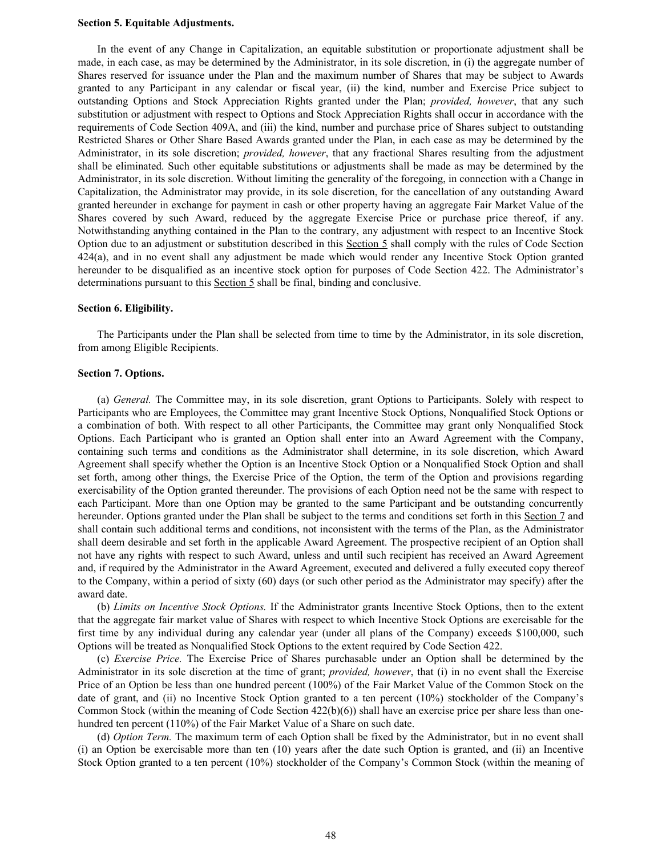#### **Section 5. Equitable Adjustments.**

In the event of any Change in Capitalization, an equitable substitution or proportionate adjustment shall be made, in each case, as may be determined by the Administrator, in its sole discretion, in (i) the aggregate number of Shares reserved for issuance under the Plan and the maximum number of Shares that may be subject to Awards granted to any Participant in any calendar or fiscal year, (ii) the kind, number and Exercise Price subject to outstanding Options and Stock Appreciation Rights granted under the Plan; *provided, however*, that any such substitution or adjustment with respect to Options and Stock Appreciation Rights shall occur in accordance with the requirements of Code Section 409A, and (iii) the kind, number and purchase price of Shares subject to outstanding Restricted Shares or Other Share Based Awards granted under the Plan, in each case as may be determined by the Administrator, in its sole discretion; *provided, however*, that any fractional Shares resulting from the adjustment shall be eliminated. Such other equitable substitutions or adjustments shall be made as may be determined by the Administrator, in its sole discretion. Without limiting the generality of the foregoing, in connection with a Change in Capitalization, the Administrator may provide, in its sole discretion, for the cancellation of any outstanding Award granted hereunder in exchange for payment in cash or other property having an aggregate Fair Market Value of the Shares covered by such Award, reduced by the aggregate Exercise Price or purchase price thereof, if any. Notwithstanding anything contained in the Plan to the contrary, any adjustment with respect to an Incentive Stock Option due to an adjustment or substitution described in this Section 5 shall comply with the rules of Code Section 424(a), and in no event shall any adjustment be made which would render any Incentive Stock Option granted hereunder to be disqualified as an incentive stock option for purposes of Code Section 422. The Administrator's determinations pursuant to this Section 5 shall be final, binding and conclusive.

#### **Section 6. Eligibility.**

The Participants under the Plan shall be selected from time to time by the Administrator, in its sole discretion, from among Eligible Recipients.

#### **Section 7. Options.**

(a) *General.* The Committee may, in its sole discretion, grant Options to Participants. Solely with respect to Participants who are Employees, the Committee may grant Incentive Stock Options, Nonqualified Stock Options or a combination of both. With respect to all other Participants, the Committee may grant only Nonqualified Stock Options. Each Participant who is granted an Option shall enter into an Award Agreement with the Company, containing such terms and conditions as the Administrator shall determine, in its sole discretion, which Award Agreement shall specify whether the Option is an Incentive Stock Option or a Nonqualified Stock Option and shall set forth, among other things, the Exercise Price of the Option, the term of the Option and provisions regarding exercisability of the Option granted thereunder. The provisions of each Option need not be the same with respect to each Participant. More than one Option may be granted to the same Participant and be outstanding concurrently hereunder. Options granted under the Plan shall be subject to the terms and conditions set forth in this Section 7 and shall contain such additional terms and conditions, not inconsistent with the terms of the Plan, as the Administrator shall deem desirable and set forth in the applicable Award Agreement. The prospective recipient of an Option shall not have any rights with respect to such Award, unless and until such recipient has received an Award Agreement and, if required by the Administrator in the Award Agreement, executed and delivered a fully executed copy thereof to the Company, within a period of sixty (60) days (or such other period as the Administrator may specify) after the award date.

(b) *Limits on Incentive Stock Options.* If the Administrator grants Incentive Stock Options, then to the extent that the aggregate fair market value of Shares with respect to which Incentive Stock Options are exercisable for the first time by any individual during any calendar year (under all plans of the Company) exceeds \$100,000, such Options will be treated as Nonqualified Stock Options to the extent required by Code Section 422.

(c) *Exercise Price.* The Exercise Price of Shares purchasable under an Option shall be determined by the Administrator in its sole discretion at the time of grant; *provided, however*, that (i) in no event shall the Exercise Price of an Option be less than one hundred percent (100%) of the Fair Market Value of the Common Stock on the date of grant, and (ii) no Incentive Stock Option granted to a ten percent (10%) stockholder of the Company's Common Stock (within the meaning of Code Section  $422(b)(6)$ ) shall have an exercise price per share less than onehundred ten percent (110%) of the Fair Market Value of a Share on such date.

(d) *Option Term.* The maximum term of each Option shall be fixed by the Administrator, but in no event shall (i) an Option be exercisable more than ten (10) years after the date such Option is granted, and (ii) an Incentive Stock Option granted to a ten percent (10%) stockholder of the Company's Common Stock (within the meaning of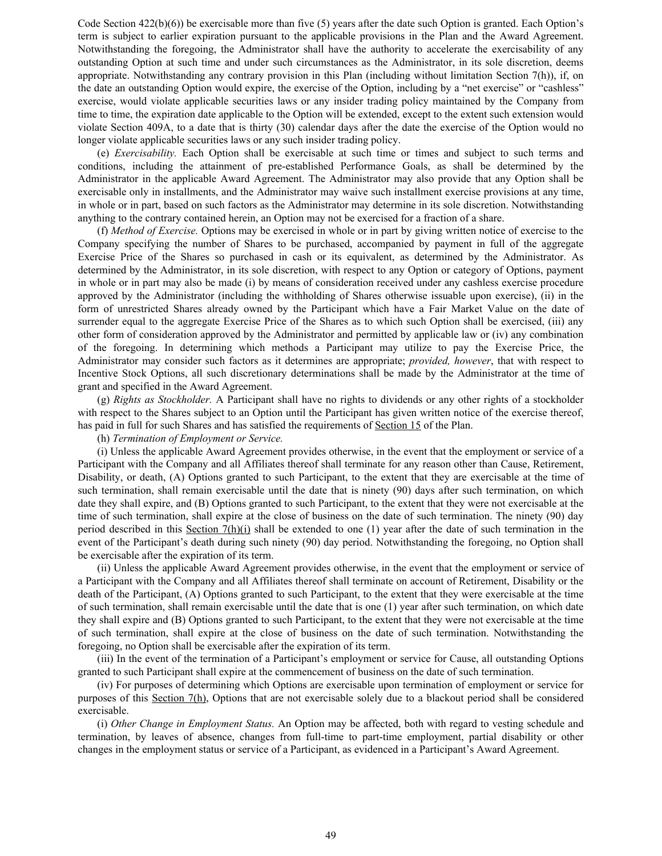Code Section  $422(b)(6)$ ) be exercisable more than five (5) years after the date such Option is granted. Each Option's term is subject to earlier expiration pursuant to the applicable provisions in the Plan and the Award Agreement. Notwithstanding the foregoing, the Administrator shall have the authority to accelerate the exercisability of any outstanding Option at such time and under such circumstances as the Administrator, in its sole discretion, deems appropriate. Notwithstanding any contrary provision in this Plan (including without limitation Section 7(h)), if, on the date an outstanding Option would expire, the exercise of the Option, including by a "net exercise" or "cashless" exercise, would violate applicable securities laws or any insider trading policy maintained by the Company from time to time, the expiration date applicable to the Option will be extended, except to the extent such extension would violate Section 409A, to a date that is thirty (30) calendar days after the date the exercise of the Option would no longer violate applicable securities laws or any such insider trading policy.

(e) *Exercisability.* Each Option shall be exercisable at such time or times and subject to such terms and conditions, including the attainment of pre-established Performance Goals, as shall be determined by the Administrator in the applicable Award Agreement. The Administrator may also provide that any Option shall be exercisable only in installments, and the Administrator may waive such installment exercise provisions at any time, in whole or in part, based on such factors as the Administrator may determine in its sole discretion. Notwithstanding anything to the contrary contained herein, an Option may not be exercised for a fraction of a share.

(f) *Method of Exercise.* Options may be exercised in whole or in part by giving written notice of exercise to the Company specifying the number of Shares to be purchased, accompanied by payment in full of the aggregate Exercise Price of the Shares so purchased in cash or its equivalent, as determined by the Administrator. As determined by the Administrator, in its sole discretion, with respect to any Option or category of Options, payment in whole or in part may also be made (i) by means of consideration received under any cashless exercise procedure approved by the Administrator (including the withholding of Shares otherwise issuable upon exercise), (ii) in the form of unrestricted Shares already owned by the Participant which have a Fair Market Value on the date of surrender equal to the aggregate Exercise Price of the Shares as to which such Option shall be exercised, (iii) any other form of consideration approved by the Administrator and permitted by applicable law or (iv) any combination of the foregoing. In determining which methods a Participant may utilize to pay the Exercise Price, the Administrator may consider such factors as it determines are appropriate; *provided, however*, that with respect to Incentive Stock Options, all such discretionary determinations shall be made by the Administrator at the time of grant and specified in the Award Agreement.

(g) *Rights as Stockholder.* A Participant shall have no rights to dividends or any other rights of a stockholder with respect to the Shares subject to an Option until the Participant has given written notice of the exercise thereof, has paid in full for such Shares and has satisfied the requirements of Section 15 of the Plan.

(h) *Termination of Employment or Service.*

(i) Unless the applicable Award Agreement provides otherwise, in the event that the employment or service of a Participant with the Company and all Affiliates thereof shall terminate for any reason other than Cause, Retirement, Disability, or death, (A) Options granted to such Participant, to the extent that they are exercisable at the time of such termination, shall remain exercisable until the date that is ninety (90) days after such termination, on which date they shall expire, and (B) Options granted to such Participant, to the extent that they were not exercisable at the time of such termination, shall expire at the close of business on the date of such termination. The ninety (90) day period described in this Section 7(h)(i) shall be extended to one (1) year after the date of such termination in the event of the Participant's death during such ninety (90) day period. Notwithstanding the foregoing, no Option shall be exercisable after the expiration of its term.

(ii) Unless the applicable Award Agreement provides otherwise, in the event that the employment or service of a Participant with the Company and all Affiliates thereof shall terminate on account of Retirement, Disability or the death of the Participant, (A) Options granted to such Participant, to the extent that they were exercisable at the time of such termination, shall remain exercisable until the date that is one (1) year after such termination, on which date they shall expire and (B) Options granted to such Participant, to the extent that they were not exercisable at the time of such termination, shall expire at the close of business on the date of such termination. Notwithstanding the foregoing, no Option shall be exercisable after the expiration of its term.

(iii) In the event of the termination of a Participant's employment or service for Cause, all outstanding Options granted to such Participant shall expire at the commencement of business on the date of such termination.

(iv) For purposes of determining which Options are exercisable upon termination of employment or service for purposes of this Section 7(h), Options that are not exercisable solely due to a blackout period shall be considered exercisable.

(i) *Other Change in Employment Status.* An Option may be affected, both with regard to vesting schedule and termination, by leaves of absence, changes from full-time to part-time employment, partial disability or other changes in the employment status or service of a Participant, as evidenced in a Participant's Award Agreement.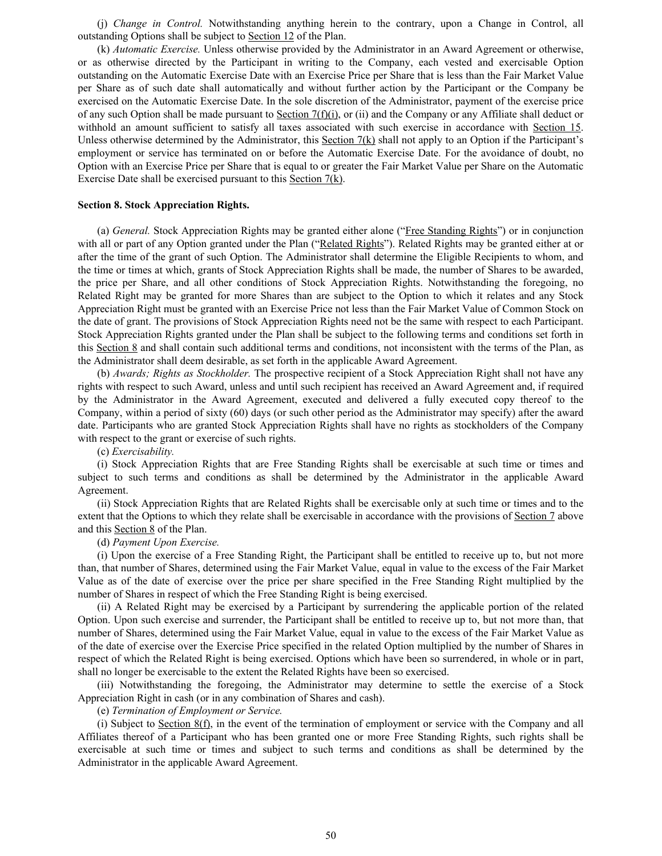(j) *Change in Control.* Notwithstanding anything herein to the contrary, upon a Change in Control, all outstanding Options shall be subject to Section 12 of the Plan.

(k) *Automatic Exercise.* Unless otherwise provided by the Administrator in an Award Agreement or otherwise, or as otherwise directed by the Participant in writing to the Company, each vested and exercisable Option outstanding on the Automatic Exercise Date with an Exercise Price per Share that is less than the Fair Market Value per Share as of such date shall automatically and without further action by the Participant or the Company be exercised on the Automatic Exercise Date. In the sole discretion of the Administrator, payment of the exercise price of any such Option shall be made pursuant to Section  $7(f)(i)$ , or (ii) and the Company or any Affiliate shall deduct or withhold an amount sufficient to satisfy all taxes associated with such exercise in accordance with Section 15. Unless otherwise determined by the Administrator, this Section  $7(k)$  shall not apply to an Option if the Participant's employment or service has terminated on or before the Automatic Exercise Date. For the avoidance of doubt, no Option with an Exercise Price per Share that is equal to or greater the Fair Market Value per Share on the Automatic Exercise Date shall be exercised pursuant to this Section 7(k).

#### **Section 8. Stock Appreciation Rights.**

(a) *General.* Stock Appreciation Rights may be granted either alone ("Free Standing Rights") or in conjunction with all or part of any Option granted under the Plan ("Related Rights"). Related Rights may be granted either at or after the time of the grant of such Option. The Administrator shall determine the Eligible Recipients to whom, and the time or times at which, grants of Stock Appreciation Rights shall be made, the number of Shares to be awarded, the price per Share, and all other conditions of Stock Appreciation Rights. Notwithstanding the foregoing, no Related Right may be granted for more Shares than are subject to the Option to which it relates and any Stock Appreciation Right must be granted with an Exercise Price not less than the Fair Market Value of Common Stock on the date of grant. The provisions of Stock Appreciation Rights need not be the same with respect to each Participant. Stock Appreciation Rights granted under the Plan shall be subject to the following terms and conditions set forth in this Section 8 and shall contain such additional terms and conditions, not inconsistent with the terms of the Plan, as the Administrator shall deem desirable, as set forth in the applicable Award Agreement.

(b) *Awards; Rights as Stockholder.* The prospective recipient of a Stock Appreciation Right shall not have any rights with respect to such Award, unless and until such recipient has received an Award Agreement and, if required by the Administrator in the Award Agreement, executed and delivered a fully executed copy thereof to the Company, within a period of sixty (60) days (or such other period as the Administrator may specify) after the award date. Participants who are granted Stock Appreciation Rights shall have no rights as stockholders of the Company with respect to the grant or exercise of such rights.

(c) *Exercisability.*

(i) Stock Appreciation Rights that are Free Standing Rights shall be exercisable at such time or times and subject to such terms and conditions as shall be determined by the Administrator in the applicable Award Agreement.

(ii) Stock Appreciation Rights that are Related Rights shall be exercisable only at such time or times and to the extent that the Options to which they relate shall be exercisable in accordance with the provisions of Section 7 above and this Section 8 of the Plan.

#### (d) *Payment Upon Exercise.*

(i) Upon the exercise of a Free Standing Right, the Participant shall be entitled to receive up to, but not more than, that number of Shares, determined using the Fair Market Value, equal in value to the excess of the Fair Market Value as of the date of exercise over the price per share specified in the Free Standing Right multiplied by the number of Shares in respect of which the Free Standing Right is being exercised.

(ii) A Related Right may be exercised by a Participant by surrendering the applicable portion of the related Option. Upon such exercise and surrender, the Participant shall be entitled to receive up to, but not more than, that number of Shares, determined using the Fair Market Value, equal in value to the excess of the Fair Market Value as of the date of exercise over the Exercise Price specified in the related Option multiplied by the number of Shares in respect of which the Related Right is being exercised. Options which have been so surrendered, in whole or in part, shall no longer be exercisable to the extent the Related Rights have been so exercised.

(iii) Notwithstanding the foregoing, the Administrator may determine to settle the exercise of a Stock Appreciation Right in cash (or in any combination of Shares and cash).

(e) *Termination of Employment or Service.*

(i) Subject to Section  $8(f)$ , in the event of the termination of employment or service with the Company and all Affiliates thereof of a Participant who has been granted one or more Free Standing Rights, such rights shall be exercisable at such time or times and subject to such terms and conditions as shall be determined by the Administrator in the applicable Award Agreement.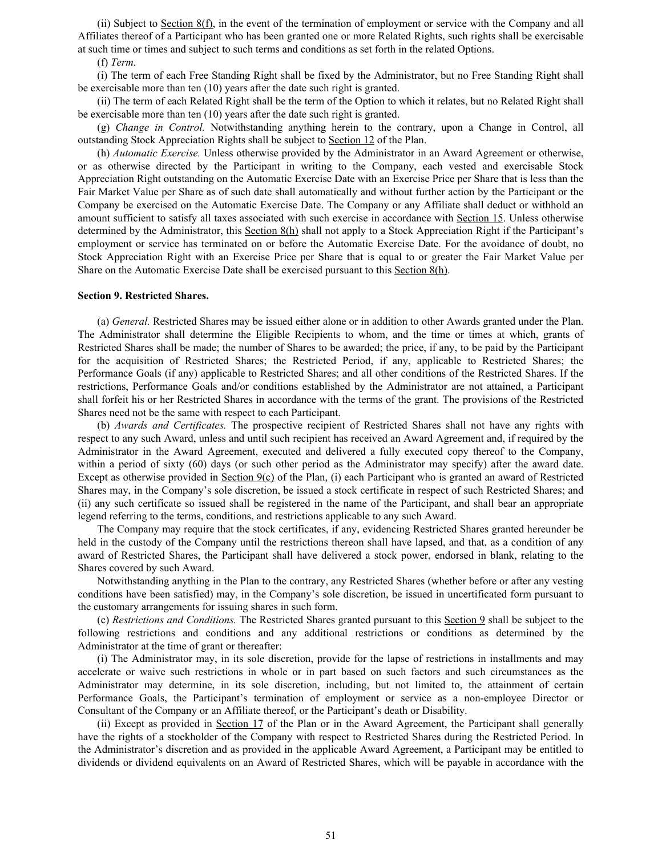(ii) Subject to Section  $8(f)$ , in the event of the termination of employment or service with the Company and all Affiliates thereof of a Participant who has been granted one or more Related Rights, such rights shall be exercisable at such time or times and subject to such terms and conditions as set forth in the related Options.

(f) *Term.*

(i) The term of each Free Standing Right shall be fixed by the Administrator, but no Free Standing Right shall be exercisable more than ten (10) years after the date such right is granted.

(ii) The term of each Related Right shall be the term of the Option to which it relates, but no Related Right shall be exercisable more than ten (10) years after the date such right is granted.

(g) *Change in Control.* Notwithstanding anything herein to the contrary, upon a Change in Control, all outstanding Stock Appreciation Rights shall be subject to Section 12 of the Plan.

(h) *Automatic Exercise.* Unless otherwise provided by the Administrator in an Award Agreement or otherwise, or as otherwise directed by the Participant in writing to the Company, each vested and exercisable Stock Appreciation Right outstanding on the Automatic Exercise Date with an Exercise Price per Share that is less than the Fair Market Value per Share as of such date shall automatically and without further action by the Participant or the Company be exercised on the Automatic Exercise Date. The Company or any Affiliate shall deduct or withhold an amount sufficient to satisfy all taxes associated with such exercise in accordance with Section 15. Unless otherwise determined by the Administrator, this Section 8(h) shall not apply to a Stock Appreciation Right if the Participant's employment or service has terminated on or before the Automatic Exercise Date. For the avoidance of doubt, no Stock Appreciation Right with an Exercise Price per Share that is equal to or greater the Fair Market Value per Share on the Automatic Exercise Date shall be exercised pursuant to this Section 8(h).

#### **Section 9. Restricted Shares.**

(a) *General.* Restricted Shares may be issued either alone or in addition to other Awards granted under the Plan. The Administrator shall determine the Eligible Recipients to whom, and the time or times at which, grants of Restricted Shares shall be made; the number of Shares to be awarded; the price, if any, to be paid by the Participant for the acquisition of Restricted Shares; the Restricted Period, if any, applicable to Restricted Shares; the Performance Goals (if any) applicable to Restricted Shares; and all other conditions of the Restricted Shares. If the restrictions, Performance Goals and/or conditions established by the Administrator are not attained, a Participant shall forfeit his or her Restricted Shares in accordance with the terms of the grant. The provisions of the Restricted Shares need not be the same with respect to each Participant.

(b) *Awards and Certificates.* The prospective recipient of Restricted Shares shall not have any rights with respect to any such Award, unless and until such recipient has received an Award Agreement and, if required by the Administrator in the Award Agreement, executed and delivered a fully executed copy thereof to the Company, within a period of sixty (60) days (or such other period as the Administrator may specify) after the award date. Except as otherwise provided in Section  $9(c)$  of the Plan, (i) each Participant who is granted an award of Restricted Shares may, in the Company's sole discretion, be issued a stock certificate in respect of such Restricted Shares; and (ii) any such certificate so issued shall be registered in the name of the Participant, and shall bear an appropriate legend referring to the terms, conditions, and restrictions applicable to any such Award.

The Company may require that the stock certificates, if any, evidencing Restricted Shares granted hereunder be held in the custody of the Company until the restrictions thereon shall have lapsed, and that, as a condition of any award of Restricted Shares, the Participant shall have delivered a stock power, endorsed in blank, relating to the Shares covered by such Award.

Notwithstanding anything in the Plan to the contrary, any Restricted Shares (whether before or after any vesting conditions have been satisfied) may, in the Company's sole discretion, be issued in uncertificated form pursuant to the customary arrangements for issuing shares in such form.

(c) *Restrictions and Conditions.* The Restricted Shares granted pursuant to this Section 9 shall be subject to the following restrictions and conditions and any additional restrictions or conditions as determined by the Administrator at the time of grant or thereafter:

(i) The Administrator may, in its sole discretion, provide for the lapse of restrictions in installments and may accelerate or waive such restrictions in whole or in part based on such factors and such circumstances as the Administrator may determine, in its sole discretion, including, but not limited to, the attainment of certain Performance Goals, the Participant's termination of employment or service as a non-employee Director or Consultant of the Company or an Affiliate thereof, or the Participant's death or Disability.

(ii) Except as provided in Section 17 of the Plan or in the Award Agreement, the Participant shall generally have the rights of a stockholder of the Company with respect to Restricted Shares during the Restricted Period. In the Administrator's discretion and as provided in the applicable Award Agreement, a Participant may be entitled to dividends or dividend equivalents on an Award of Restricted Shares, which will be payable in accordance with the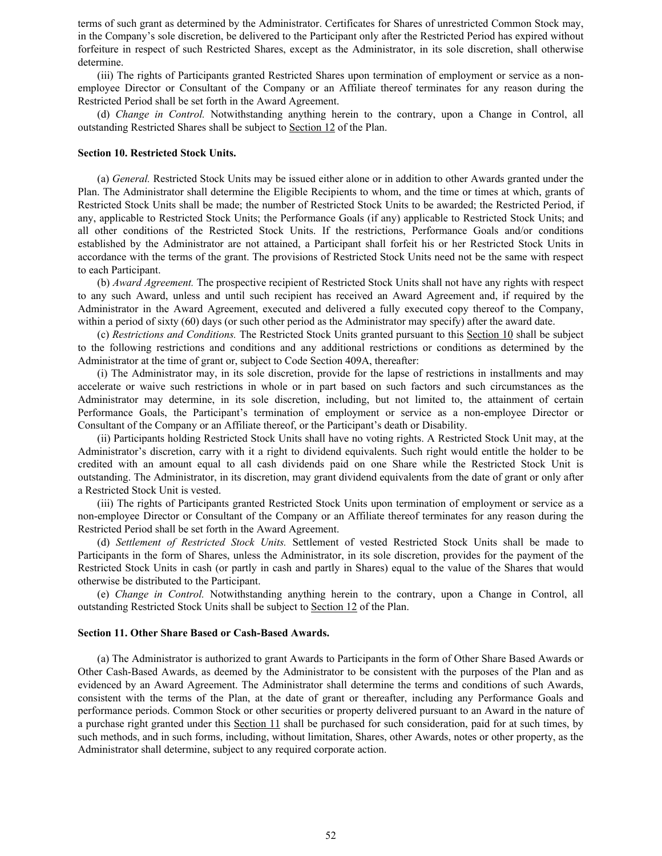terms of such grant as determined by the Administrator. Certificates for Shares of unrestricted Common Stock may, in the Company's sole discretion, be delivered to the Participant only after the Restricted Period has expired without forfeiture in respect of such Restricted Shares, except as the Administrator, in its sole discretion, shall otherwise determine.

(iii) The rights of Participants granted Restricted Shares upon termination of employment or service as a nonemployee Director or Consultant of the Company or an Affiliate thereof terminates for any reason during the Restricted Period shall be set forth in the Award Agreement.

(d) *Change in Control.* Notwithstanding anything herein to the contrary, upon a Change in Control, all outstanding Restricted Shares shall be subject to Section 12 of the Plan.

#### **Section 10. Restricted Stock Units.**

(a) *General.* Restricted Stock Units may be issued either alone or in addition to other Awards granted under the Plan. The Administrator shall determine the Eligible Recipients to whom, and the time or times at which, grants of Restricted Stock Units shall be made; the number of Restricted Stock Units to be awarded; the Restricted Period, if any, applicable to Restricted Stock Units; the Performance Goals (if any) applicable to Restricted Stock Units; and all other conditions of the Restricted Stock Units. If the restrictions, Performance Goals and/or conditions established by the Administrator are not attained, a Participant shall forfeit his or her Restricted Stock Units in accordance with the terms of the grant. The provisions of Restricted Stock Units need not be the same with respect to each Participant.

(b) *Award Agreement.* The prospective recipient of Restricted Stock Units shall not have any rights with respect to any such Award, unless and until such recipient has received an Award Agreement and, if required by the Administrator in the Award Agreement, executed and delivered a fully executed copy thereof to the Company, within a period of sixty (60) days (or such other period as the Administrator may specify) after the award date.

(c) *Restrictions and Conditions.* The Restricted Stock Units granted pursuant to this Section 10 shall be subject to the following restrictions and conditions and any additional restrictions or conditions as determined by the Administrator at the time of grant or, subject to Code Section 409A, thereafter:

(i) The Administrator may, in its sole discretion, provide for the lapse of restrictions in installments and may accelerate or waive such restrictions in whole or in part based on such factors and such circumstances as the Administrator may determine, in its sole discretion, including, but not limited to, the attainment of certain Performance Goals, the Participant's termination of employment or service as a non-employee Director or Consultant of the Company or an Affiliate thereof, or the Participant's death or Disability.

(ii) Participants holding Restricted Stock Units shall have no voting rights. A Restricted Stock Unit may, at the Administrator's discretion, carry with it a right to dividend equivalents. Such right would entitle the holder to be credited with an amount equal to all cash dividends paid on one Share while the Restricted Stock Unit is outstanding. The Administrator, in its discretion, may grant dividend equivalents from the date of grant or only after a Restricted Stock Unit is vested.

(iii) The rights of Participants granted Restricted Stock Units upon termination of employment or service as a non-employee Director or Consultant of the Company or an Affiliate thereof terminates for any reason during the Restricted Period shall be set forth in the Award Agreement.

(d) *Settlement of Restricted Stock Units.* Settlement of vested Restricted Stock Units shall be made to Participants in the form of Shares, unless the Administrator, in its sole discretion, provides for the payment of the Restricted Stock Units in cash (or partly in cash and partly in Shares) equal to the value of the Shares that would otherwise be distributed to the Participant.

(e) *Change in Control.* Notwithstanding anything herein to the contrary, upon a Change in Control, all outstanding Restricted Stock Units shall be subject to Section 12 of the Plan.

#### **Section 11. Other Share Based or Cash-Based Awards.**

(a) The Administrator is authorized to grant Awards to Participants in the form of Other Share Based Awards or Other Cash-Based Awards, as deemed by the Administrator to be consistent with the purposes of the Plan and as evidenced by an Award Agreement. The Administrator shall determine the terms and conditions of such Awards, consistent with the terms of the Plan, at the date of grant or thereafter, including any Performance Goals and performance periods. Common Stock or other securities or property delivered pursuant to an Award in the nature of a purchase right granted under this Section 11 shall be purchased for such consideration, paid for at such times, by such methods, and in such forms, including, without limitation, Shares, other Awards, notes or other property, as the Administrator shall determine, subject to any required corporate action.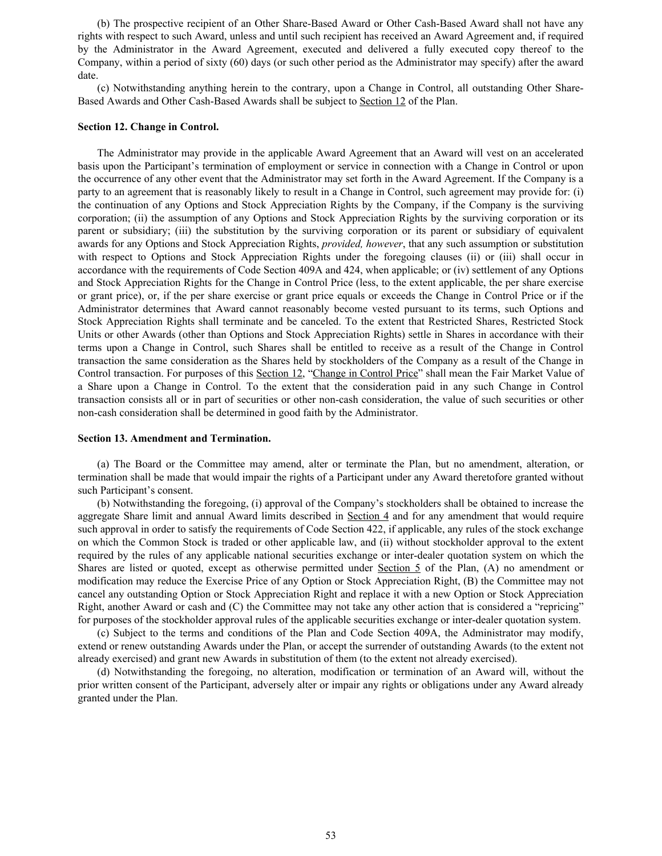(b) The prospective recipient of an Other Share-Based Award or Other Cash-Based Award shall not have any rights with respect to such Award, unless and until such recipient has received an Award Agreement and, if required by the Administrator in the Award Agreement, executed and delivered a fully executed copy thereof to the Company, within a period of sixty (60) days (or such other period as the Administrator may specify) after the award date.

(c) Notwithstanding anything herein to the contrary, upon a Change in Control, all outstanding Other Share-Based Awards and Other Cash-Based Awards shall be subject to Section 12 of the Plan.

#### **Section 12. Change in Control.**

The Administrator may provide in the applicable Award Agreement that an Award will vest on an accelerated basis upon the Participant's termination of employment or service in connection with a Change in Control or upon the occurrence of any other event that the Administrator may set forth in the Award Agreement. If the Company is a party to an agreement that is reasonably likely to result in a Change in Control, such agreement may provide for: (i) the continuation of any Options and Stock Appreciation Rights by the Company, if the Company is the surviving corporation; (ii) the assumption of any Options and Stock Appreciation Rights by the surviving corporation or its parent or subsidiary; (iii) the substitution by the surviving corporation or its parent or subsidiary of equivalent awards for any Options and Stock Appreciation Rights, *provided, however*, that any such assumption or substitution with respect to Options and Stock Appreciation Rights under the foregoing clauses (ii) or (iii) shall occur in accordance with the requirements of Code Section 409A and 424, when applicable; or (iv) settlement of any Options and Stock Appreciation Rights for the Change in Control Price (less, to the extent applicable, the per share exercise or grant price), or, if the per share exercise or grant price equals or exceeds the Change in Control Price or if the Administrator determines that Award cannot reasonably become vested pursuant to its terms, such Options and Stock Appreciation Rights shall terminate and be canceled. To the extent that Restricted Shares, Restricted Stock Units or other Awards (other than Options and Stock Appreciation Rights) settle in Shares in accordance with their terms upon a Change in Control, such Shares shall be entitled to receive as a result of the Change in Control transaction the same consideration as the Shares held by stockholders of the Company as a result of the Change in Control transaction. For purposes of this Section 12, "Change in Control Price" shall mean the Fair Market Value of a Share upon a Change in Control. To the extent that the consideration paid in any such Change in Control transaction consists all or in part of securities or other non-cash consideration, the value of such securities or other non-cash consideration shall be determined in good faith by the Administrator.

#### **Section 13. Amendment and Termination.**

(a) The Board or the Committee may amend, alter or terminate the Plan, but no amendment, alteration, or termination shall be made that would impair the rights of a Participant under any Award theretofore granted without such Participant's consent.

(b) Notwithstanding the foregoing, (i) approval of the Company's stockholders shall be obtained to increase the aggregate Share limit and annual Award limits described in Section 4 and for any amendment that would require such approval in order to satisfy the requirements of Code Section 422, if applicable, any rules of the stock exchange on which the Common Stock is traded or other applicable law, and (ii) without stockholder approval to the extent required by the rules of any applicable national securities exchange or inter-dealer quotation system on which the Shares are listed or quoted, except as otherwise permitted under Section 5 of the Plan, (A) no amendment or modification may reduce the Exercise Price of any Option or Stock Appreciation Right, (B) the Committee may not cancel any outstanding Option or Stock Appreciation Right and replace it with a new Option or Stock Appreciation Right, another Award or cash and (C) the Committee may not take any other action that is considered a "repricing" for purposes of the stockholder approval rules of the applicable securities exchange or inter-dealer quotation system.

(c) Subject to the terms and conditions of the Plan and Code Section 409A, the Administrator may modify, extend or renew outstanding Awards under the Plan, or accept the surrender of outstanding Awards (to the extent not already exercised) and grant new Awards in substitution of them (to the extent not already exercised).

(d) Notwithstanding the foregoing, no alteration, modification or termination of an Award will, without the prior written consent of the Participant, adversely alter or impair any rights or obligations under any Award already granted under the Plan.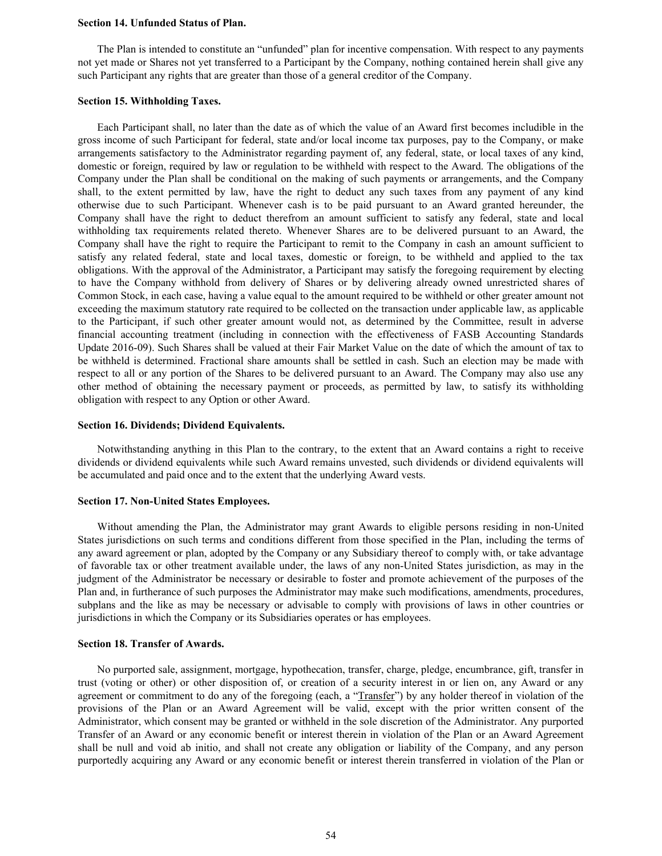#### **Section 14. Unfunded Status of Plan.**

The Plan is intended to constitute an "unfunded" plan for incentive compensation. With respect to any payments not yet made or Shares not yet transferred to a Participant by the Company, nothing contained herein shall give any such Participant any rights that are greater than those of a general creditor of the Company.

#### **Section 15. Withholding Taxes.**

Each Participant shall, no later than the date as of which the value of an Award first becomes includible in the gross income of such Participant for federal, state and/or local income tax purposes, pay to the Company, or make arrangements satisfactory to the Administrator regarding payment of, any federal, state, or local taxes of any kind, domestic or foreign, required by law or regulation to be withheld with respect to the Award. The obligations of the Company under the Plan shall be conditional on the making of such payments or arrangements, and the Company shall, to the extent permitted by law, have the right to deduct any such taxes from any payment of any kind otherwise due to such Participant. Whenever cash is to be paid pursuant to an Award granted hereunder, the Company shall have the right to deduct therefrom an amount sufficient to satisfy any federal, state and local withholding tax requirements related thereto. Whenever Shares are to be delivered pursuant to an Award, the Company shall have the right to require the Participant to remit to the Company in cash an amount sufficient to satisfy any related federal, state and local taxes, domestic or foreign, to be withheld and applied to the tax obligations. With the approval of the Administrator, a Participant may satisfy the foregoing requirement by electing to have the Company withhold from delivery of Shares or by delivering already owned unrestricted shares of Common Stock, in each case, having a value equal to the amount required to be withheld or other greater amount not exceeding the maximum statutory rate required to be collected on the transaction under applicable law, as applicable to the Participant, if such other greater amount would not, as determined by the Committee, result in adverse financial accounting treatment (including in connection with the effectiveness of FASB Accounting Standards Update 2016-09). Such Shares shall be valued at their Fair Market Value on the date of which the amount of tax to be withheld is determined. Fractional share amounts shall be settled in cash. Such an election may be made with respect to all or any portion of the Shares to be delivered pursuant to an Award. The Company may also use any other method of obtaining the necessary payment or proceeds, as permitted by law, to satisfy its withholding obligation with respect to any Option or other Award.

#### **Section 16. Dividends; Dividend Equivalents.**

Notwithstanding anything in this Plan to the contrary, to the extent that an Award contains a right to receive dividends or dividend equivalents while such Award remains unvested, such dividends or dividend equivalents will be accumulated and paid once and to the extent that the underlying Award vests.

#### **Section 17. Non-United States Employees.**

Without amending the Plan, the Administrator may grant Awards to eligible persons residing in non-United States jurisdictions on such terms and conditions different from those specified in the Plan, including the terms of any award agreement or plan, adopted by the Company or any Subsidiary thereof to comply with, or take advantage of favorable tax or other treatment available under, the laws of any non-United States jurisdiction, as may in the judgment of the Administrator be necessary or desirable to foster and promote achievement of the purposes of the Plan and, in furtherance of such purposes the Administrator may make such modifications, amendments, procedures, subplans and the like as may be necessary or advisable to comply with provisions of laws in other countries or jurisdictions in which the Company or its Subsidiaries operates or has employees.

#### **Section 18. Transfer of Awards.**

No purported sale, assignment, mortgage, hypothecation, transfer, charge, pledge, encumbrance, gift, transfer in trust (voting or other) or other disposition of, or creation of a security interest in or lien on, any Award or any agreement or commitment to do any of the foregoing (each, a "Transfer") by any holder thereof in violation of the provisions of the Plan or an Award Agreement will be valid, except with the prior written consent of the Administrator, which consent may be granted or withheld in the sole discretion of the Administrator. Any purported Transfer of an Award or any economic benefit or interest therein in violation of the Plan or an Award Agreement shall be null and void ab initio, and shall not create any obligation or liability of the Company, and any person purportedly acquiring any Award or any economic benefit or interest therein transferred in violation of the Plan or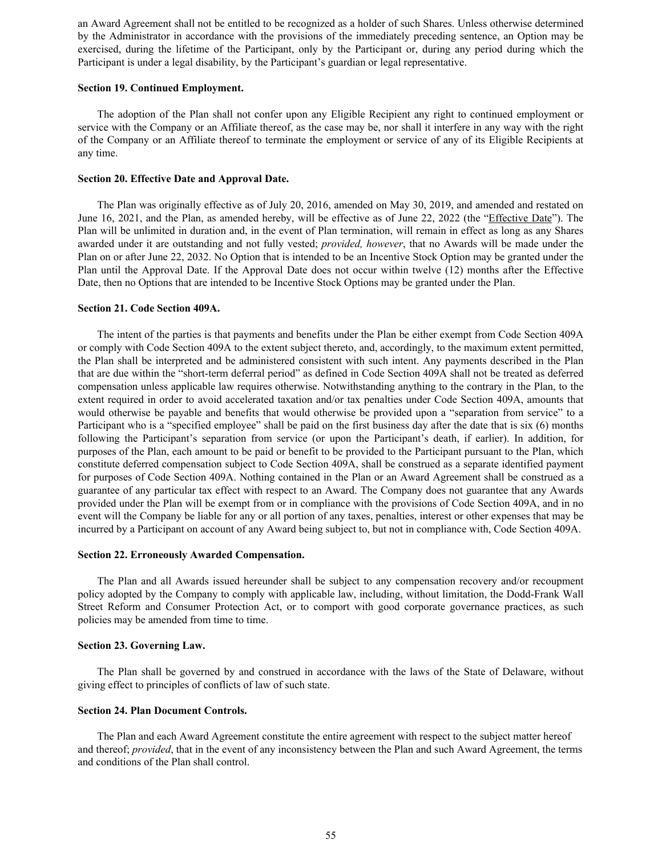an Award Agreement shall not be entitled to be recognized as a holder of such Shares. Unless otherwise determined by the Administrator in accordance with the provisions of the immediately preceding sentence, an Option may be exercised, during the lifetime of the Participant, only by the Participant or, during any period during which the Participant is under a legal disability, by the Participant's guardian or legal representative.

#### **Section 19. Continued Employment.**

The adoption of the Plan shall not confer upon any Eligible Recipient any right to continued employment or service with the Company or an Affiliate thereof, as the case may be, nor shall it interfere in any way with the right of the Company or an Affiliate thereof to terminate the employment or service of any of its Eligible Recipients at any time.

#### **Section 20. Effective Date and Approval Date.**

The Plan was originally effective as of July 20, 2016, amended on May 30, 2019, and amended and restated on June 16, 2021, and the Plan, as amended hereby, will be effective as of June 22, 2022 (the "Effective Date"). The Plan will be unlimited in duration and, in the event of Plan termination, will remain in effect as long as any Shares awarded under it are outstanding and not fully vested; *provided, however*, that no Awards will be made under the Plan on or after June 22, 2032. No Option that is intended to be an Incentive Stock Option may be granted under the Plan until the Approval Date. If the Approval Date does not occur within twelve (12) months after the Effective Date, then no Options that are intended to be Incentive Stock Options may be granted under the Plan.

#### **Section 21. Code Section 409A.**

The intent of the parties is that payments and benefits under the Plan be either exempt from Code Section 409A or comply with Code Section 409A to the extent subject thereto, and, accordingly, to the maximum extent permitted, the Plan shall be interpreted and be administered consistent with such intent. Any payments described in the Plan that are due within the "short-term deferral period" as defined in Code Section 409A shall not be treated as deferred compensation unless applicable law requires otherwise. Notwithstanding anything to the contrary in the Plan, to the extent required in order to avoid accelerated taxation and/or tax penalties under Code Section 409A, amounts that would otherwise be payable and benefits that would otherwise be provided upon a "separation from service" to a Participant who is a "specified employee" shall be paid on the first business day after the date that is six (6) months following the Participant's separation from service (or upon the Participant's death, if earlier). In addition, for purposes of the Plan, each amount to be paid or benefit to be provided to the Participant pursuant to the Plan, which constitute deferred compensation subject to Code Section 409A, shall be construed as a separate identified payment for purposes of Code Section 409A. Nothing contained in the Plan or an Award Agreement shall be construed as a guarantee of any particular tax effect with respect to an Award. The Company does not guarantee that any Awards provided under the Plan will be exempt from or in compliance with the provisions of Code Section 409A, and in no event will the Company be liable for any or all portion of any taxes, penalties, interest or other expenses that may be incurred by a Participant on account of any Award being subject to, but not in compliance with, Code Section 409A.

#### **Section 22. Erroneously Awarded Compensation.**

The Plan and all Awards issued hereunder shall be subject to any compensation recovery and/or recoupment policy adopted by the Company to comply with applicable law, including, without limitation, the Dodd-Frank Wall Street Reform and Consumer Protection Act, or to comport with good corporate governance practices, as such policies may be amended from time to time.

#### **Section 23. Governing Law.**

The Plan shall be governed by and construed in accordance with the laws of the State of Delaware, without giving effect to principles of conflicts of law of such state.

#### **Section 24. Plan Document Controls.**

The Plan and each Award Agreement constitute the entire agreement with respect to the subject matter hereof and thereof; *provided*, that in the event of any inconsistency between the Plan and such Award Agreement, the terms and conditions of the Plan shall control.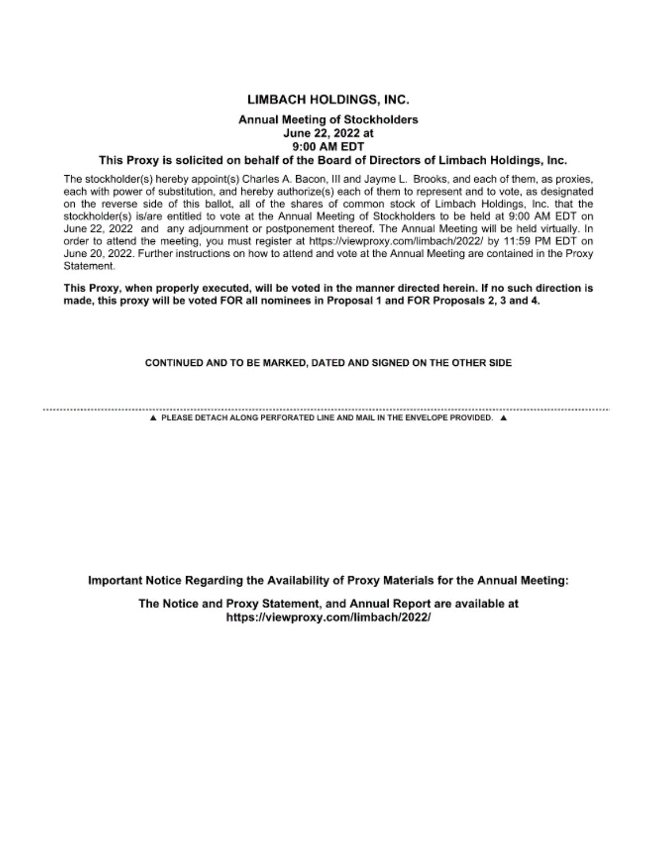# LIMBACH HOLDINGS, INC.

# Annual Meeting of Stockholders June 22, 2022 at 9:00 AM EDT

### This Proxy is solicited on behalf of the Board of Directors of Limbach Holdings, Inc.

The stockholder(s) hereby appoint(s) Charles A. Bacon, Ill and Jayme L. Brooks, and each of them, as proxies, each with power of substitution, and hereby authorize(s) each of them to represent and to vote, as designated on the reverse side of this ballot, all of the shares of common stock of Limbach Holdings, Inc. that the stockholder(s) is/are entitled to vote at the Annual Meeting of Stockholders to be held at 9:00 AM EDT on June 22, 2022 and any adjournment or postponement thereof. The Annual Meeting will be held virtually. In order to attend the meeting, you must register at https://viewproxy.com/limbach/2022/ by 11:59 PM EDT on June 20, 2022. Further instructions on how to attend and vote at the Annual Meeting are contained in the Proxy Statement.

This Proxy, when properly executed, will be voted in the manner directed herein. If no such direction is made, this proxy will be voted FOR all nominees in Proposal 1 and FOR Proposals 2, 3 and 4.

#### CONTINUED AND TO BE MARKED, DATED AND SIGNED ON THE OTHER SIDE

A PLEASE DETACH ALONG PERFORATED LINE AND MAIL IN THE ENVELOPE PROVIDED. A

Important Notice Regarding the Availability of Proxy Materials for the Annual Meeting:

The Notice and Proxy Statement, and Annual Report are available at https://viewproxy.com/limbach/2022/